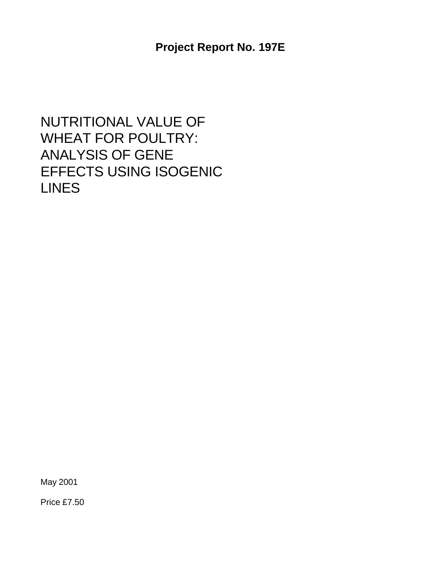NUTRITIONAL VALUE OF WHEAT FOR POULTRY: ANALYSIS OF GENE EFFECTS USING ISOGENIC LINES

May 2001

Price £7.50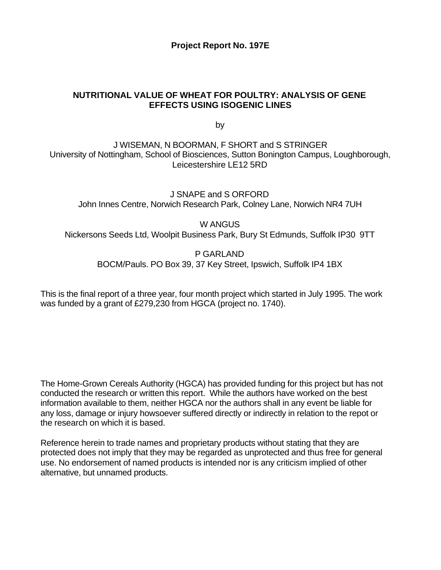#### **Project Report No. 197E**

#### **NUTRITIONAL VALUE OF WHEAT FOR POULTRY: ANALYSIS OF GENE EFFECTS USING ISOGENIC LINES**

by

J WISEMAN, N BOORMAN, F SHORT and S STRINGER University of Nottingham, School of Biosciences, Sutton Bonington Campus, Loughborough, Leicestershire LE12 5RD

J SNAPE and S ORFORD John Innes Centre, Norwich Research Park, Colney Lane, Norwich NR4 7UH

W ANGUS

Nickersons Seeds Ltd, Woolpit Business Park, Bury St Edmunds, Suffolk IP30 9TT

P GARLAND BOCM/Pauls. PO Box 39, 37 Key Street, Ipswich, Suffolk IP4 1BX

This is the final report of a three year, four month project which started in July 1995. The work was funded by a grant of £279,230 from HGCA (project no. 1740).

The Home-Grown Cereals Authority (HGCA) has provided funding for this project but has not conducted the research or written this report. While the authors have worked on the best information available to them, neither HGCA nor the authors shall in any event be liable for any loss, damage or injury howsoever suffered directly or indirectly in relation to the repot or the research on which it is based.

Reference herein to trade names and proprietary products without stating that they are protected does not imply that they may be regarded as unprotected and thus free for general use. No endorsement of named products is intended nor is any criticism implied of other alternative, but unnamed products.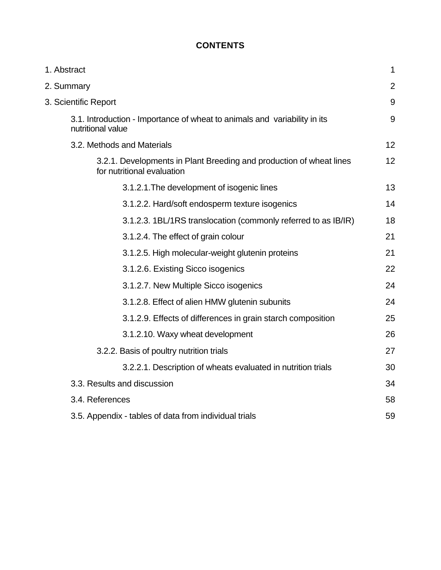# **CONTENTS**

| 1. Abstract                                                                                       | 1              |
|---------------------------------------------------------------------------------------------------|----------------|
| 2. Summary                                                                                        | $\overline{2}$ |
| 3. Scientific Report                                                                              | 9              |
| 3.1. Introduction - Importance of wheat to animals and variability in its<br>nutritional value    | 9              |
| 3.2. Methods and Materials                                                                        | 12             |
| 3.2.1. Developments in Plant Breeding and production of wheat lines<br>for nutritional evaluation | 12             |
| 3.1.2.1. The development of isogenic lines                                                        | 13             |
| 3.1.2.2. Hard/soft endosperm texture isogenics                                                    | 14             |
| 3.1.2.3. 1BL/1RS translocation (commonly referred to as IB/IR)                                    | 18             |
| 3.1.2.4. The effect of grain colour                                                               | 21             |
| 3.1.2.5. High molecular-weight glutenin proteins                                                  | 21             |
| 3.1.2.6. Existing Sicco isogenics                                                                 | 22             |
| 3.1.2.7. New Multiple Sicco isogenics                                                             | 24             |
| 3.1.2.8. Effect of alien HMW glutenin subunits                                                    | 24             |
| 3.1.2.9. Effects of differences in grain starch composition                                       | 25             |
| 3.1.2.10. Waxy wheat development                                                                  | 26             |
| 3.2.2. Basis of poultry nutrition trials                                                          | 27             |
| 3.2.2.1. Description of wheats evaluated in nutrition trials                                      | 30             |
| 3.3. Results and discussion                                                                       | 34             |
| 3.4. References                                                                                   | 58             |
| 3.5. Appendix - tables of data from individual trials                                             | 59             |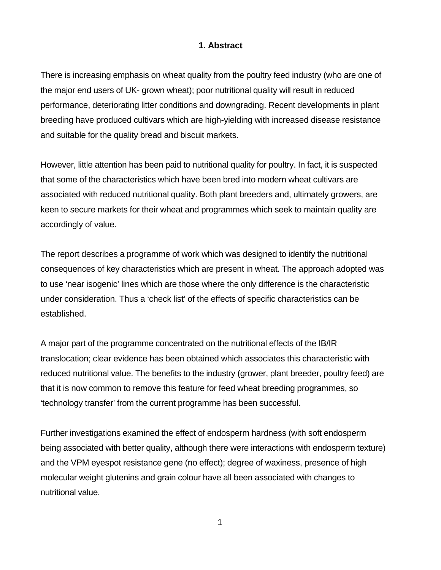#### **1. Abstract**

There is increasing emphasis on wheat quality from the poultry feed industry (who are one of the major end users of UK- grown wheat); poor nutritional quality will result in reduced performance, deteriorating litter conditions and downgrading. Recent developments in plant breeding have produced cultivars which are high-yielding with increased disease resistance and suitable for the quality bread and biscuit markets.

However, little attention has been paid to nutritional quality for poultry. In fact, it is suspected that some of the characteristics which have been bred into modern wheat cultivars are associated with reduced nutritional quality. Both plant breeders and, ultimately growers, are keen to secure markets for their wheat and programmes which seek to maintain quality are accordingly of value.

The report describes a programme of work which was designed to identify the nutritional consequences of key characteristics which are present in wheat. The approach adopted was to use 'near isogenic' lines which are those where the only difference is the characteristic under consideration. Thus a 'check list' of the effects of specific characteristics can be established.

A major part of the programme concentrated on the nutritional effects of the IB/IR translocation; clear evidence has been obtained which associates this characteristic with reduced nutritional value. The benefits to the industry (grower, plant breeder, poultry feed) are that it is now common to remove this feature for feed wheat breeding programmes, so 'technology transfer' from the current programme has been successful.

Further investigations examined the effect of endosperm hardness (with soft endosperm being associated with better quality, although there were interactions with endosperm texture) and the VPM eyespot resistance gene (no effect); degree of waxiness, presence of high molecular weight glutenins and grain colour have all been associated with changes to nutritional value.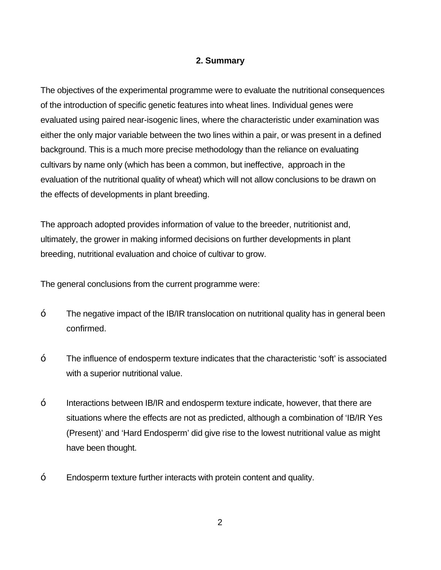### **2. Summary**

The objectives of the experimental programme were to evaluate the nutritional consequences of the introduction of specific genetic features into wheat lines. Individual genes were evaluated using paired near-isogenic lines, where the characteristic under examination was either the only major variable between the two lines within a pair, or was present in a defined background. This is a much more precise methodology than the reliance on evaluating cultivars by name only (which has been a common, but ineffective, approach in the evaluation of the nutritional quality of wheat) which will not allow conclusions to be drawn on the effects of developments in plant breeding.

The approach adopted provides information of value to the breeder, nutritionist and, ultimately, the grower in making informed decisions on further developments in plant breeding, nutritional evaluation and choice of cultivar to grow.

The general conclusions from the current programme were:

- The negative impact of the IB/IR translocation on nutritional quality has in general been confirmed.
- The influence of endosperm texture indicates that the characteristic 'soft' is associated with a superior nutritional value.
- Interactions between IB/IR and endosperm texture indicate, however, that there are situations where the effects are not as predicted, although a combination of 'IB/IR Yes (Present)' and 'Hard Endosperm' did give rise to the lowest nutritional value as might have been thought.
- Endosperm texture further interacts with protein content and quality.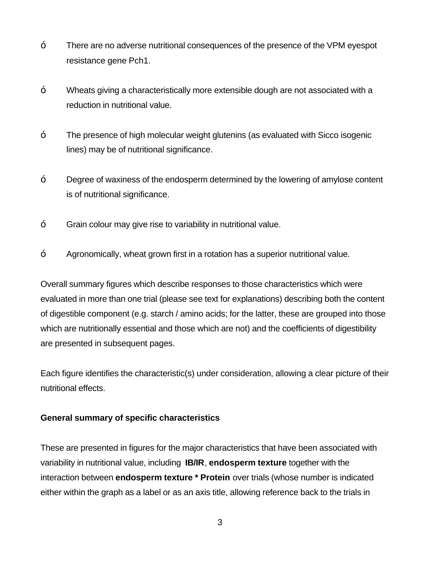- There are no adverse nutritional consequences of the presence of the VPM eyespot resistance gene Pch1.
- Wheats giving a characteristically more extensible dough are not associated with a reduction in nutritional value.
- The presence of high molecular weight glutenins (as evaluated with Sicco isogenic lines) may be of nutritional significance.
- Degree of waxiness of the endosperm determined by the lowering of amylose content is of nutritional significance.
- Grain colour may give rise to variability in nutritional value.
- Agronomically, wheat grown first in a rotation has a superior nutritional value.

Overall summary figures which describe responses to those characteristics which were evaluated in more than one trial (please see text for explanations) describing both the content of digestible component (e.g. starch / amino acids; for the latter, these are grouped into those which are nutritionally essential and those which are not) and the coefficients of digestibility are presented in subsequent pages.

Each figure identifies the characteristic(s) under consideration, allowing a clear picture of their nutritional effects.

#### **General summary of specific characteristics**

These are presented in figures for the major characteristics that have been associated with variability in nutritional value, including **IB/IR**, **endosperm texture** together with the interaction between **endosperm texture \* Protein** over trials (whose number is indicated either within the graph as a label or as an axis title, allowing reference back to the trials in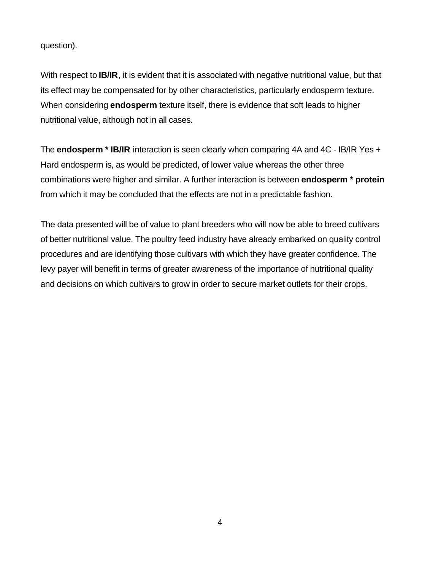question).

With respect to **IB/IR**, it is evident that it is associated with negative nutritional value, but that its effect may be compensated for by other characteristics, particularly endosperm texture. When considering **endosperm** texture itself, there is evidence that soft leads to higher nutritional value, although not in all cases.

The **endosperm \* IB/IR** interaction is seen clearly when comparing 4A and 4C - IB/IR Yes + Hard endosperm is, as would be predicted, of lower value whereas the other three combinations were higher and similar. A further interaction is between **endosperm \* protein** from which it may be concluded that the effects are not in a predictable fashion.

The data presented will be of value to plant breeders who will now be able to breed cultivars of better nutritional value. The poultry feed industry have already embarked on quality control procedures and are identifying those cultivars with which they have greater confidence. The levy payer will benefit in terms of greater awareness of the importance of nutritional quality and decisions on which cultivars to grow in order to secure market outlets for their crops.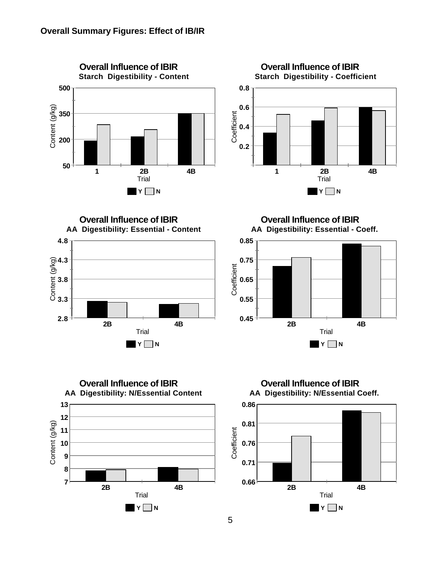



**2.8 3.3 3.8 4.3 4.8** Content (g/kg) **2B 4B** Trial **Y N Overall Influence of IBIR AA Digestibility: Essential - Content**

**Overall Influence of IBIR AA Digestibility: Essential - Coeff.**





**Overall Influence of IBIR AA Digestibility: N/Essential Coeff.**

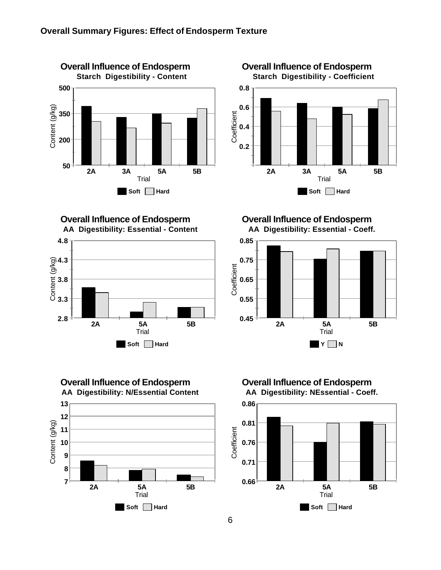

**0.2 0.4 0.6 0.8** Coefficient **2A 3A 5A 5B** Trial **Soft Hard Overall Influence of Endosperm Starch Digestibility - Coefficient**

**2.8 3.3 3.8 4.3 4.8** Content (g/kg) **2A 5A 5B** Trial **Soft Hard Overall Influence of Endosperm AA Digestibility: Essential - Content**



**Overall Influence of Endosperm AA Digestibility: Essential - Coeff.**



**Overall Influence of Endosperm AA Digestibility: NEssential - Coeff.**

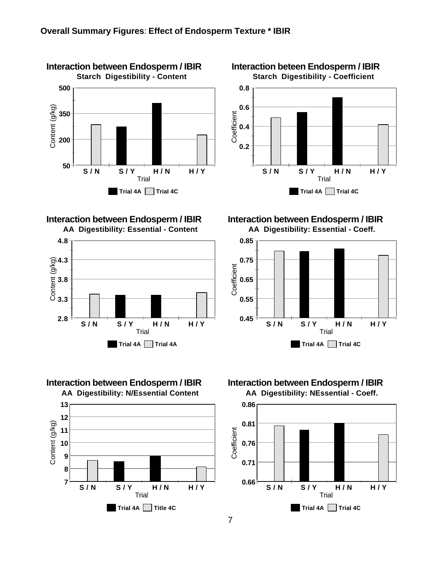

# **Interaction between Endosperm / IBIR**



**Interaction between Endosperm / IBIR**



**0.2 0.4 0.6 0.8 Coefficient Interaction beteen Endosperm / IBIR Starch Digestibility - Coefficient**



**Trial 4A Trial 4C**

**Interaction between Endosperm / IBIR AA Digestibility: Essential - Coeff.**



# **Interaction between Endosperm / IBIR**

**AA Digestibility: NEssential - Coeff.**

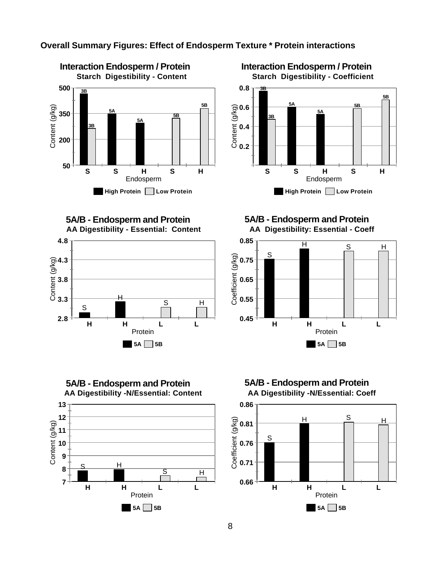

#### **Overall Summary Figures: Effect of Endosperm Texture \* Protein interactions**

**0.2 0.4 0.6 0.8** Content (g/kg) **S S H S H** Endosperm **3B 5A 5A 3B 5B 5B High Protein Low Protein Starch Digestibility - Coefficient**

**Interaction Endosperm / Protein**

**5A/B - Endosperm and Protein AA Digestibility - Essential: Content**



**5A/B - Endosperm and Protein AA Digestibility -N/Essential: Content 13 12** Content (g/kg) Content (g/kg) **11 10 9** S H **8** S<sub>H</sub> **7 H H L L** Protein **5A 5B**

**5A/B - Endosperm and Protein AA Digestibility: Essential - Coeff**





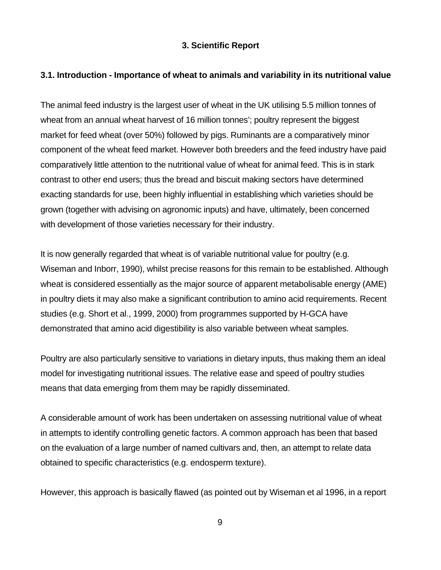#### **3. Scientific Report**

#### **3.1. Introduction - Importance of wheat to animals and variability in its nutritional value**

The animal feed industry is the largest user of wheat in the UK utilising 5.5 million tonnes of wheat from an annual wheat harvest of 16 million tonnes'; poultry represent the biggest market for feed wheat (over 50%) followed by pigs. Ruminants are a comparatively minor component of the wheat feed market. However both breeders and the feed industry have paid comparatively little attention to the nutritional value of wheat for animal feed. This is in stark contrast to other end users; thus the bread and biscuit making sectors have determined exacting standards for use, been highly influential in establishing which varieties should be grown (together with advising on agronomic inputs) and have, ultimately, been concerned with development of those varieties necessary for their industry.

It is now generally regarded that wheat is of variable nutritional value for poultry (e.g. Wiseman and Inborr, 1990), whilst precise reasons for this remain to be established. Although wheat is considered essentially as the major source of apparent metabolisable energy (AME) in poultry diets it may also make a significant contribution to amino acid requirements. Recent studies (e.g. Short et al., 1999, 2000) from programmes supported by H-GCA have demonstrated that amino acid digestibility is also variable between wheat samples.

Poultry are also particularly sensitive to variations in dietary inputs, thus making them an ideal model for investigating nutritional issues. The relative ease and speed of poultry studies means that data emerging from them may be rapidly disseminated.

A considerable amount of work has been undertaken on assessing nutritional value of wheat in attempts to identify controlling genetic factors. A common approach has been that based on the evaluation of a large number of named cultivars and, then, an attempt to relate data obtained to specific characteristics (e.g. endosperm texture).

However, this approach is basically flawed (as pointed out by Wiseman et al 1996, in a report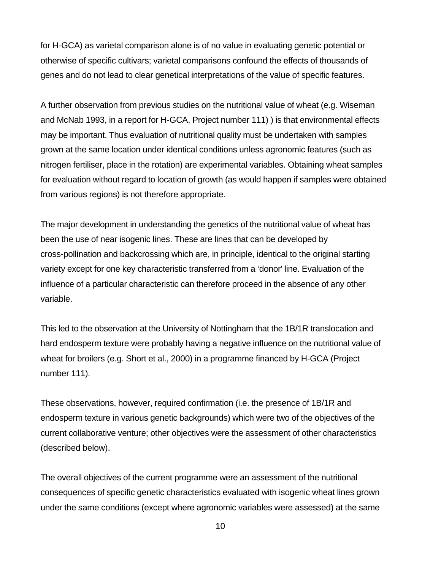for H-GCA) as varietal comparison alone is of no value in evaluating genetic potential or otherwise of specific cultivars; varietal comparisons confound the effects of thousands of genes and do not lead to clear genetical interpretations of the value of specific features.

A further observation from previous studies on the nutritional value of wheat (e.g. Wiseman and McNab 1993, in a report for H-GCA, Project number 111) ) is that environmental effects may be important. Thus evaluation of nutritional quality must be undertaken with samples grown at the same location under identical conditions unless agronomic features (such as nitrogen fertiliser, place in the rotation) are experimental variables. Obtaining wheat samples for evaluation without regard to location of growth (as would happen if samples were obtained from various regions) is not therefore appropriate.

The major development in understanding the genetics of the nutritional value of wheat has been the use of near isogenic lines. These are lines that can be developed by cross-pollination and backcrossing which are, in principle, identical to the original starting variety except for one key characteristic transferred from a 'donor' line. Evaluation of the influence of a particular characteristic can therefore proceed in the absence of any other variable.

This led to the observation at the University of Nottingham that the 1B/1R translocation and hard endosperm texture were probably having a negative influence on the nutritional value of wheat for broilers (e.g. Short et al., 2000) in a programme financed by H-GCA (Project number 111).

These observations, however, required confirmation (i.e. the presence of 1B/1R and endosperm texture in various genetic backgrounds) which were two of the objectives of the current collaborative venture; other objectives were the assessment of other characteristics (described below).

The overall objectives of the current programme were an assessment of the nutritional consequences of specific genetic characteristics evaluated with isogenic wheat lines grown under the same conditions (except where agronomic variables were assessed) at the same

10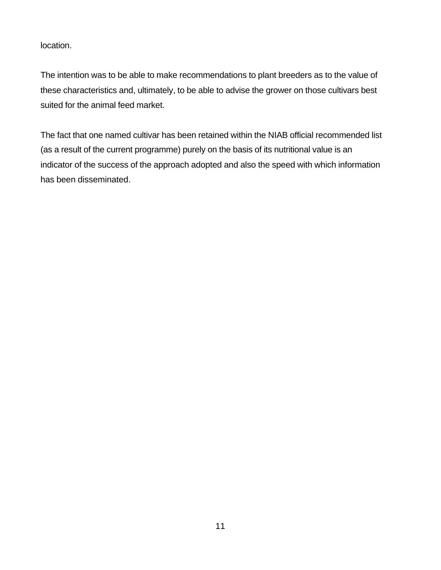location.

The intention was to be able to make recommendations to plant breeders as to the value of these characteristics and, ultimately, to be able to advise the grower on those cultivars best suited for the animal feed market.

The fact that one named cultivar has been retained within the NIAB official recommended list (as a result of the current programme) purely on the basis of its nutritional value is an indicator of the success of the approach adopted and also the speed with which information has been disseminated.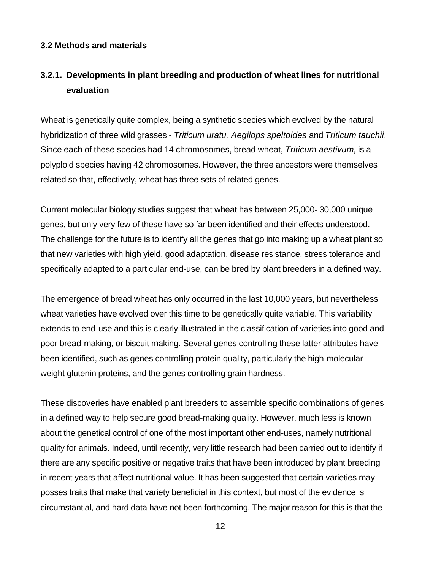#### **3.2 Methods and materials**

# **3.2.1. Developments in plant breeding and production of wheat lines for nutritional evaluation**

Wheat is genetically quite complex, being a synthetic species which evolved by the natural hybridization of three wild grasses - *Triticum uratu*, *Aegilops speltoides* and *Triticum tauchii*. Since each of these species had 14 chromosomes, bread wheat, *Triticum aestivum,* is a polyploid species having 42 chromosomes. However, the three ancestors were themselves related so that, effectively, wheat has three sets of related genes.

Current molecular biology studies suggest that wheat has between 25,000- 30,000 unique genes, but only very few of these have so far been identified and their effects understood. The challenge for the future is to identify all the genes that go into making up a wheat plant so that new varieties with high yield, good adaptation, disease resistance, stress tolerance and specifically adapted to a particular end-use, can be bred by plant breeders in a defined way.

The emergence of bread wheat has only occurred in the last 10,000 years, but nevertheless wheat varieties have evolved over this time to be genetically quite variable. This variability extends to end-use and this is clearly illustrated in the classification of varieties into good and poor bread-making, or biscuit making. Several genes controlling these latter attributes have been identified, such as genes controlling protein quality, particularly the high-molecular weight glutenin proteins, and the genes controlling grain hardness.

These discoveries have enabled plant breeders to assemble specific combinations of genes in a defined way to help secure good bread-making quality. However, much less is known about the genetical control of one of the most important other end-uses, namely nutritional quality for animals. Indeed, until recently, very little research had been carried out to identify if there are any specific positive or negative traits that have been introduced by plant breeding in recent years that affect nutritional value. It has been suggested that certain varieties may posses traits that make that variety beneficial in this context, but most of the evidence is circumstantial, and hard data have not been forthcoming. The major reason for this is that the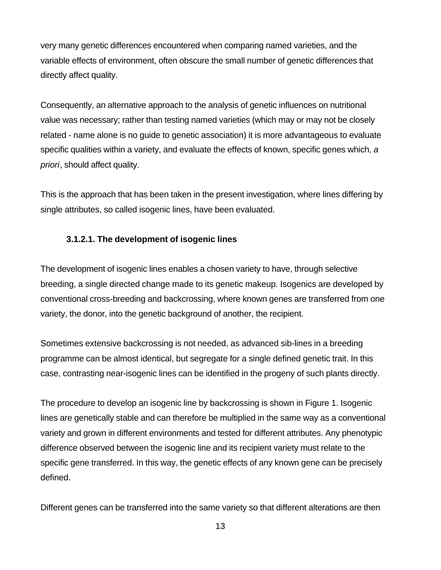very many genetic differences encountered when comparing named varieties, and the variable effects of environment, often obscure the small number of genetic differences that directly affect quality.

Consequently, an alternative approach to the analysis of genetic influences on nutritional value was necessary; rather than testing named varieties (which may or may not be closely related - name alone is no guide to genetic association) it is more advantageous to evaluate specific qualities within a variety, and evaluate the effects of known, specific genes which, *a priori*, should affect quality.

This is the approach that has been taken in the present investigation, where lines differing by single attributes, so called isogenic lines, have been evaluated.

### **3.1.2.1. The development of isogenic lines**

The development of isogenic lines enables a chosen variety to have, through selective breeding, a single directed change made to its genetic makeup. Isogenics are developed by conventional cross-breeding and backcrossing, where known genes are transferred from one variety, the donor, into the genetic background of another, the recipient.

Sometimes extensive backcrossing is not needed, as advanced sib-lines in a breeding programme can be almost identical, but segregate for a single defined genetic trait. In this case, contrasting near-isogenic lines can be identified in the progeny of such plants directly.

The procedure to develop an isogenic line by backcrossing is shown in Figure 1. Isogenic lines are genetically stable and can therefore be multiplied in the same way as a conventional variety and grown in different environments and tested for different attributes. Any phenotypic difference observed between the isogenic line and its recipient variety must relate to the specific gene transferred. In this way, the genetic effects of any known gene can be precisely defined.

Different genes can be transferred into the same variety so that different alterations are then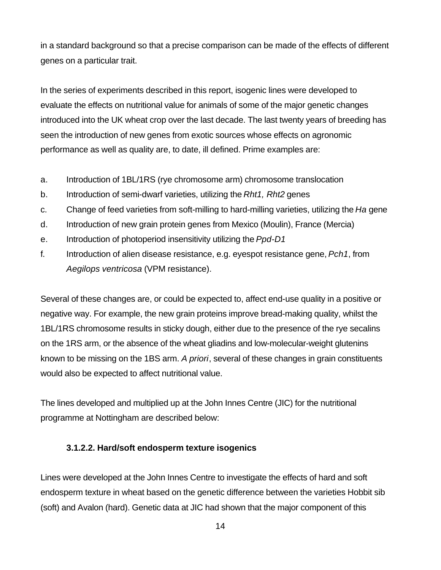in a standard background so that a precise comparison can be made of the effects of different genes on a particular trait.

In the series of experiments described in this report, isogenic lines were developed to evaluate the effects on nutritional value for animals of some of the major genetic changes introduced into the UK wheat crop over the last decade. The last twenty years of breeding has seen the introduction of new genes from exotic sources whose effects on agronomic performance as well as quality are, to date, ill defined. Prime examples are:

- a. Introduction of 1BL/1RS (rye chromosome arm) chromosome translocation
- b. Introduction of semi-dwarf varieties, utilizing the *Rht1, Rht2* genes
- c. Change of feed varieties from soft-milling to hard-milling varieties, utilizing the *Ha* gene
- d. Introduction of new grain protein genes from Mexico (Moulin), France (Mercia)
- e. Introduction of photoperiod insensitivity utilizing the *Ppd-D1*
- f. Introduction of alien disease resistance, e.g. eyespot resistance gene, *Pch1*, from *Aegilops ventricosa* (VPM resistance).

Several of these changes are, or could be expected to, affect end-use quality in a positive or negative way. For example, the new grain proteins improve bread-making quality, whilst the 1BL/1RS chromosome results in sticky dough, either due to the presence of the rye secalins on the 1RS arm, or the absence of the wheat gliadins and low-molecular-weight glutenins known to be missing on the 1BS arm. *A priori*, several of these changes in grain constituents would also be expected to affect nutritional value.

The lines developed and multiplied up at the John Innes Centre (JIC) for the nutritional programme at Nottingham are described below:

#### **3.1.2.2. Hard/soft endosperm texture isogenics**

Lines were developed at the John Innes Centre to investigate the effects of hard and soft endosperm texture in wheat based on the genetic difference between the varieties Hobbit sib (soft) and Avalon (hard). Genetic data at JIC had shown that the major component of this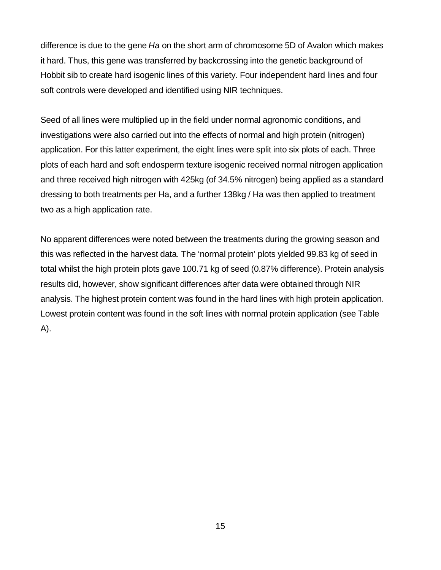difference is due to the gene *Ha* on the short arm of chromosome 5D of Avalon which makes it hard. Thus, this gene was transferred by backcrossing into the genetic background of Hobbit sib to create hard isogenic lines of this variety. Four independent hard lines and four soft controls were developed and identified using NIR techniques.

Seed of all lines were multiplied up in the field under normal agronomic conditions, and investigations were also carried out into the effects of normal and high protein (nitrogen) application. For this latter experiment, the eight lines were split into six plots of each. Three plots of each hard and soft endosperm texture isogenic received normal nitrogen application and three received high nitrogen with 425kg (of 34.5% nitrogen) being applied as a standard dressing to both treatments per Ha, and a further 138kg / Ha was then applied to treatment two as a high application rate.

No apparent differences were noted between the treatments during the growing season and this was reflected in the harvest data. The 'normal protein' plots yielded 99.83 kg of seed in total whilst the high protein plots gave 100.71 kg of seed (0.87% difference). Protein analysis results did, however, show significant differences after data were obtained through NIR analysis. The highest protein content was found in the hard lines with high protein application. Lowest protein content was found in the soft lines with normal protein application (see Table A).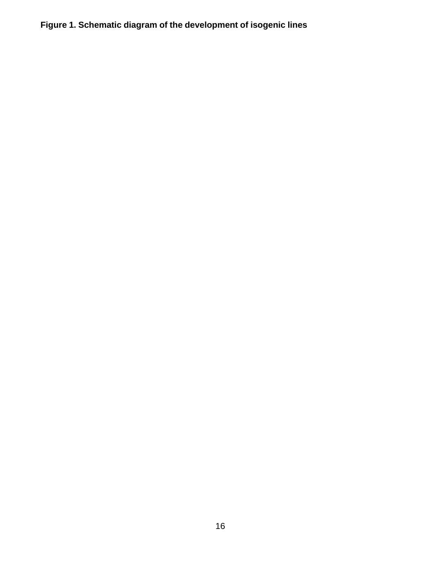**Figure 1. Schematic diagram of the development of isogenic lines**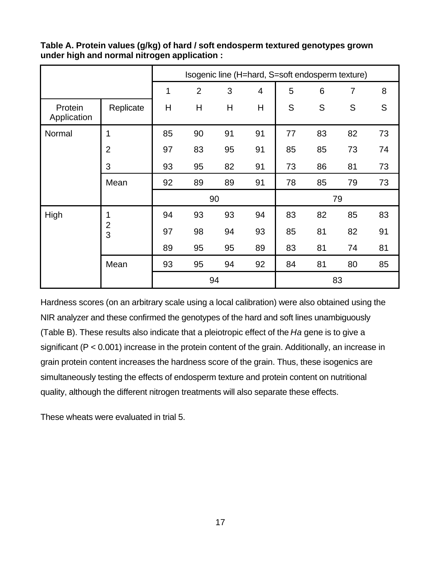|                        |                | Isogenic line (H=hard, S=soft endosperm texture) |                |    |                |               |    |                |    |
|------------------------|----------------|--------------------------------------------------|----------------|----|----------------|---------------|----|----------------|----|
|                        |                | 1                                                | $\overline{2}$ | 3  | $\overline{4}$ | 5             | 6  | $\overline{7}$ | 8  |
| Protein<br>Application | Replicate      | H                                                | H              | H  | H              | ${\mathsf S}$ | S  | S              | S  |
| Normal                 | 1              | 85                                               | 90             | 91 | 91             | 77            | 83 | 82             | 73 |
|                        | $\overline{2}$ | 97                                               | 83             | 95 | 91             | 85            | 85 | 73             | 74 |
|                        | 3              | 93                                               | 95             | 82 | 91             | 73            | 86 | 81             | 73 |
|                        | Mean           | 92                                               | 89             | 89 | 91             | 78            | 85 | 79             | 73 |
|                        |                |                                                  |                | 90 |                |               |    | 79             |    |
| High                   | 1              | 94                                               | 93             | 93 | 94             | 83            | 82 | 85             | 83 |
|                        | $\frac{2}{3}$  | 97                                               | 98             | 94 | 93             | 85            | 81 | 82             | 91 |
|                        |                | 89                                               | 95             | 95 | 89             | 83            | 81 | 74             | 81 |
|                        | Mean           | 93                                               | 95             | 94 | 92             | 84            | 81 | 80             | 85 |
|                        | 94             |                                                  |                |    |                | 83            |    |                |    |

**Table A. Protein values (g/kg) of hard / soft endosperm textured genotypes grown under high and normal nitrogen application :**

Hardness scores (on an arbitrary scale using a local calibration) were also obtained using the NIR analyzer and these confirmed the genotypes of the hard and soft lines unambiguously (Table B). These results also indicate that a pleiotropic effect of the *Ha* gene is to give a significant (P < 0.001) increase in the protein content of the grain. Additionally, an increase in grain protein content increases the hardness score of the grain. Thus, these isogenics are simultaneously testing the effects of endosperm texture and protein content on nutritional quality, although the different nitrogen treatments will also separate these effects.

These wheats were evaluated in trial 5.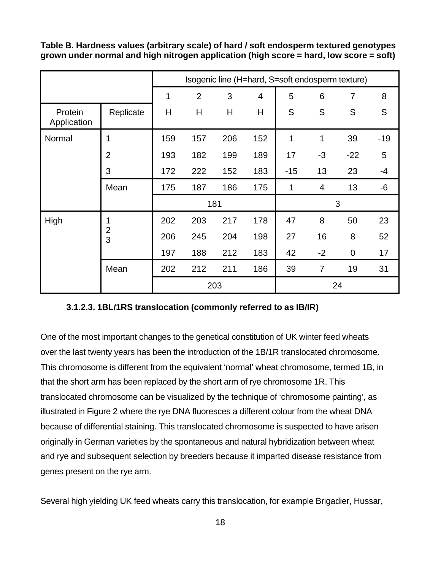**Table B. Hardness values (arbitrary scale) of hard / soft endosperm textured genotypes grown under normal and high nitrogen application (high score = hard, low score = soft)**

|                        |                | Isogenic line (H=hard, S=soft endosperm texture) |                |     |                |       |                |       |       |
|------------------------|----------------|--------------------------------------------------|----------------|-----|----------------|-------|----------------|-------|-------|
|                        |                | 1                                                | $\overline{2}$ | 3   | $\overline{4}$ | 5     | 6              | 7     | 8     |
| Protein<br>Application | Replicate      | Η                                                | H              | H   | Н              | S     | S              | S     | S     |
| Normal                 | 1              | 159                                              | 157            | 206 | 152            | 1     | 1              | 39    | $-19$ |
|                        | $\overline{2}$ | 193                                              | 182            | 199 | 189            | 17    | $-3$           | $-22$ | 5     |
|                        | 3              | 172                                              | 222            | 152 | 183            | $-15$ | 13             | 23    | $-4$  |
|                        | Mean           | 175                                              | 187            | 186 | 175            | 1     | $\overline{4}$ | 13    | $-6$  |
|                        |                |                                                  |                | 181 |                |       |                | 3     |       |
| High                   | 1              | 202                                              | 203            | 217 | 178            | 47    | 8              | 50    | 23    |
|                        | $\frac{2}{3}$  | 206                                              | 245            | 204 | 198            | 27    | 16             | 8     | 52    |
|                        |                | 197                                              | 188            | 212 | 183            | 42    | $-2$           | 0     | 17    |
|                        | Mean           | 202                                              | 212            | 211 | 186            | 39    | 7              | 19    | 31    |
|                        |                |                                                  | 203            |     |                |       |                | 24    |       |

#### **3.1.2.3. 1BL/1RS translocation (commonly referred to as IB/IR)**

One of the most important changes to the genetical constitution of UK winter feed wheats over the last twenty years has been the introduction of the 1B/1R translocated chromosome. This chromosome is different from the equivalent 'normal' wheat chromosome, termed 1B, in that the short arm has been replaced by the short arm of rye chromosome 1R. This translocated chromosome can be visualized by the technique of 'chromosome painting', as illustrated in Figure 2 where the rye DNA fluoresces a different colour from the wheat DNA because of differential staining. This translocated chromosome is suspected to have arisen originally in German varieties by the spontaneous and natural hybridization between wheat and rye and subsequent selection by breeders because it imparted disease resistance from genes present on the rye arm.

Several high yielding UK feed wheats carry this translocation, for example Brigadier, Hussar,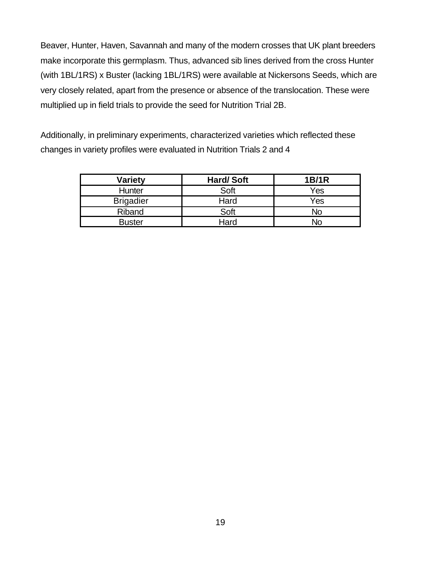Beaver, Hunter, Haven, Savannah and many of the modern crosses that UK plant breeders make incorporate this germplasm. Thus, advanced sib lines derived from the cross Hunter (with 1BL/1RS) x Buster (lacking 1BL/1RS) were available at Nickersons Seeds, which are very closely related, apart from the presence or absence of the translocation. These were multiplied up in field trials to provide the seed for Nutrition Trial 2B.

Additionally, in preliminary experiments, characterized varieties which reflected these changes in variety profiles were evaluated in Nutrition Trials 2 and 4

| <b>Variety</b>   | <b>Hard/Soft</b> | <b>1B/1R</b> |
|------------------|------------------|--------------|
| Hunter           | Soft             | Yes          |
| <b>Brigadier</b> | Hard             | Yes          |
| Riband           | Soft             | No           |
| <b>Buster</b>    | Hard             | No           |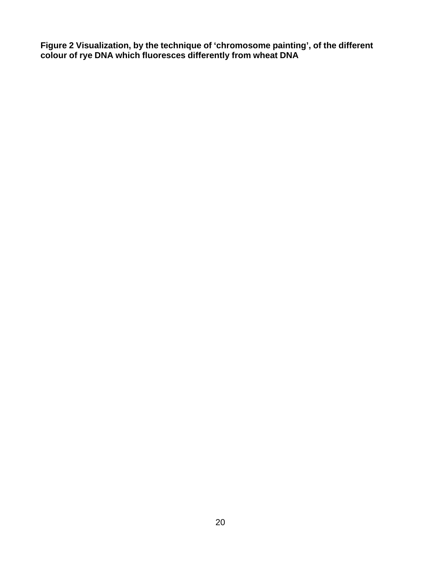**Figure 2 Visualization, by the technique of 'chromosome painting', of the different colour of rye DNA which fluoresces differently from wheat DNA**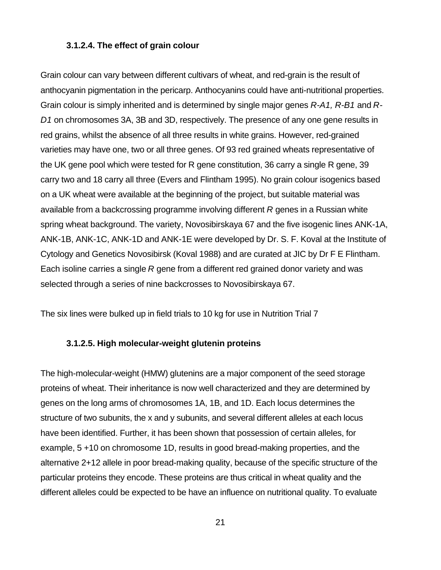#### **3.1.2.4. The effect of grain colour**

Grain colour can vary between different cultivars of wheat, and red-grain is the result of anthocyanin pigmentation in the pericarp. Anthocyanins could have anti-nutritional properties. Grain colour is simply inherited and is determined by single major genes *R-A1, R-B1* and *R-D1* on chromosomes 3A, 3B and 3D, respectively. The presence of any one gene results in red grains, whilst the absence of all three results in white grains. However, red-grained varieties may have one, two or all three genes. Of 93 red grained wheats representative of the UK gene pool which were tested for R gene constitution, 36 carry a single R gene, 39 carry two and 18 carry all three (Evers and Flintham 1995). No grain colour isogenics based on a UK wheat were available at the beginning of the project, but suitable material was available from a backcrossing programme involving different *R* genes in a Russian white spring wheat background. The variety, Novosibirskaya 67 and the five isogenic lines ANK-1A, ANK-1B, ANK-1C, ANK-1D and ANK-1E were developed by Dr. S. F. Koval at the Institute of Cytology and Genetics Novosibirsk (Koval 1988) and are curated at JIC by Dr F E Flintham. Each isoline carries a single *R* gene from a different red grained donor variety and was selected through a series of nine backcrosses to Novosibirskaya 67.

The six lines were bulked up in field trials to 10 kg for use in Nutrition Trial 7

#### **3.1.2.5. High molecular-weight glutenin proteins**

The high-molecular-weight (HMW) glutenins are a major component of the seed storage proteins of wheat. Their inheritance is now well characterized and they are determined by genes on the long arms of chromosomes 1A, 1B, and 1D. Each locus determines the structure of two subunits, the x and y subunits, and several different alleles at each locus have been identified. Further, it has been shown that possession of certain alleles, for example, 5 +10 on chromosome 1D, results in good bread-making properties, and the alternative 2+12 allele in poor bread-making quality, because of the specific structure of the particular proteins they encode. These proteins are thus critical in wheat quality and the different alleles could be expected to be have an influence on nutritional quality. To evaluate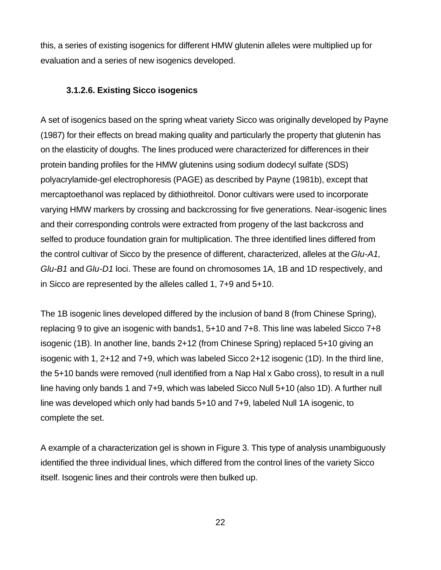this, a series of existing isogenics for different HMW glutenin alleles were multiplied up for evaluation and a series of new isogenics developed.

#### **3.1.2.6. Existing Sicco isogenics**

A set of isogenics based on the spring wheat variety Sicco was originally developed by Payne (1987) for their effects on bread making quality and particularly the property that glutenin has on the elasticity of doughs. The lines produced were characterized for differences in their protein banding profiles for the HMW glutenins using sodium dodecyl sulfate (SDS) polyacrylamide-gel electrophoresis (PAGE) as described by Payne (1981b), except that mercaptoethanol was replaced by dithiothreitol. Donor cultivars were used to incorporate varying HMW markers by crossing and backcrossing for five generations. Near-isogenic lines and their corresponding controls were extracted from progeny of the last backcross and selfed to produce foundation grain for multiplication. The three identified lines differed from the control cultivar of Sicco by the presence of different, characterized, alleles at the *Glu-A1, Glu-B1* and *Glu-D1* loci. These are found on chromosomes 1A, 1B and 1D respectively, and in Sicco are represented by the alleles called 1, 7+9 and 5+10.

The 1B isogenic lines developed differed by the inclusion of band 8 (from Chinese Spring), replacing 9 to give an isogenic with bands1, 5+10 and 7+8. This line was labeled Sicco 7+8 isogenic (1B). In another line, bands 2+12 (from Chinese Spring) replaced 5+10 giving an isogenic with 1, 2+12 and 7+9, which was labeled Sicco 2+12 isogenic (1D). In the third line, the 5+10 bands were removed (null identified from a Nap Hal x Gabo cross), to result in a null line having only bands 1 and 7+9, which was labeled Sicco Null 5+10 (also 1D). A further null line was developed which only had bands 5+10 and 7+9, labeled Null 1A isogenic, to complete the set.

A example of a characterization gel is shown in Figure 3. This type of analysis unambiguously identified the three individual lines, which differed from the control lines of the variety Sicco itself. Isogenic lines and their controls were then bulked up.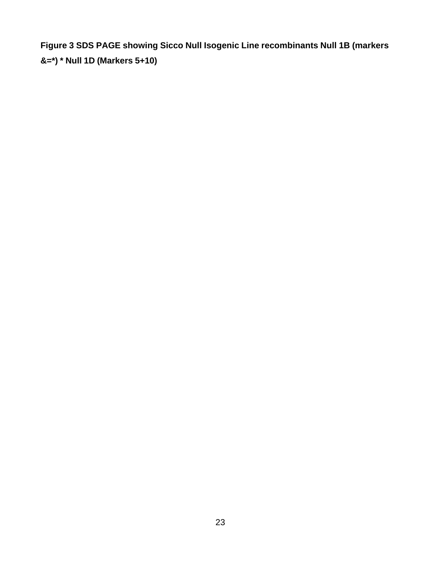**Figure 3 SDS PAGE showing Sicco Null Isogenic Line recombinants Null 1B (markers &=\*) \* Null 1D (Markers 5+10)**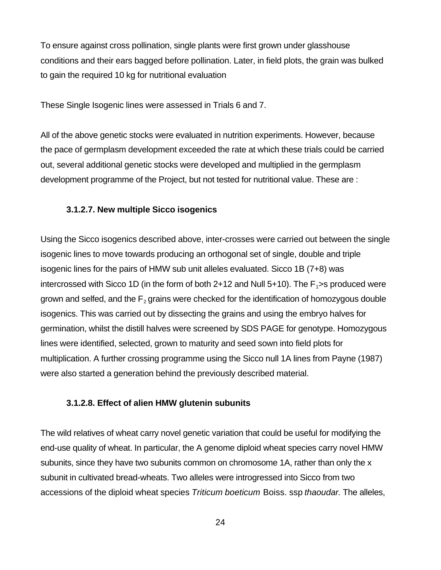To ensure against cross pollination, single plants were first grown under glasshouse conditions and their ears bagged before pollination. Later, in field plots, the grain was bulked to gain the required 10 kg for nutritional evaluation

These Single Isogenic lines were assessed in Trials 6 and 7.

All of the above genetic stocks were evaluated in nutrition experiments. However, because the pace of germplasm development exceeded the rate at which these trials could be carried out, several additional genetic stocks were developed and multiplied in the germplasm development programme of the Project, but not tested for nutritional value. These are :

#### **3.1.2.7. New multiple Sicco isogenics**

Using the Sicco isogenics described above, inter-crosses were carried out between the single isogenic lines to move towards producing an orthogonal set of single, double and triple isogenic lines for the pairs of HMW sub unit alleles evaluated. Sicco 1B (7+8) was intercrossed with Sicco 1D (in the form of both 2+12 and Null 5+10). The  $F_1$ >s produced were grown and selfed, and the  $F_2$  grains were checked for the identification of homozygous double isogenics. This was carried out by dissecting the grains and using the embryo halves for germination, whilst the distill halves were screened by SDS PAGE for genotype. Homozygous lines were identified, selected, grown to maturity and seed sown into field plots for multiplication. A further crossing programme using the Sicco null 1A lines from Payne (1987) were also started a generation behind the previously described material.

#### **3.1.2.8. Effect of alien HMW glutenin subunits**

The wild relatives of wheat carry novel genetic variation that could be useful for modifying the end-use quality of wheat. In particular, the A genome diploid wheat species carry novel HMW subunits, since they have two subunits common on chromosome 1A, rather than only the x subunit in cultivated bread-wheats. Two alleles were introgressed into Sicco from two accessions of the diploid wheat species *Triticum boeticum* Boiss. ssp *thaoudar.* The alleles,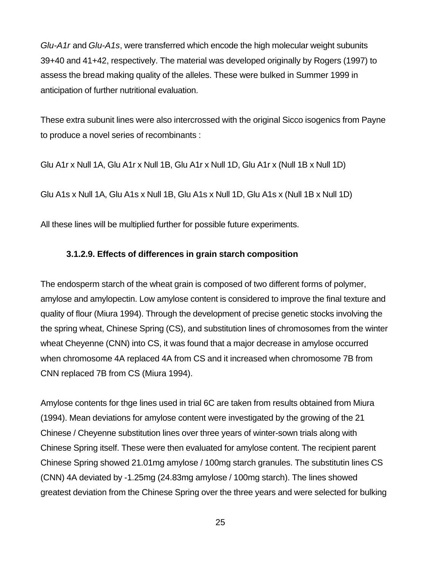*Glu-A1r* and *Glu-A1s*, were transferred which encode the high molecular weight subunits 39+40 and 41+42, respectively. The material was developed originally by Rogers (1997) to assess the bread making quality of the alleles. These were bulked in Summer 1999 in anticipation of further nutritional evaluation.

These extra subunit lines were also intercrossed with the original Sicco isogenics from Payne to produce a novel series of recombinants :

Glu A1r x Null 1A, Glu A1r x Null 1B, Glu A1r x Null 1D, Glu A1r x (Null 1B x Null 1D)

Glu A1s x Null 1A, Glu A1s x Null 1B, Glu A1s x Null 1D, Glu A1s x (Null 1B x Null 1D)

All these lines will be multiplied further for possible future experiments.

#### **3.1.2.9. Effects of differences in grain starch composition**

The endosperm starch of the wheat grain is composed of two different forms of polymer, amylose and amylopectin. Low amylose content is considered to improve the final texture and quality of flour (Miura 1994). Through the development of precise genetic stocks involving the the spring wheat, Chinese Spring (CS), and substitution lines of chromosomes from the winter wheat Cheyenne (CNN) into CS, it was found that a major decrease in amylose occurred when chromosome 4A replaced 4A from CS and it increased when chromosome 7B from CNN replaced 7B from CS (Miura 1994).

Amylose contents for thge lines used in trial 6C are taken from results obtained from Miura (1994). Mean deviations for amylose content were investigated by the growing of the 21 Chinese / Cheyenne substitution lines over three years of winter-sown trials along with Chinese Spring itself. These were then evaluated for amylose content. The recipient parent Chinese Spring showed 21.01mg amylose / 100mg starch granules. The substitutin lines CS (CNN) 4A deviated by -1.25mg (24.83mg amylose / 100mg starch). The lines showed greatest deviation from the Chinese Spring over the three years and were selected for bulking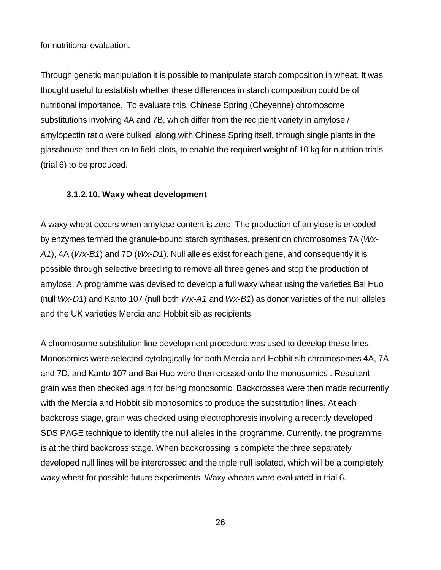for nutritional evaluation.

Through genetic manipulation it is possible to manipulate starch composition in wheat. It was thought useful to establish whether these differences in starch composition could be of nutritional importance. To evaluate this, Chinese Spring (Cheyenne) chromosome substitutions involving 4A and 7B, which differ from the recipient variety in amylose / amylopectin ratio were bulked, along with Chinese Spring itself, through single plants in the glasshouse and then on to field plots, to enable the required weight of 10 kg for nutrition trials (trial 6) to be produced.

#### **3.1.2.10. Waxy wheat development**

A waxy wheat occurs when amylose content is zero. The production of amylose is encoded by enzymes termed the granule-bound starch synthases, present on chromosomes 7A (*Wx-A1*), 4A (*Wx-B1*) and 7D (*Wx-D1*). Null alleles exist for each gene, and consequently it is possible through selective breeding to remove all three genes and stop the production of amylose. A programme was devised to develop a full waxy wheat using the varieties Bai Huo (null *Wx-D1*) and Kanto 107 (null both *Wx-A1* and *Wx-B1*) as donor varieties of the null alleles and the UK varieties Mercia and Hobbit sib as recipients.

A chromosome substitution line development procedure was used to develop these lines. Monosomics were selected cytologically for both Mercia and Hobbit sib chromosomes 4A, 7A and 7D, and Kanto 107 and Bai Huo were then crossed onto the monosomics . Resultant grain was then checked again for being monosomic. Backcrosses were then made recurrently with the Mercia and Hobbit sib monosomics to produce the substitution lines. At each backcross stage, grain was checked using electrophoresis involving a recently developed SDS PAGE technique to identify the null alleles in the programme. Currently, the programme is at the third backcross stage. When backcrossing is complete the three separately developed null lines will be intercrossed and the triple null isolated, which will be a completely waxy wheat for possible future experiments. Waxy wheats were evaluated in trial 6.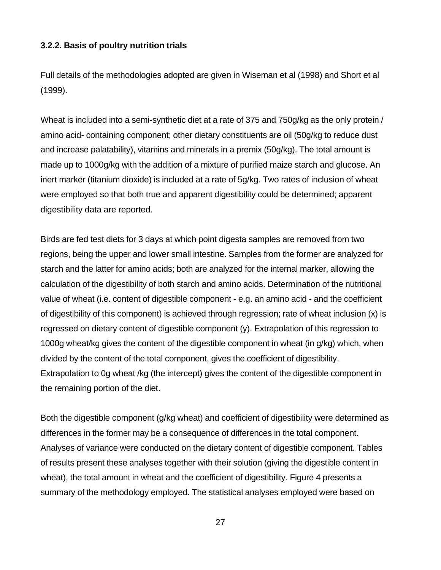#### **3.2.2. Basis of poultry nutrition trials**

Full details of the methodologies adopted are given in Wiseman et al (1998) and Short et al (1999).

Wheat is included into a semi-synthetic diet at a rate of 375 and 750g/kg as the only protein / amino acid- containing component; other dietary constituents are oil (50g/kg to reduce dust and increase palatability), vitamins and minerals in a premix (50g/kg). The total amount is made up to 1000g/kg with the addition of a mixture of purified maize starch and glucose. An inert marker (titanium dioxide) is included at a rate of 5g/kg. Two rates of inclusion of wheat were employed so that both true and apparent digestibility could be determined; apparent digestibility data are reported.

Birds are fed test diets for 3 days at which point digesta samples are removed from two regions, being the upper and lower small intestine. Samples from the former are analyzed for starch and the latter for amino acids; both are analyzed for the internal marker, allowing the calculation of the digestibility of both starch and amino acids. Determination of the nutritional value of wheat (i.e. content of digestible component - e.g. an amino acid - and the coefficient of digestibility of this component) is achieved through regression; rate of wheat inclusion (x) is regressed on dietary content of digestible component (y). Extrapolation of this regression to 1000g wheat/kg gives the content of the digestible component in wheat (in g/kg) which, when divided by the content of the total component, gives the coefficient of digestibility. Extrapolation to 0g wheat /kg (the intercept) gives the content of the digestible component in the remaining portion of the diet.

Both the digestible component (g/kg wheat) and coefficient of digestibility were determined as differences in the former may be a consequence of differences in the total component. Analyses of variance were conducted on the dietary content of digestible component. Tables of results present these analyses together with their solution (giving the digestible content in wheat), the total amount in wheat and the coefficient of digestibility. Figure 4 presents a summary of the methodology employed. The statistical analyses employed were based on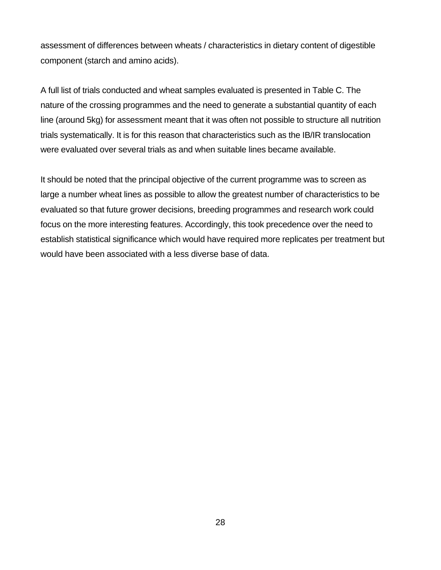assessment of differences between wheats / characteristics in dietary content of digestible component (starch and amino acids).

A full list of trials conducted and wheat samples evaluated is presented in Table C. The nature of the crossing programmes and the need to generate a substantial quantity of each line (around 5kg) for assessment meant that it was often not possible to structure all nutrition trials systematically. It is for this reason that characteristics such as the IB/IR translocation were evaluated over several trials as and when suitable lines became available.

It should be noted that the principal objective of the current programme was to screen as large a number wheat lines as possible to allow the greatest number of characteristics to be evaluated so that future grower decisions, breeding programmes and research work could focus on the more interesting features. Accordingly, this took precedence over the need to establish statistical significance which would have required more replicates per treatment but would have been associated with a less diverse base of data.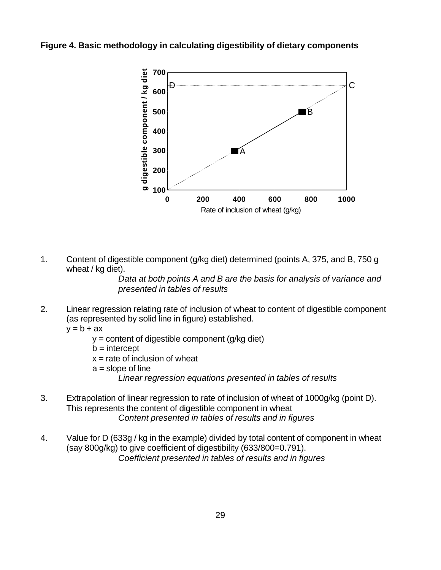**Figure 4. Basic methodology in calculating digestibility of dietary components**



1. Content of digestible component (g/kg diet) determined (points A, 375, and B, 750 g wheat / kg diet).

> *Data at both points A and B are the basis for analysis of variance and presented in tables of results*

- 2. Linear regression relating rate of inclusion of wheat to content of digestible component (as represented by solid line in figure) established.  $y = b + ax$ 
	- - y = content of digestible component (g/kg diet)
		- $b =$ intercept
		- $x =$  rate of inclusion of wheat
		- $a = slope of line$ 
			- *Linear regression equations presented in tables of results*
- 3. Extrapolation of linear regression to rate of inclusion of wheat of 1000g/kg (point D). This represents the content of digestible component in wheat *Content presented in tables of results and in figures*
- 4. Value for D (633g / kg in the example) divided by total content of component in wheat (say 800g/kg) to give coefficient of digestibility (633/800=0.791). *Coefficient presented in tables of results and in figures*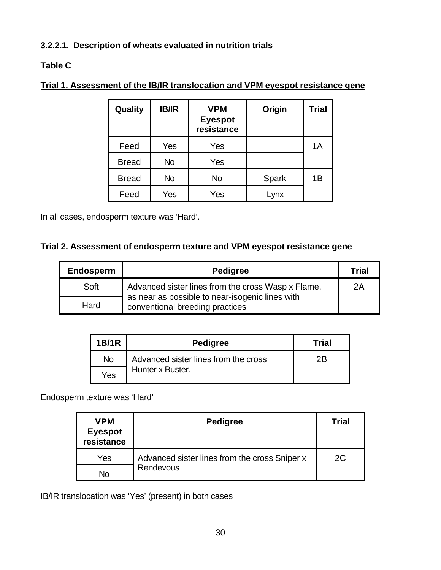# **3.2.2.1. Description of wheats evaluated in nutrition trials**

### **Table C**

| Quality      | <b>IB/IR</b> | <b>VPM</b><br><b>Eyespot</b><br>resistance | Origin | <b>Trial</b> |
|--------------|--------------|--------------------------------------------|--------|--------------|
| Feed         | Yes          | Yes                                        |        | 1A           |
| <b>Bread</b> | <b>No</b>    | Yes                                        |        |              |
| <b>Bread</b> | No           | <b>No</b>                                  | Spark  | 1B           |
| Feed         | Yes          | Yes                                        | Lynx   |              |

## **Trial 1. Assessment of the IB/IR translocation and VPM eyespot resistance gene**

In all cases, endosperm texture was 'Hard'.

### **Trial 2. Assessment of endosperm texture and VPM eyespot resistance gene**

| <b>Endosperm</b> | <b>Pedigree</b>                                                                    | Trial |
|------------------|------------------------------------------------------------------------------------|-------|
| Soft             | Advanced sister lines from the cross Wasp x Flame,                                 | 2A    |
| Hard             | as near as possible to near-isogenic lines with<br>conventional breeding practices |       |

| <b>1B/1R</b> | <b>Pedigree</b>                      | Trial |
|--------------|--------------------------------------|-------|
| <b>No</b>    | Advanced sister lines from the cross | 2Β    |
| Yes          | Hunter x Buster.                     |       |

Endosperm texture was 'Hard'

| <b>VPM</b><br><b>Eyespot</b><br>resistance | <b>Pedigree</b>                               | Trial |
|--------------------------------------------|-----------------------------------------------|-------|
| Yes                                        | Advanced sister lines from the cross Sniper x | 2C.   |
| No                                         | Rendevous                                     |       |

IB/IR translocation was 'Yes' (present) in both cases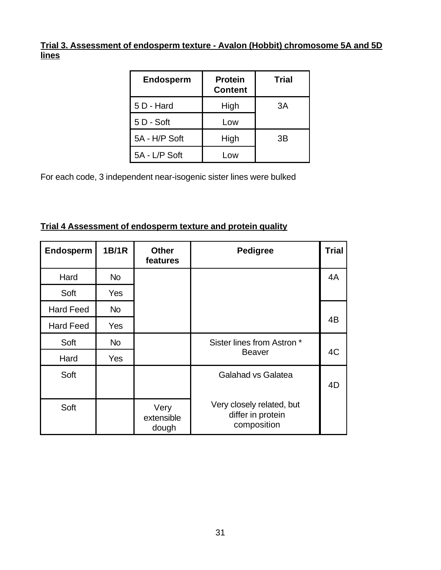**Trial 3. Assessment of endosperm texture - Avalon (Hobbit) chromosome 5A and 5D lines**

| <b>Endosperm</b> | <b>Protein</b><br><b>Content</b> | <b>Trial</b> |
|------------------|----------------------------------|--------------|
| 5 D - Hard       | High                             | 3A           |
| $5D - Soft$      | Low                              |              |
| 5A - H/P Soft    | High                             | ЗB           |
| 5A - L/P Soft    | Low                              |              |

For each code, 3 independent near-isogenic sister lines were bulked

| Trial 4 Assessment of endosperm texture and protein quality |  |  |
|-------------------------------------------------------------|--|--|
|                                                             |  |  |

| Endosperm        | <b>1B/1R</b> | <b>Other</b><br>features    | <b>Pedigree</b>                                               | <b>Trial</b> |
|------------------|--------------|-----------------------------|---------------------------------------------------------------|--------------|
| Hard             | <b>No</b>    |                             |                                                               | 4A           |
| Soft             | Yes          |                             |                                                               |              |
| <b>Hard Feed</b> | <b>No</b>    |                             |                                                               |              |
| <b>Hard Feed</b> | Yes          |                             |                                                               | 4B           |
| Soft             | <b>No</b>    |                             | Sister lines from Astron *                                    |              |
| Hard             | <b>Yes</b>   |                             | <b>Beaver</b>                                                 | 4C           |
| Soft             |              |                             | Galahad vs Galatea                                            | 4D           |
| Soft             |              | Very<br>extensible<br>dough | Very closely related, but<br>differ in protein<br>composition |              |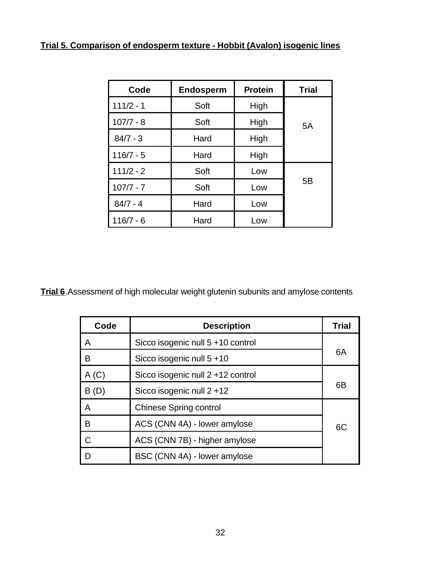# **Trial 5. Comparison of endosperm texture - Hobbit (Avalon) isogenic lines**

| Code        | <b>Endosperm</b> | <b>Protein</b> | <b>Trial</b> |
|-------------|------------------|----------------|--------------|
| $111/2 - 1$ | Soft             | High           |              |
| $107/7 - 8$ | Soft             | High           | 5A           |
| $84/7 - 3$  | Hard             | High           |              |
| $116/7 - 5$ | Hard             | High           |              |
| $111/2 - 2$ | Soft             | Low            |              |
| $107/7 - 7$ | Soft             | Low            | 5B           |
| $84/7 - 4$  | Hard             | Low            |              |
| $116/7 - 6$ | Hard             | Low            |              |

**Trial 6**.Assessment of high molecular weight glutenin subunits and amylose contents

| Code          | <b>Description</b>                | <b>Trial</b> |
|---------------|-----------------------------------|--------------|
| A             | Sicco isogenic null 5 +10 control |              |
| в             | Sicco isogenic null $5+10$        | 6A           |
| A(C)          | Sicco isogenic null 2 +12 control |              |
| B(D)          | Sicco isogenic null $2 + 12$      | 6B           |
| A             | <b>Chinese Spring control</b>     |              |
| в             | ACS (CNN 4A) - lower amylose      | 6C           |
| $\mathcal{C}$ | ACS (CNN 7B) - higher amylose     |              |
| D             | BSC (CNN 4A) - lower amylose      |              |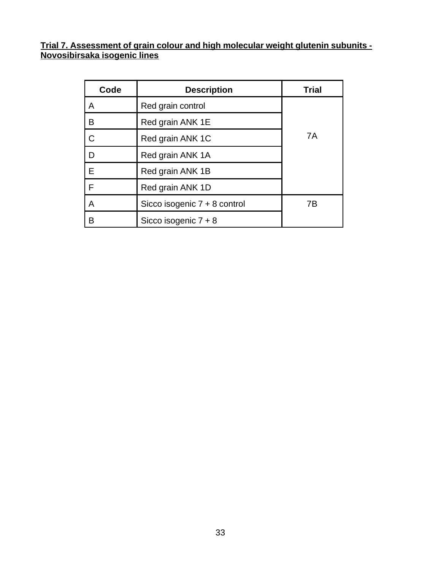**Trial 7. Assessment of grain colour and high molecular weight glutenin subunits - Novosibirsaka isogenic lines**

| Code | <b>Description</b>           | <b>Trial</b> |
|------|------------------------------|--------------|
| A    | Red grain control            |              |
| B    | Red grain ANK 1E             |              |
| C    | Red grain ANK 1C             | 7A           |
| D    | Red grain ANK 1A             |              |
| E    | Red grain ANK 1B             |              |
| F    | Red grain ANK 1D             |              |
| Α    | Sicco isogenic 7 + 8 control | 7В           |
| B    | Sicco isogenic $7 + 8$       |              |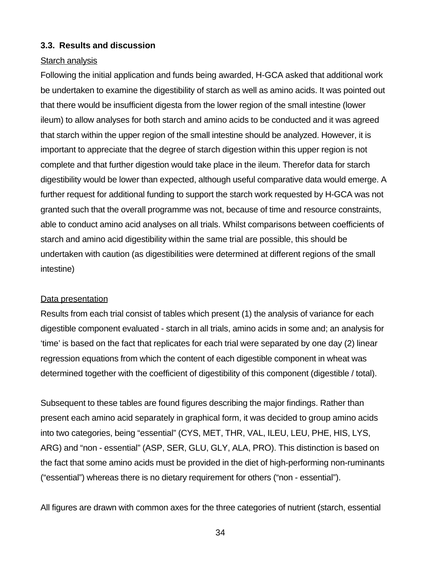#### **3.3. Results and discussion**

#### Starch analysis

Following the initial application and funds being awarded, H-GCA asked that additional work be undertaken to examine the digestibility of starch as well as amino acids. It was pointed out that there would be insufficient digesta from the lower region of the small intestine (lower ileum) to allow analyses for both starch and amino acids to be conducted and it was agreed that starch within the upper region of the small intestine should be analyzed. However, it is important to appreciate that the degree of starch digestion within this upper region is not complete and that further digestion would take place in the ileum. Therefor data for starch digestibility would be lower than expected, although useful comparative data would emerge. A further request for additional funding to support the starch work requested by H-GCA was not granted such that the overall programme was not, because of time and resource constraints, able to conduct amino acid analyses on all trials. Whilst comparisons between coefficients of starch and amino acid digestibility within the same trial are possible, this should be undertaken with caution (as digestibilities were determined at different regions of the small intestine)

#### Data presentation

Results from each trial consist of tables which present (1) the analysis of variance for each digestible component evaluated - starch in all trials, amino acids in some and; an analysis for 'time' is based on the fact that replicates for each trial were separated by one day (2) linear regression equations from which the content of each digestible component in wheat was determined together with the coefficient of digestibility of this component (digestible / total).

Subsequent to these tables are found figures describing the major findings. Rather than present each amino acid separately in graphical form, it was decided to group amino acids into two categories, being "essential" (CYS, MET, THR, VAL, ILEU, LEU, PHE, HIS, LYS, ARG) and "non - essential" (ASP, SER, GLU, GLY, ALA, PRO). This distinction is based on the fact that some amino acids must be provided in the diet of high-performing non-ruminants ("essential") whereas there is no dietary requirement for others ("non - essential").

All figures are drawn with common axes for the three categories of nutrient (starch, essential

34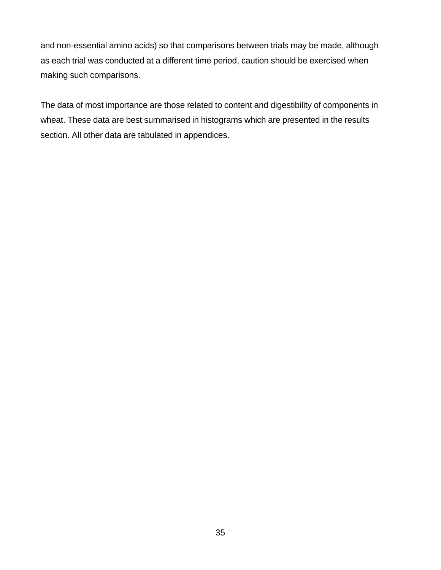and non-essential amino acids) so that comparisons between trials may be made, although as each trial was conducted at a different time period, caution should be exercised when making such comparisons.

The data of most importance are those related to content and digestibility of components in wheat. These data are best summarised in histograms which are presented in the results section. All other data are tabulated in appendices.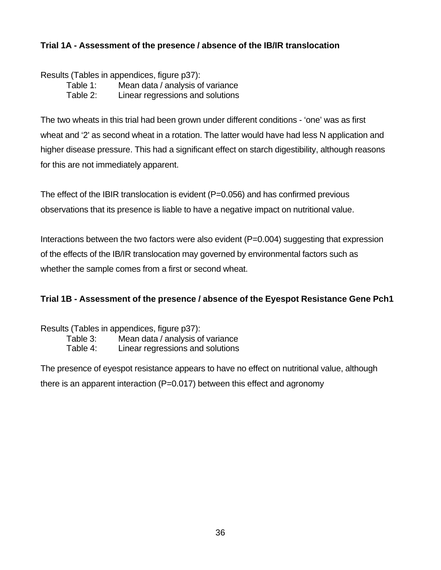### **Trial 1A - Assessment of the presence / absence of the IB/IR translocation**

Results (Tables in appendices, figure p37):

Table 1: Mean data / analysis of variance

Table 2: Linear regressions and solutions

The two wheats in this trial had been grown under different conditions - 'one' was as first wheat and '2' as second wheat in a rotation. The latter would have had less N application and higher disease pressure. This had a significant effect on starch digestibility, although reasons for this are not immediately apparent.

The effect of the IBIR translocation is evident (P=0.056) and has confirmed previous observations that its presence is liable to have a negative impact on nutritional value.

Interactions between the two factors were also evident (P=0.004) suggesting that expression of the effects of the IB/IR translocation may governed by environmental factors such as whether the sample comes from a first or second wheat.

### **Trial 1B - Assessment of the presence / absence of the Eyespot Resistance Gene Pch1**

Results (Tables in appendices, figure p37): Table 3: Mean data / analysis of variance Table 4: Linear regressions and solutions

The presence of eyespot resistance appears to have no effect on nutritional value, although there is an apparent interaction (P=0.017) between this effect and agronomy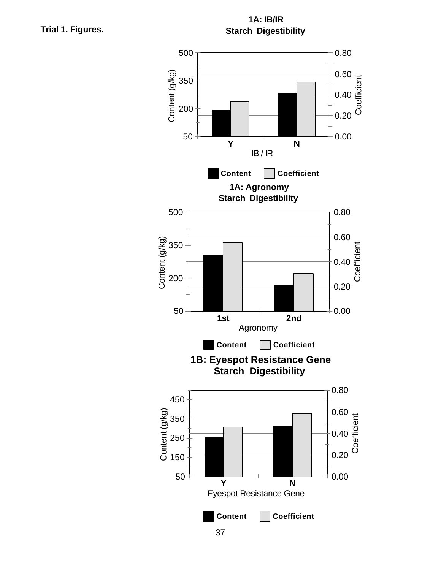**Trial 1. Figures.**

**1A: IB/IR Starch Digestibility**

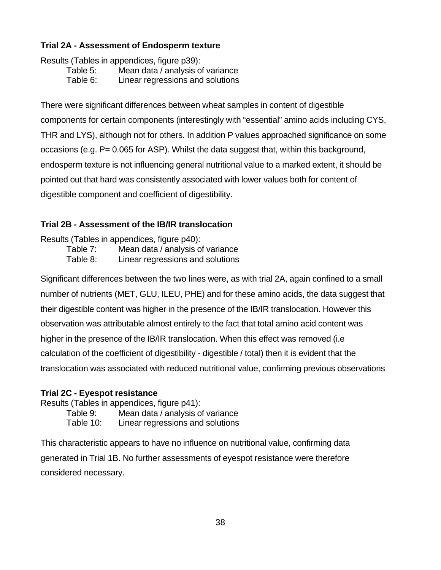### **Trial 2A - Assessment of Endosperm texture**

Results (Tables in appendices, figure p39):

Table 5: Mean data / analysis of variance

Table 6: Linear regressions and solutions

There were significant differences between wheat samples in content of digestible components for certain components (interestingly with "essential" amino acids including CYS, THR and LYS), although not for others. In addition P values approached significance on some occasions (e.g. P= 0.065 for ASP). Whilst the data suggest that, within this background, endosperm texture is not influencing general nutritional value to a marked extent, it should be pointed out that hard was consistently associated with lower values both for content of digestible component and coefficient of digestibility.

### **Trial 2B - Assessment of the IB/IR translocation**

Results (Tables in appendices, figure p40): Table 7: Mean data / analysis of variance Table 8: Linear regressions and solutions

Significant differences between the two lines were, as with trial 2A, again confined to a small number of nutrients (MET, GLU, ILEU, PHE) and for these amino acids, the data suggest that their digestible content was higher in the presence of the IB/IR translocation. However this observation was attributable almost entirely to the fact that total amino acid content was higher in the presence of the IB/IR translocation. When this effect was removed (i.e calculation of the coefficient of digestibility - digestible / total) then it is evident that the translocation was associated with reduced nutritional value, confirming previous observations

### **Trial 2C - Eyespot resistance**

Results (Tables in appendices, figure p41):

Table 9: Mean data / analysis of variance

Table 10: Linear regressions and solutions

This characteristic appears to have no influence on nutritional value, confirming data generated in Trial 1B. No further assessments of eyespot resistance were therefore considered necessary.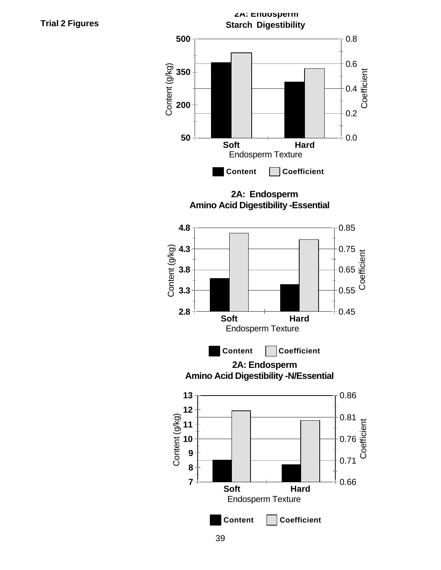

**Trial 2 Figures**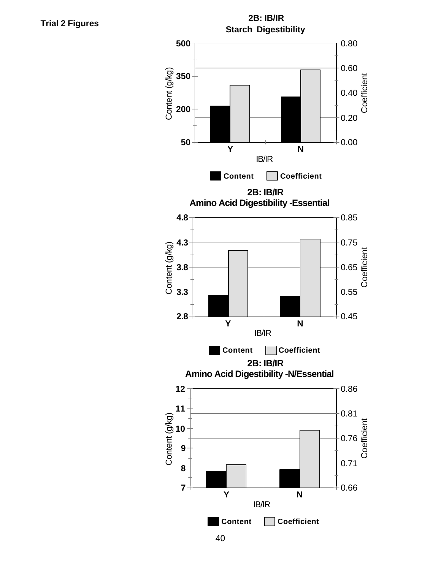

**Trial 2 Figures**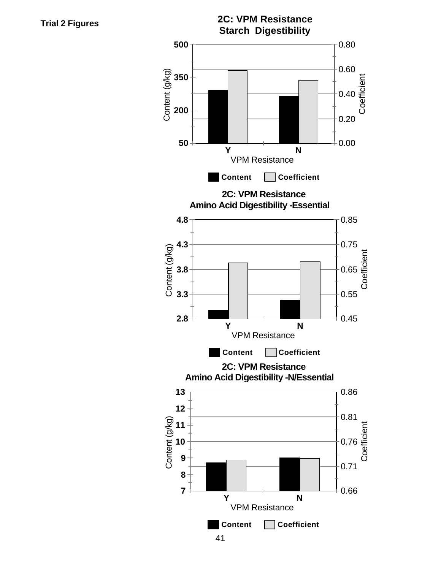**Trial 2 Figures**



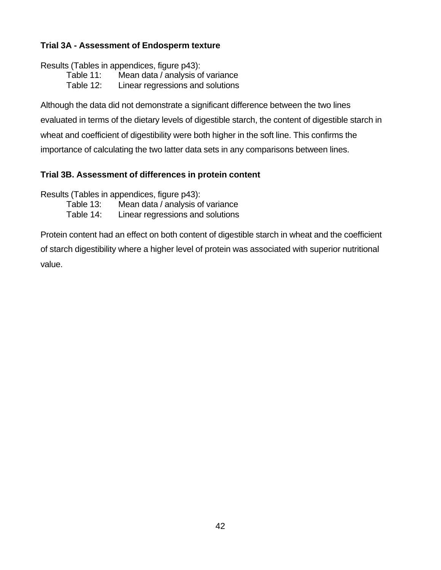### **Trial 3A - Assessment of Endosperm texture**

Results (Tables in appendices, figure p43):

- Table 11: Mean data / analysis of variance
- Table 12: Linear regressions and solutions

Although the data did not demonstrate a significant difference between the two lines evaluated in terms of the dietary levels of digestible starch, the content of digestible starch in wheat and coefficient of digestibility were both higher in the soft line. This confirms the importance of calculating the two latter data sets in any comparisons between lines.

### **Trial 3B. Assessment of differences in protein content**

Results (Tables in appendices, figure p43):

Table 13: Mean data / analysis of variance

Table 14: Linear regressions and solutions

Protein content had an effect on both content of digestible starch in wheat and the coefficient of starch digestibility where a higher level of protein was associated with superior nutritional value.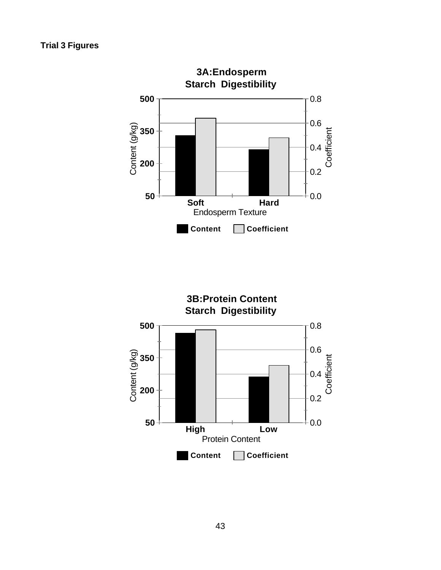

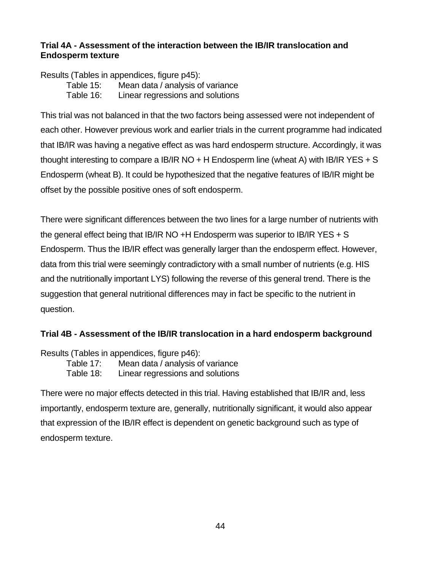#### **Trial 4A - Assessment of the interaction between the IB/IR translocation and Endosperm texture**

Results (Tables in appendices, figure p45):

Table 15: Mean data / analysis of variance

Table 16: Linear regressions and solutions

This trial was not balanced in that the two factors being assessed were not independent of each other. However previous work and earlier trials in the current programme had indicated that IB/IR was having a negative effect as was hard endosperm structure. Accordingly, it was thought interesting to compare a IB/IR NO  $+$  H Endosperm line (wheat A) with IB/IR YES  $+$  S Endosperm (wheat B). It could be hypothesized that the negative features of IB/IR might be offset by the possible positive ones of soft endosperm.

There were significant differences between the two lines for a large number of nutrients with the general effect being that IB/IR NO +H Endosperm was superior to IB/IR YES + S Endosperm. Thus the IB/IR effect was generally larger than the endosperm effect. However, data from this trial were seemingly contradictory with a small number of nutrients (e.g. HIS and the nutritionally important LYS) following the reverse of this general trend. There is the suggestion that general nutritional differences may in fact be specific to the nutrient in question.

### **Trial 4B - Assessment of the IB/IR translocation in a hard endosperm background**

Results (Tables in appendices, figure p46):

Table 17: Mean data / analysis of variance

Table 18: Linear regressions and solutions

There were no major effects detected in this trial. Having established that IB/IR and, less importantly, endosperm texture are, generally, nutritionally significant, it would also appear that expression of the IB/IR effect is dependent on genetic background such as type of endosperm texture.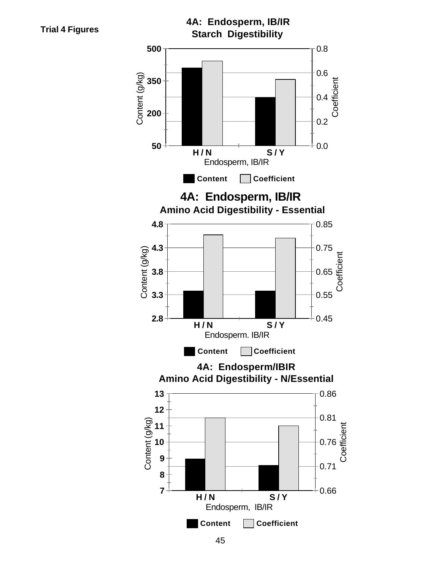



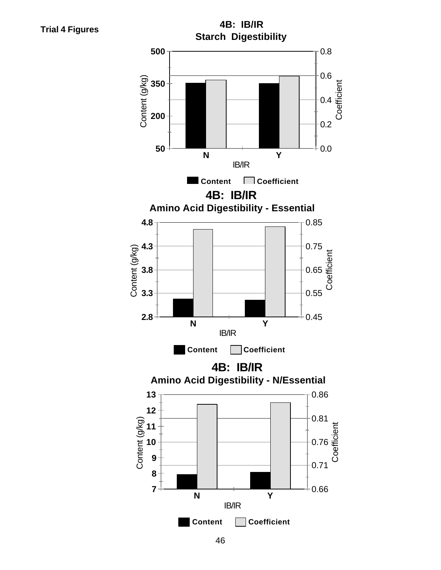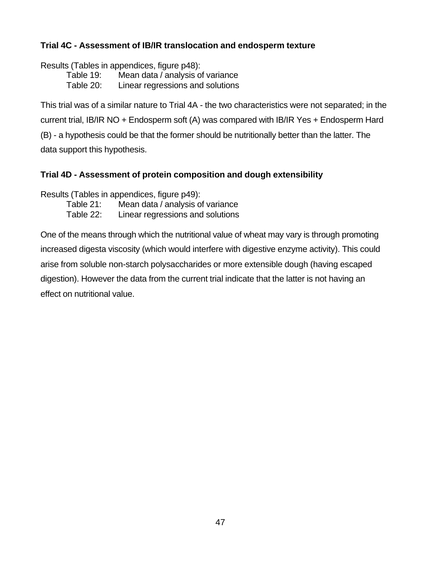### **Trial 4C - Assessment of IB/IR translocation and endosperm texture**

Results (Tables in appendices, figure p48):

Table 19: Mean data / analysis of variance

Table 20: Linear regressions and solutions

This trial was of a similar nature to Trial 4A - the two characteristics were not separated; in the current trial, IB/IR NO + Endosperm soft (A) was compared with IB/IR Yes + Endosperm Hard (B) - a hypothesis could be that the former should be nutritionally better than the latter. The data support this hypothesis.

### **Trial 4D - Assessment of protein composition and dough extensibility**

Results (Tables in appendices, figure p49):

Table 21: Mean data / analysis of variance

Table 22: Linear regressions and solutions

One of the means through which the nutritional value of wheat may vary is through promoting increased digesta viscosity (which would interfere with digestive enzyme activity). This could arise from soluble non-starch polysaccharides or more extensible dough (having escaped digestion). However the data from the current trial indicate that the latter is not having an effect on nutritional value.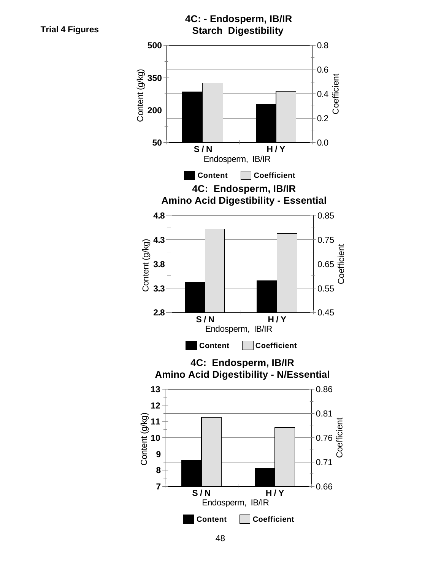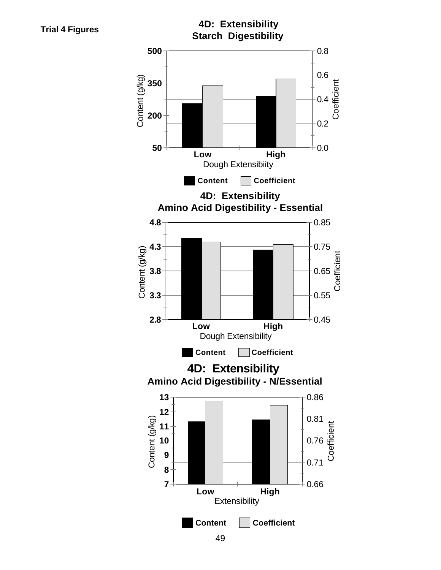Content (g/kg)

Content (g/kg)

Content (g/kg)

Content (g/kg)



Coefficient

**Coefficient** 



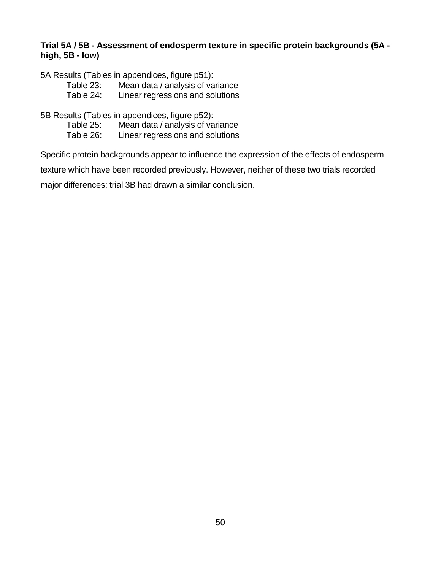#### **Trial 5A / 5B - Assessment of endosperm texture in specific protein backgrounds (5A high, 5B - low)**

5A Results (Tables in appendices, figure p51):

Table 23: Mean data / analysis of variance<br>Table 24: Linear regressions and solutions

Linear regressions and solutions

5B Results (Tables in appendices, figure p52):

Mean data / analysis of variance Table 26: Linear regressions and solutions

Specific protein backgrounds appear to influence the expression of the effects of endosperm

texture which have been recorded previously. However, neither of these two trials recorded

major differences; trial 3B had drawn a similar conclusion.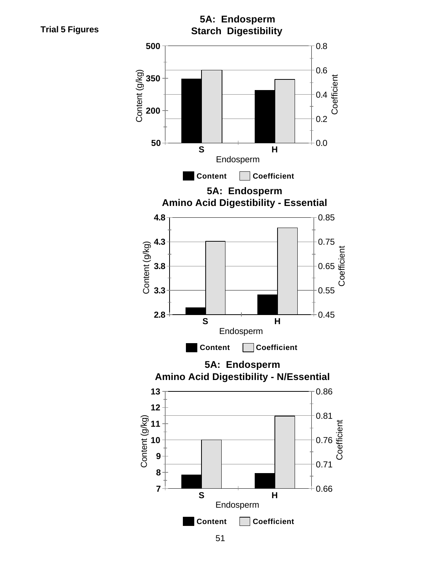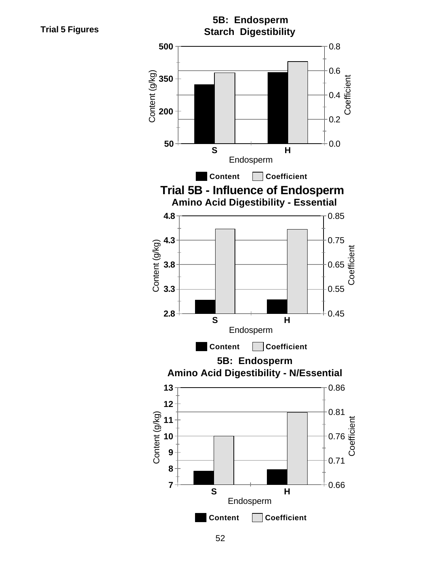**Trial 5 Figures**

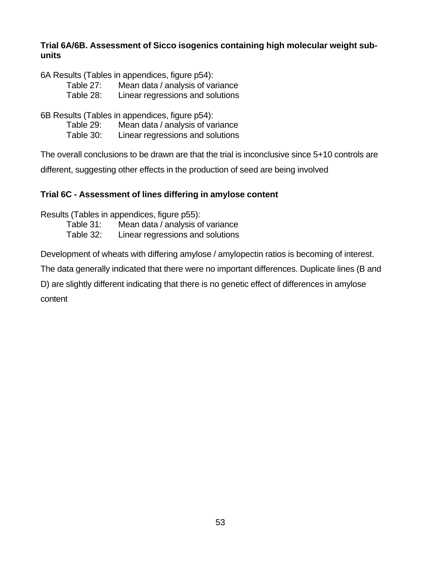#### **Trial 6A/6B. Assessment of Sicco isogenics containing high molecular weight subunits**

6A Results (Tables in appendices, figure p54):

Table 27: Mean data / analysis of variance

Table 28: Linear regressions and solutions

6B Results (Tables in appendices, figure p54):

Table 29: Mean data / analysis of variance Table 30: Linear regressions and solutions

The overall conclusions to be drawn are that the trial is inconclusive since 5+10 controls are

different, suggesting other effects in the production of seed are being involved

### **Trial 6C - Assessment of lines differing in amylose content**

Results (Tables in appendices, figure p55):

Table 31: Mean data / analysis of variance

Table 32: Linear regressions and solutions

Development of wheats with differing amylose / amylopectin ratios is becoming of interest.

The data generally indicated that there were no important differences. Duplicate lines (B and

D) are slightly different indicating that there is no genetic effect of differences in amylose content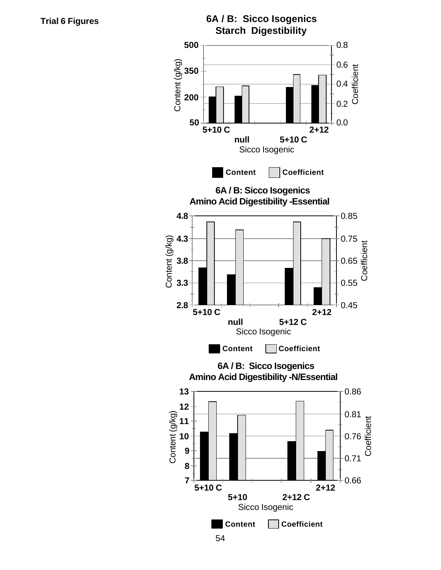**6A / B: Sicco Isogenics Starch Digestibility 500** 0.8 Content (g/kg) Content (g/kg) 0.6<br>0.4<br>0.3<br>0.3<br>0 **350** 0.4 **200** 0.2 **50** 0.0 **2+12 5+10 C null 5+10 C** Sicco Isogenic **Content Coefficient 6A / B: Sicco Isogenics Amino Acid Digestibility -Essential 4.8** 0.85 Content (g/kg) **4.3** 0.75 Content (g/kg) **Coefficient** 0.65 **3.8** 0.55 **3.3 2.8** 0.45 **5+10 C 2+12 null 5+12 C** Sicco Isogenic **Content Coefficient 6A / B: Sicco Isogenics Amino Acid Digestibility -N/Essential 13** 0.86 **12** 0.81 Content (g/kg) Content (g/kg) **Coefficient 11** 0.76 **10 9** 0.71 **8 7** 0.66 **5+10 C 2+12 5+10 2+12 C**

Sicco Isogenic

**Content Coefficient**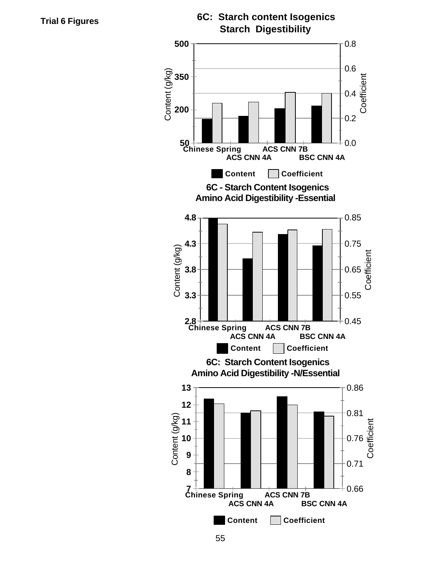Content (g/kg)



**6C: Starch Content Isogenics Amino Acid Digestibility -N/Essential**

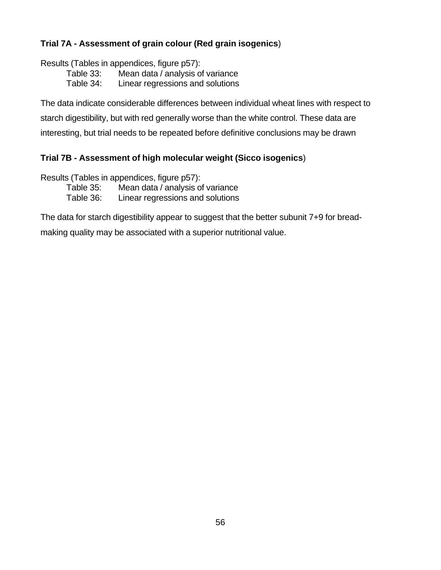### **Trial 7A - Assessment of grain colour (Red grain isogenics**)

Results (Tables in appendices, figure p57):

Table 33: Mean data / analysis of variance

Table 34: Linear regressions and solutions

The data indicate considerable differences between individual wheat lines with respect to starch digestibility, but with red generally worse than the white control. These data are interesting, but trial needs to be repeated before definitive conclusions may be drawn

### **Trial 7B - Assessment of high molecular weight (Sicco isogenics**)

Results (Tables in appendices, figure p57):

Table 35: Mean data / analysis of variance

Table 36: Linear regressions and solutions

The data for starch digestibility appear to suggest that the better subunit 7+9 for bread-

making quality may be associated with a superior nutritional value.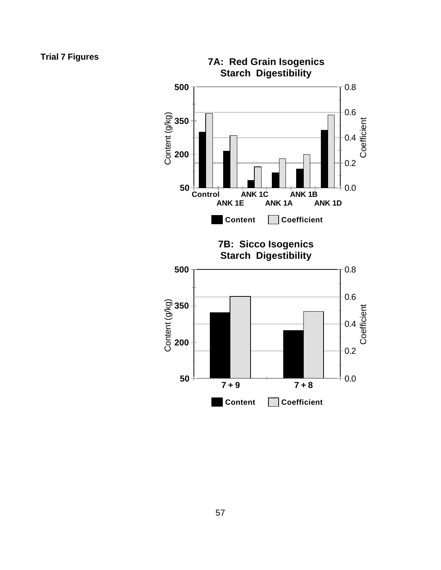### **Trial 7 Figures**

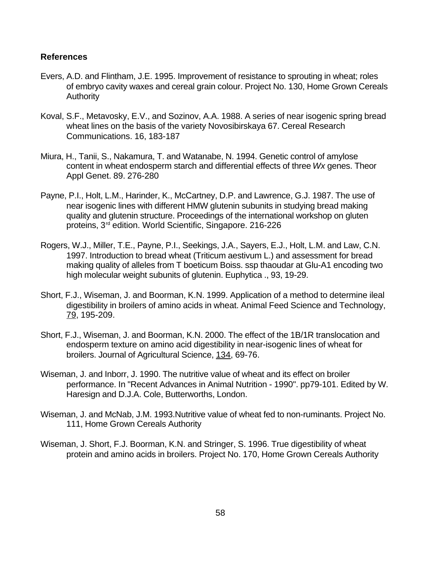#### **References**

- Evers, A.D. and Flintham, J.E. 1995. Improvement of resistance to sprouting in wheat; roles of embryo cavity waxes and cereal grain colour. Project No. 130, Home Grown Cereals Authority
- Koval, S.F., Metavosky, E.V., and Sozinov, A.A. 1988. A series of near isogenic spring bread wheat lines on the basis of the variety Novosibirskaya 67. Cereal Research Communications. 16, 183-187
- Miura, H., Tanii, S., Nakamura, T. and Watanabe, N. 1994. Genetic control of amylose content in wheat endosperm starch and differential effects of three *Wx* genes. Theor Appl Genet. 89. 276-280
- Payne, P.I., Holt, L.M., Harinder, K., McCartney, D.P. and Lawrence, G.J. 1987. The use of near isogenic lines with different HMW glutenin subunits in studying bread making quality and glutenin structure. Proceedings of the international workshop on gluten proteins, 3<sup>rd</sup> edition. World Scientific, Singapore. 216-226
- Rogers, W.J., Miller, T.E., Payne, P.I., Seekings, J.A., Sayers, E.J., Holt, L.M. and Law, C.N. 1997. Introduction to bread wheat (Triticum aestivum L.) and assessment for bread making quality of alleles from T boeticum Boiss. ssp thaoudar at Glu-A1 encoding two high molecular weight subunits of glutenin. Euphytica ., 93, 19-29.
- Short, F.J., Wiseman, J. and Boorman, K.N. 1999. Application of a method to determine ileal digestibility in broilers of amino acids in wheat. Animal Feed Science and Technology, 79, 195-209.
- Short, F.J., Wiseman, J. and Boorman, K.N. 2000. The effect of the 1B/1R translocation and endosperm texture on amino acid digestibility in near-isogenic lines of wheat for broilers. Journal of Agricultural Science, 134, 69-76.
- Wiseman, J. and Inborr, J. 1990. The nutritive value of wheat and its effect on broiler performance. In "Recent Advances in Animal Nutrition - 1990". pp79-101. Edited by W. Haresign and D.J.A. Cole, Butterworths, London.
- Wiseman, J. and McNab, J.M. 1993.Nutritive value of wheat fed to non-ruminants. Project No. 111, Home Grown Cereals Authority
- Wiseman, J. Short, F.J. Boorman, K.N. and Stringer, S. 1996. True digestibility of wheat protein and amino acids in broilers. Project No. 170, Home Grown Cereals Authority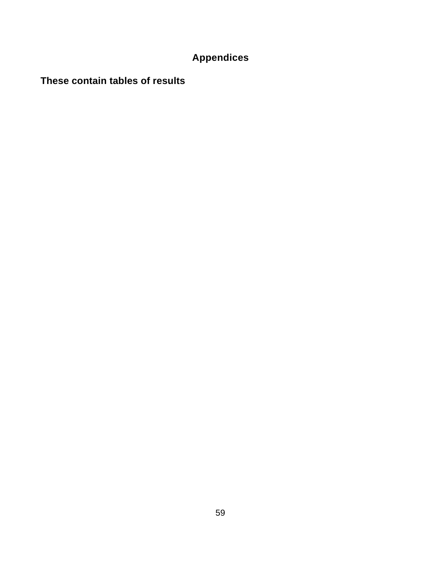# **Appendices**

**These contain tables of results**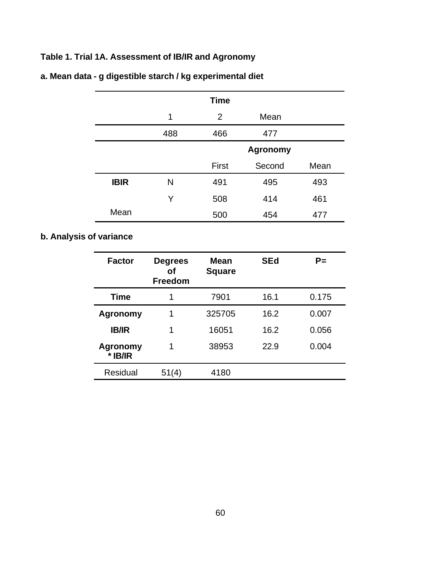## **Table 1. Trial 1A. Assessment of IB/IR and Agronomy**

|             |     | <b>Time</b>    |                 |      |
|-------------|-----|----------------|-----------------|------|
|             | 1   | $\overline{2}$ | Mean            |      |
|             | 488 | 466            | 477             |      |
|             |     |                | <b>Agronomy</b> |      |
|             |     | First          | Second          | Mean |
| <b>IBIR</b> | N   | 491            | 495             | 493  |
|             | Y   | 508            | 414             | 461  |
| Mean        |     | 500            | 454             | 477  |

## **a. Mean data - g digestible starch / kg experimental diet**

### **b. Analysis of variance**

| <b>Factor</b>              | <b>Degrees</b><br>оf<br><b>Freedom</b> | Mean<br><b>Square</b> | <b>SEd</b> | PΞ    |
|----------------------------|----------------------------------------|-----------------------|------------|-------|
| <b>Time</b>                | 1                                      | 7901                  | 16.1       | 0.175 |
| Agronomy                   | 1                                      | 325705                | 16.2       | 0.007 |
| <b>IB/IR</b>               | 1                                      | 16051                 | 16.2       | 0.056 |
| <b>Agronomy</b><br>* IB/IR | 1                                      | 38953                 | 22.9       | 0.004 |
| <b>Residual</b>            | 51(4)                                  | 4180                  |            |       |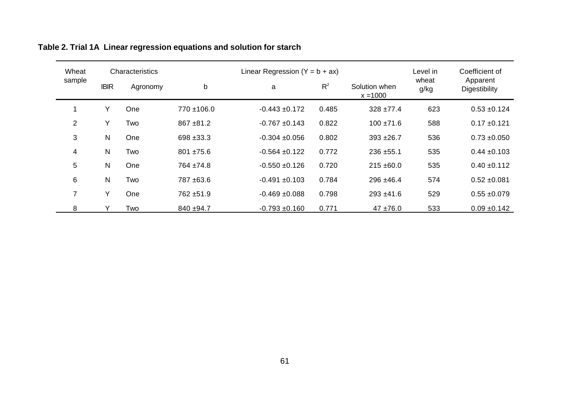| Wheat<br>Characteristics |              |          |                 | Linear Regression $(Y = b + ax)$ | Level in | Coefficient of              |               |                           |
|--------------------------|--------------|----------|-----------------|----------------------------------|----------|-----------------------------|---------------|---------------------------|
| sample                   | <b>IBIR</b>  | Agronomy | b               | a                                | $R^2$    | Solution when<br>$x = 1000$ | wheat<br>g/kg | Apparent<br>Digestibility |
|                          | Y            | One      | $770 \pm 106.0$ | $-0.443 + 0.172$                 | 0.485    | $328 + 77.4$                | 623           | $0.53 + 0.124$            |
| $\overline{2}$           | Y            | Two      | $867 + 81.2$    | $-0.767 + 0.143$                 | 0.822    | $100 \pm 71.6$              | 588           | $0.17 + 0.121$            |
| 3                        | $\mathsf{N}$ | One      | 698 ± 33.3      | $-0.304 + 0.056$                 | 0.802    | $393 + 26.7$                | 536           | $0.73 + 0.050$            |
| 4                        | N            | Two      | $801 + 75.6$    | $-0.564 + 0.122$                 | 0.772    | $236 + 55.1$                | 535           | $0.44 \pm 0.103$          |
| 5                        | N            | One      | 764 ±74.8       | $-0.550 + 0.126$                 | 0.720    | $215 \pm 60.0$              | 535           | $0.40 \pm 0.112$          |
| 6                        | N            | Two      | 787 ±63.6       | $-0.491 + 0.103$                 | 0.784    | $296 + 46.4$                | 574           | $0.52 + 0.081$            |
| $\overline{7}$           | Y            | One      | 762 ±51.9       | $-0.469 + 0.088$                 | 0.798    | $293 + 41.6$                | 529           | $0.55 + 0.079$            |
| 8                        |              | Two      | 840 ±94.7       | $-0.793 + 0.160$                 | 0.771    | $47 + 76.0$                 | 533           | $0.09 \pm 0.142$          |

# **Table 2. Trial 1A Linear regression equations and solution for starch**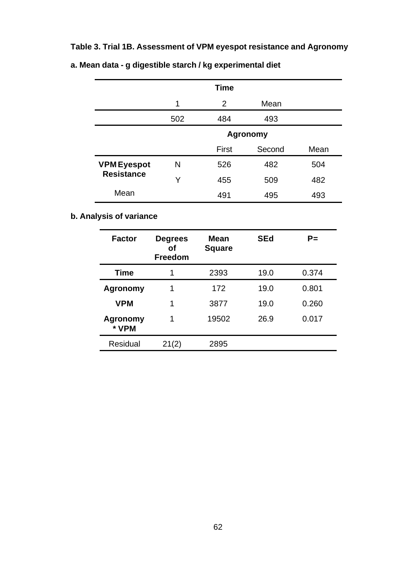## **Table 3. Trial 1B. Assessment of VPM eyespot resistance and Agronomy**

|                                         |                 | <b>Time</b>  |        |      |  |
|-----------------------------------------|-----------------|--------------|--------|------|--|
|                                         | 1               | 2            | Mean   |      |  |
|                                         | 502             | 484          | 493    |      |  |
|                                         | <b>Agronomy</b> |              |        |      |  |
|                                         |                 | <b>First</b> | Second | Mean |  |
| <b>VPM Eyespot</b><br><b>Resistance</b> | N               | 526          | 482    | 504  |  |
|                                         | Y               | 455          | 509    | 482  |  |
| Mean                                    |                 | 491          | 495    | 493  |  |

## **a. Mean data - g digestible starch / kg experimental diet**

## **b. Analysis of variance**

| <b>Factor</b>     | <b>Degrees</b><br>οf<br><b>Freedom</b> | <b>Mean</b><br><b>Square</b> | <b>SEd</b> | P=    |
|-------------------|----------------------------------------|------------------------------|------------|-------|
| <b>Time</b>       | 1                                      | 2393                         | 19.0       | 0.374 |
| Agronomy          | 1                                      | 172                          | 19.0       | 0.801 |
| <b>VPM</b>        | 1                                      | 3877                         | 19.0       | 0.260 |
| Agronomy<br>* VPM | 1                                      | 19502                        | 26.9       | 0.017 |
| <b>Residual</b>   | 21(2)                                  | 2895                         |            |       |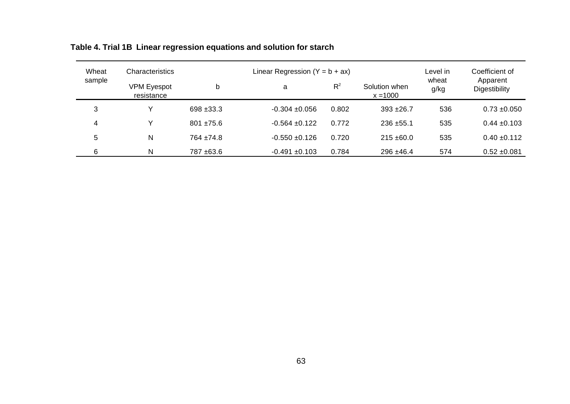| Wheat  | <b>Characteristics</b>           |              | Linear Regression $(Y = b + ax)$ | Level in | Coefficient of |               |                           |  |
|--------|----------------------------------|--------------|----------------------------------|----------|----------------|---------------|---------------------------|--|
| sample | <b>VPM Eyespot</b><br>resistance | b            | a                                | $R^2$    |                | wheat<br>g/kg | Apparent<br>Digestibility |  |
| 3      | v                                | $698 + 33.3$ | $-0.304 + 0.056$                 | 0.802    | $393 + 26.7$   | 536           | $0.73 + 0.050$            |  |
| 4      | v                                | $801 + 75.6$ | $-0.564 + 0.122$                 | 0.772    | $236 + 55.1$   | 535           | $0.44 \pm 0.103$          |  |
| 5      | N                                | $764 + 74.8$ | $-0.550 + 0.126$                 | 0.720    | $215 + 60.0$   | 535           | $0.40 \pm 0.112$          |  |
| 6      | N                                | 787 ±63.6    | $-0.491 + 0.103$                 | 0.784    | $296 + 46.4$   | 574           | $0.52 + 0.081$            |  |

# **Table 4. Trial 1B Linear regression equations and solution for starch**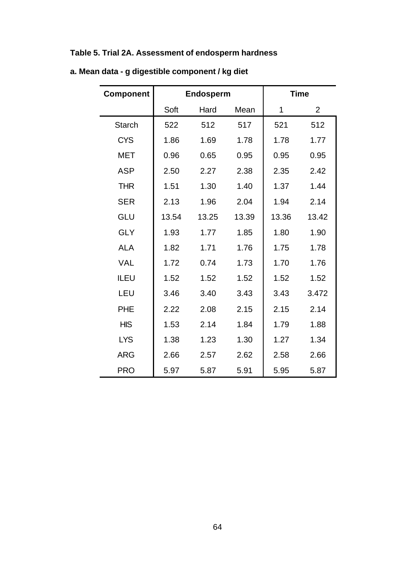## **Table 5. Trial 2A. Assessment of endosperm hardness**

| <b>Component</b> |       | <b>Endosperm</b> | <b>Time</b> |       |                |
|------------------|-------|------------------|-------------|-------|----------------|
|                  | Soft  | Hard             | Mean        | 1     | $\overline{2}$ |
| <b>Starch</b>    | 522   | 512              | 517         | 521   | 512            |
| <b>CYS</b>       | 1.86  | 1.69             | 1.78        | 1.78  | 1.77           |
| MET              | 0.96  | 0.65             | 0.95        | 0.95  | 0.95           |
| <b>ASP</b>       | 2.50  | 2.27             | 2.38        | 2.35  | 2.42           |
| <b>THR</b>       | 1.51  | 1.30             | 1.40        | 1.37  | 1.44           |
| <b>SER</b>       | 2.13  | 1.96             | 2.04        | 1.94  | 2.14           |
| GLU              | 13.54 | 13.25            | 13.39       | 13.36 | 13.42          |
| <b>GLY</b>       | 1.93  | 1.77             | 1.85        | 1.80  | 1.90           |
| <b>ALA</b>       | 1.82  | 1.71             | 1.76        | 1.75  | 1.78           |
| <b>VAL</b>       | 1.72  | 0.74             | 1.73        | 1.70  | 1.76           |
| <b>ILEU</b>      | 1.52  | 1.52             | 1.52        | 1.52  | 1.52           |
| LEU              | 3.46  | 3.40             | 3.43        | 3.43  | 3.472          |
| <b>PHE</b>       | 2.22  | 2.08             | 2.15        | 2.15  | 2.14           |
| <b>HIS</b>       | 1.53  | 2.14             | 1.84        | 1.79  | 1.88           |
| <b>LYS</b>       | 1.38  | 1.23             | 1.30        | 1.27  | 1.34           |
| <b>ARG</b>       | 2.66  | 2.57             | 2.62        | 2.58  | 2.66           |
| <b>PRO</b>       | 5.97  | 5.87             | 5.91        | 5.95  | 5.87           |

**a. Mean data - g digestible component / kg diet**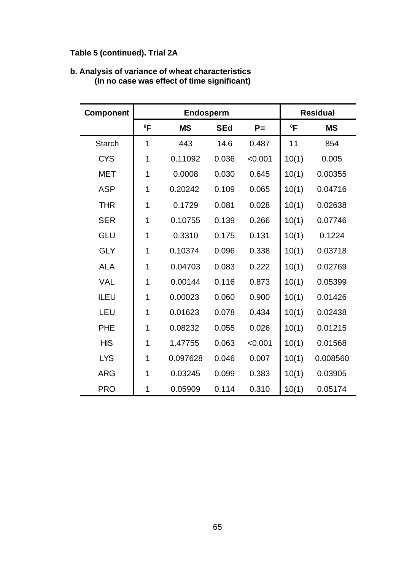## **Table 5 (continued). Trial 2A**

| <b>Component</b> |             | <b>Endosperm</b> | <b>Residual</b> |         |        |           |
|------------------|-------------|------------------|-----------------|---------|--------|-----------|
|                  | $^0$ F      | <b>MS</b>        | <b>SEd</b>      | $P =$   | $^0$ F | <b>MS</b> |
| <b>Starch</b>    | 1           | 443              | 14.6            | 0.487   | 11     | 854       |
| <b>CYS</b>       | 1           | 0.11092          | 0.036           | < 0.001 | 10(1)  | 0.005     |
| <b>MET</b>       | 1           | 0.0008           | 0.030           | 0.645   | 10(1)  | 0.00355   |
| <b>ASP</b>       | 1           | 0.20242          | 0.109           | 0.065   | 10(1)  | 0.04716   |
| <b>THR</b>       | 1           | 0.1729           | 0.081           | 0.028   | 10(1)  | 0.02638   |
| <b>SER</b>       | 1           | 0.10755          | 0.139           | 0.266   | 10(1)  | 0.07746   |
| <b>GLU</b>       | 1           | 0.3310           | 0.175           | 0.131   | 10(1)  | 0.1224    |
| <b>GLY</b>       | 1           | 0.10374          | 0.096           | 0.338   | 10(1)  | 0.03718   |
| <b>ALA</b>       | 1           | 0.04703          | 0.083           | 0.222   | 10(1)  | 0.02769   |
| <b>VAL</b>       | $\mathbf 1$ | 0.00144          | 0.116           | 0.873   | 10(1)  | 0.05399   |
| <b>ILEU</b>      | $\mathbf 1$ | 0.00023          | 0.060           | 0.900   | 10(1)  | 0.01426   |
| LEU              | 1           | 0.01623          | 0.078           | 0.434   | 10(1)  | 0.02438   |
| <b>PHE</b>       | 1           | 0.08232          | 0.055           | 0.026   | 10(1)  | 0.01215   |
| <b>HIS</b>       | 1           | 1.47755          | 0.063           | < 0.001 | 10(1)  | 0.01568   |
| <b>LYS</b>       | 1           | 0.097628         | 0.046           | 0.007   | 10(1)  | 0.008560  |
| <b>ARG</b>       | 1           | 0.03245          | 0.099           | 0.383   | 10(1)  | 0.03905   |
| <b>PRO</b>       | 1           | 0.05909          | 0.114           | 0.310   | 10(1)  | 0.05174   |

#### **b. Analysis of variance of wheat characteristics (In no case was effect of time significant)**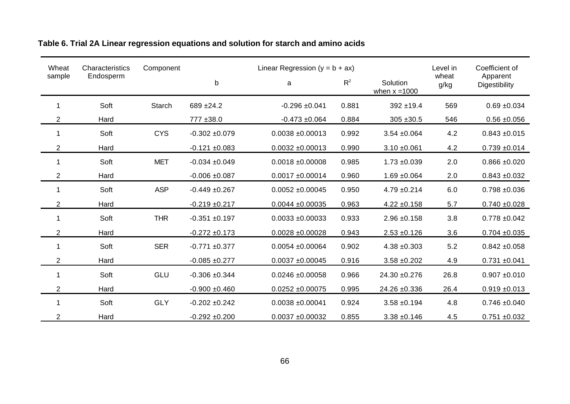| Wheat          | Characteristics | Component     |                  | Linear Regression $(y = b + ax)$ |       |                             | Level in      | Coefficient of            |  |
|----------------|-----------------|---------------|------------------|----------------------------------|-------|-----------------------------|---------------|---------------------------|--|
| sample         | Endosperm       |               | b                | a                                | $R^2$ | Solution<br>when $x = 1000$ | wheat<br>g/kg | Apparent<br>Digestibility |  |
| 1              | Soft            | <b>Starch</b> | 689 ±24.2        | $-0.296 + 0.041$                 | 0.881 | $392 + 19.4$                | 569           | $0.69 + 0.034$            |  |
| $\overline{2}$ | Hard            |               | 777 ±38.0        | $-0.473 + 0.064$                 | 0.884 | $305 + 30.5$                | 546           | $0.56 \pm 0.056$          |  |
| 1              | Soft            | <b>CYS</b>    | $-0.302 + 0.079$ | $0.0038 + 0.00013$               | 0.992 | $3.54 + 0.064$              | 4.2           | $0.843 + 0.015$           |  |
| $\overline{2}$ | Hard            |               | $-0.121 + 0.083$ | $0.0032 + 0.00013$               | 0.990 | $3.10 \pm 0.061$            | 4.2           | $0.739 + 0.014$           |  |
| 1              | Soft            | <b>MET</b>    | $-0.034 + 0.049$ | $0.0018 + 0.00008$               | 0.985 | $1.73 + 0.039$              | 2.0           | $0.866 \pm 0.020$         |  |
| 2              | Hard            |               | $-0.006 + 0.087$ | $0.0017 + 0.00014$               | 0.960 | $1.69 + 0.064$              | 2.0           | $0.843 + 0.032$           |  |
| 1              | Soft            | <b>ASP</b>    | $-0.449 + 0.267$ | $0.0052 \pm 0.00045$             | 0.950 | $4.79 + 0.214$              | 6.0           | $0.798 + 0.036$           |  |
| $\overline{2}$ | Hard            |               | $-0.219 + 0.217$ | $0.0044 \pm 0.00035$             | 0.963 | $4.22 \pm 0.158$            | 5.7           | $0.740 + 0.028$           |  |
| 1              | Soft            | <b>THR</b>    | $-0.351 + 0.197$ | $0.0033 + 0.00033$               | 0.933 | $2.96 + 0.158$              | 3.8           | $0.778 + 0.042$           |  |
| $\overline{2}$ | Hard            |               | $-0.272 + 0.173$ | $0.0028 + 0.00028$               | 0.943 | $2.53 + 0.126$              | 3.6           | $0.704 + 0.035$           |  |
| 1              | Soft            | <b>SER</b>    | $-0.771 + 0.377$ | $0.0054 + 0.00064$               | 0.902 | $4.38 + 0.303$              | 5.2           | $0.842 + 0.058$           |  |
| 2              | Hard            |               | $-0.085 + 0.277$ | $0.0037 + 0.00045$               | 0.916 | $3.58 + 0.202$              | 4.9           | $0.731 + 0.041$           |  |
| 1              | Soft            | GLU           | $-0.306 + 0.344$ | $0.0246 + 0.00058$               | 0.966 | 24.30 ±0.276                | 26.8          | $0.907 + 0.010$           |  |
| $\overline{2}$ | Hard            |               | $-0.900 + 0.460$ | $0.0252 \pm 0.00075$             | 0.995 | 24.26 ±0.336                | 26.4          | $0.919 + 0.013$           |  |
| 1              | Soft            | <b>GLY</b>    | $-0.202 + 0.242$ | $0.0038 + 0.00041$               | 0.924 | $3.58 + 0.194$              | 4.8           | $0.746 + 0.040$           |  |
| $\overline{2}$ | Hard            |               | $-0.292 + 0.200$ | $0.0037 + 0.00032$               | 0.855 | $3.38 + 0.146$              | 4.5           | $0.751 + 0.032$           |  |

# **Table 6. Trial 2A Linear regression equations and solution for starch and amino acids**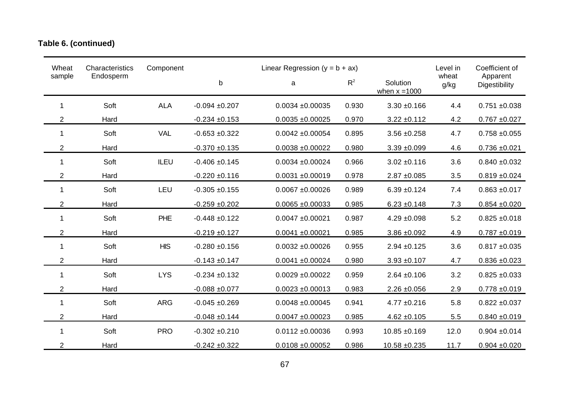# **Table 6. (continued)**

| Wheat          | Characteristics | Component  | Linear Regression ( $y = b + ax$ ) |                      |       |                             |               | Coefficient of            |
|----------------|-----------------|------------|------------------------------------|----------------------|-------|-----------------------------|---------------|---------------------------|
| sample         | Endosperm       |            | b                                  | a                    | $R^2$ | Solution<br>when $x = 1000$ | wheat<br>g/kg | Apparent<br>Digestibility |
| $\mathbf{1}$   | Soft            | <b>ALA</b> | $-0.094 + 0.207$                   | $0.0034 + 0.00035$   | 0.930 | $3.30 + 0.166$              | 4.4           | $0.751 + 0.038$           |
| $\overline{2}$ | Hard            |            | $-0.234 + 0.153$                   | $0.0035 + 0.00025$   | 0.970 | $3.22 \pm 0.112$            | 4.2           | $0.767 + 0.027$           |
| 1              | Soft            | <b>VAL</b> | $-0.653 + 0.322$                   | $0.0042 \pm 0.00054$ | 0.895 | $3.56 + 0.258$              | 4.7           | $0.758 + 0.055$           |
| $\overline{2}$ | Hard            |            | $-0.370 + 0.135$                   | $0.0038 + 0.00022$   | 0.980 | $3.39 + 0.099$              | 4.6           | $0.736 + 0.021$           |
| $\mathbf 1$    | Soft            | ILEU       | $-0.406 + 0.145$                   | $0.0034 + 0.00024$   | 0.966 | $3.02 + 0.116$              | 3.6           | $0.840 + 0.032$           |
| $\overline{2}$ | Hard            |            | $-0.220 + 0.116$                   | $0.0031 + 0.00019$   | 0.978 | $2.87 + 0.085$              | 3.5           | $0.819 + 0.024$           |
| 1              | Soft            | <b>LEU</b> | $-0.305 + 0.155$                   | $0.0067 + 0.00026$   | 0.989 | $6.39 + 0.124$              | 7.4           | $0.863 + 0.017$           |
| $\overline{2}$ | Hard            |            | $-0.259 + 0.202$                   | $0.0065 + 0.00033$   | 0.985 | $6.23 \pm 0.148$            | 7.3           | $0.854 + 0.020$           |
| 1              | Soft            | PHE        | $-0.448 + 0.122$                   | $0.0047 + 0.00021$   | 0.987 | $4.29 + 0.098$              | 5.2           | $0.825 + 0.018$           |
| $\overline{2}$ | Hard            |            | $-0.219 + 0.127$                   | $0.0041 + 0.00021$   | 0.985 | $3.86 \pm 0.092$            | 4.9           | $0.787 + 0.019$           |
| 1              | Soft            | <b>HIS</b> | $-0.280 + 0.156$                   | $0.0032 + 0.00026$   | 0.955 | $2.94 \pm 0.125$            | 3.6           | $0.817 + 0.035$           |
| $\overline{2}$ | Hard            |            | $-0.143 + 0.147$                   | $0.0041 + 0.00024$   | 0.980 | $3.93 + 0.107$              | 4.7           | $0.836 + 0.023$           |
| 1              | Soft            | <b>LYS</b> | $-0.234 + 0.132$                   | $0.0029 + 0.00022$   | 0.959 | $2.64 \pm 0.106$            | 3.2           | $0.825 + 0.033$           |
| $\overline{2}$ | Hard            |            | $-0.088 + 0.077$                   | $0.0023 + 0.00013$   | 0.983 | $2.26 \pm 0.056$            | 2.9           | $0.778 + 0.019$           |
| 1              | Soft            | <b>ARG</b> | $-0.045 + 0.269$                   | $0.0048 + 0.00045$   | 0.941 | $4.77 \pm 0.216$            | 5.8           | $0.822 \pm 0.037$         |
| $\overline{2}$ | Hard            |            | $-0.048 + 0.144$                   | $0.0047 + 0.00023$   | 0.985 | $4.62 \pm 0.105$            | 5.5           | $0.840 + 0.019$           |
| $\mathbf 1$    | Soft            | <b>PRO</b> | $-0.302 + 0.210$                   | $0.0112 \pm 0.00036$ | 0.993 | $10.85 + 0.169$             | 12.0          | $0.904 \pm 0.014$         |
| $\overline{2}$ | Hard            |            | $-0.242 + 0.322$                   | $0.0108 + 0.00052$   | 0.986 | $10.58 + 0.235$             | 11.7          | $0.904 + 0.020$           |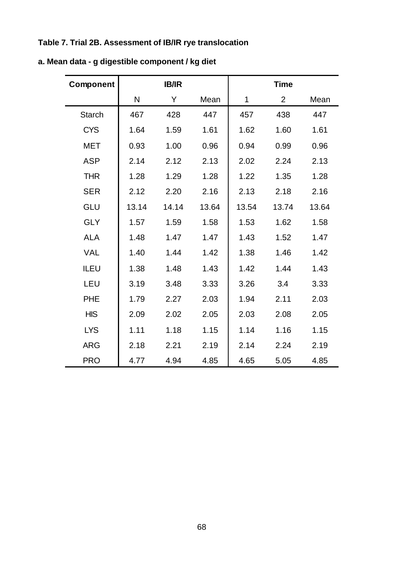## **Table 7. Trial 2B. Assessment of IB/IR rye translocation**

| Component     |       | <b>IB/IR</b> |       | <b>Time</b> |                |       |
|---------------|-------|--------------|-------|-------------|----------------|-------|
|               | N     | Y            | Mean  | $\mathbf 1$ | $\overline{2}$ | Mean  |
| <b>Starch</b> | 467   | 428          | 447   | 457         | 438            | 447   |
| <b>CYS</b>    | 1.64  | 1.59         | 1.61  | 1.62        | 1.60           | 1.61  |
| <b>MET</b>    | 0.93  | 1.00         | 0.96  | 0.94        | 0.99           | 0.96  |
| <b>ASP</b>    | 2.14  | 2.12         | 2.13  | 2.02        | 2.24           | 2.13  |
| <b>THR</b>    | 1.28  | 1.29         | 1.28  | 1.22        | 1.35           | 1.28  |
| <b>SER</b>    | 2.12  | 2.20         | 2.16  | 2.13        | 2.18           | 2.16  |
| <b>GLU</b>    | 13.14 | 14.14        | 13.64 | 13.54       | 13.74          | 13.64 |
| <b>GLY</b>    | 1.57  | 1.59         | 1.58  | 1.53        | 1.62           | 1.58  |
| <b>ALA</b>    | 1.48  | 1.47         | 1.47  | 1.43        | 1.52           | 1.47  |
| <b>VAL</b>    | 1.40  | 1.44         | 1.42  | 1.38        | 1.46           | 1.42  |
| <b>ILEU</b>   | 1.38  | 1.48         | 1.43  | 1.42        | 1.44           | 1.43  |
| LEU           | 3.19  | 3.48         | 3.33  | 3.26        | 3.4            | 3.33  |
| PHE           | 1.79  | 2.27         | 2.03  | 1.94        | 2.11           | 2.03  |
| <b>HIS</b>    | 2.09  | 2.02         | 2.05  | 2.03        | 2.08           | 2.05  |
| <b>LYS</b>    | 1.11  | 1.18         | 1.15  | 1.14        | 1.16           | 1.15  |
| <b>ARG</b>    | 2.18  | 2.21         | 2.19  | 2.14        | 2.24           | 2.19  |
| <b>PRO</b>    | 4.77  | 4.94         | 4.85  | 4.65        | 5.05           | 4.85  |

## **a. Mean data - g digestible component / kg diet**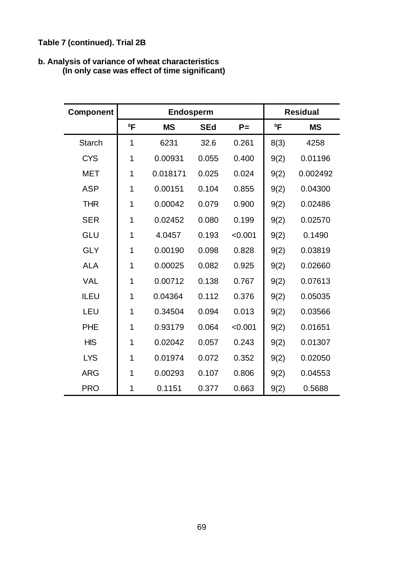## **Table 7 (continued). Trial 2B**

#### **b. Analysis of variance of wheat characteristics (In only case was effect of time significant)**

| <b>Component</b> |        | Endosperm |            |         | <b>Residual</b> |           |
|------------------|--------|-----------|------------|---------|-----------------|-----------|
|                  | $^0$ F | <b>MS</b> | <b>SEd</b> | $P =$   | $^0$ F          | <b>MS</b> |
| <b>Starch</b>    | 1      | 6231      | 32.6       | 0.261   | 8(3)            | 4258      |
| <b>CYS</b>       | 1      | 0.00931   | 0.055      | 0.400   | 9(2)            | 0.01196   |
| <b>MET</b>       | 1      | 0.018171  | 0.025      | 0.024   | 9(2)            | 0.002492  |
| <b>ASP</b>       | 1      | 0.00151   | 0.104      | 0.855   | 9(2)            | 0.04300   |
| <b>THR</b>       | 1      | 0.00042   | 0.079      | 0.900   | 9(2)            | 0.02486   |
| <b>SER</b>       | 1      | 0.02452   | 0.080      | 0.199   | 9(2)            | 0.02570   |
| <b>GLU</b>       | 1      | 4.0457    | 0.193      | < 0.001 | 9(2)            | 0.1490    |
| <b>GLY</b>       | 1      | 0.00190   | 0.098      | 0.828   | 9(2)            | 0.03819   |
| <b>ALA</b>       | 1      | 0.00025   | 0.082      | 0.925   | 9(2)            | 0.02660   |
| <b>VAL</b>       | 1      | 0.00712   | 0.138      | 0.767   | 9(2)            | 0.07613   |
| <b>ILEU</b>      | 1      | 0.04364   | 0.112      | 0.376   | 9(2)            | 0.05035   |
| LEU              | 1      | 0.34504   | 0.094      | 0.013   | 9(2)            | 0.03566   |
| <b>PHE</b>       | 1      | 0.93179   | 0.064      | < 0.001 | 9(2)            | 0.01651   |
| <b>HIS</b>       | 1      | 0.02042   | 0.057      | 0.243   | 9(2)            | 0.01307   |
| <b>LYS</b>       | 1      | 0.01974   | 0.072      | 0.352   | 9(2)            | 0.02050   |
| <b>ARG</b>       | 1      | 0.00293   | 0.107      | 0.806   | 9(2)            | 0.04553   |
| <b>PRO</b>       | 1      | 0.1151    | 0.377      | 0.663   | 9(2)            | 0.5688    |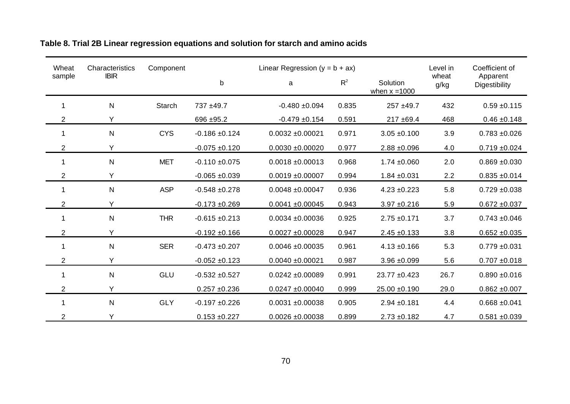| Wheat          | Characteristics | Component  |                    | Linear Regression $(y = b + ax)$ |       |                             | Level in      | Coefficient of            |
|----------------|-----------------|------------|--------------------|----------------------------------|-------|-----------------------------|---------------|---------------------------|
| sample         | <b>IBIR</b>     |            | $\mathsf b$        | a                                | $R^2$ | Solution<br>when $x = 1000$ | wheat<br>g/kg | Apparent<br>Digestibility |
| 1              | $\mathsf{N}$    | Starch     | 737 ±49.7          | $-0.480 + 0.094$                 | 0.835 | 257 ±49.7                   | 432           | $0.59 + 0.115$            |
| 2              | Y               |            | $696 + 95.2$       | $-0.479 + 0.154$                 | 0.591 | $217 + 69.4$                | 468           | $0.46 \pm 0.148$          |
| 1              | ${\sf N}$       | <b>CYS</b> | $-0.186 + 0.124$   | $0.0032 \pm 0.00021$             | 0.971 | $3.05 + 0.100$              | 3.9           | $0.783 + 0.026$           |
| 2              | Y               |            | $-0.075 + 0.120$   | $0.0030 + 0.00020$               | 0.977 | $2.88 \pm 0.096$            | 4.0           | $0.719 + 0.024$           |
| 1              | $\mathsf{N}$    | <b>MET</b> | $-0.110 + 0.075$   | $0.0018 + 0.00013$               | 0.968 | $1.74 \pm 0.060$            | 2.0           | $0.869 + 0.030$           |
| 2              | Y               |            | $-0.065 + 0.039$   | $0.0019 + 0.00007$               | 0.994 | $1.84 \pm 0.031$            | 2.2           | $0.835 + 0.014$           |
| 1              | ${\sf N}$       | <b>ASP</b> | $-0.548 + 0.278$   | $0.0048 + 0.00047$               | 0.936 | $4.23 + 0.223$              | 5.8           | $0.729 + 0.038$           |
| 2              | Y               |            | $-0.173 + 0.269$   | $0.0041 + 0.00045$               | 0.943 | $3.97 + 0.216$              | 5.9           | $0.672 + 0.037$           |
| 1              | ${\sf N}$       | <b>THR</b> | $-0.615 \pm 0.213$ | $0.0034 + 0.00036$               | 0.925 | $2.75 \pm 0.171$            | 3.7           | $0.743 + 0.046$           |
| 2              | Y               |            | $-0.192 + 0.166$   | $0.0027 + 0.00028$               | 0.947 | $2.45 + 0.133$              | 3.8           | $0.652 + 0.035$           |
| 1              | ${\sf N}$       | <b>SER</b> | $-0.473 + 0.207$   | $0.0046 + 0.00035$               | 0.961 | $4.13 \pm 0.166$            | 5.3           | $0.779 + 0.031$           |
| 2              | Y               |            | $-0.052 + 0.123$   | $0.0040 + 0.00021$               | 0.987 | $3.96 + 0.099$              | 5.6           | $0.707 + 0.018$           |
| 1              | ${\sf N}$       | GLU        | $-0.532 + 0.527$   | $0.0242 + 0.00089$               | 0.991 | 23.77 ±0.423                | 26.7          | $0.890 + 0.016$           |
| 2              | Y               |            | $0.257 + 0.236$    | $0.0247 + 0.00040$               | 0.999 | 25.00 ±0.190                | 29.0          | $0.862 + 0.007$           |
| 1              | ${\sf N}$       | <b>GLY</b> | $-0.197 + 0.226$   | $0.0031 + 0.00038$               | 0.905 | $2.94 \pm 0.181$            | 4.4           | $0.668 + 0.041$           |
| $\overline{2}$ | Y               |            | $0.153 + 0.227$    | $0.0026 + 0.00038$               | 0.899 | $2.73 \pm 0.182$            | 4.7           | $0.581 + 0.039$           |

### **Table 8. Trial 2B Linear regression equations and solution for starch and amino acids**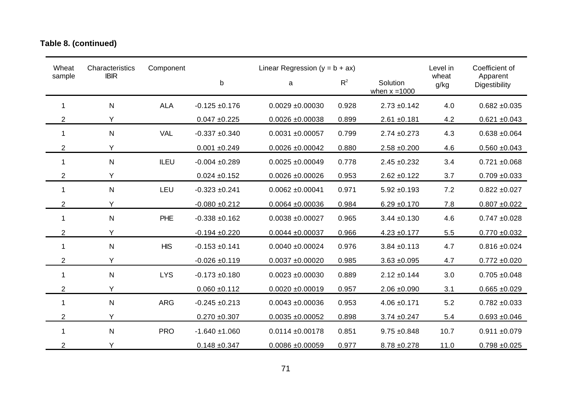## **Table 8. (continued)**

| Wheat          | Characteristics | Component  |                    | Linear Regression ( $y = b + ax$ ) |       | Level in                    | Coefficient of |                           |
|----------------|-----------------|------------|--------------------|------------------------------------|-------|-----------------------------|----------------|---------------------------|
| sample         | <b>IBIR</b>     |            | $\mathsf b$        | $\mathsf a$                        | $R^2$ | Solution<br>when $x = 1000$ | wheat<br>g/kg  | Apparent<br>Digestibility |
| $\mathbf{1}$   | $\mathsf{N}$    | <b>ALA</b> | $-0.125 \pm 0.176$ | $0.0029 + 0.00030$                 | 0.928 | $2.73 \pm 0.142$            | 4.0            | $0.682 + 0.035$           |
| $\overline{2}$ | Y               |            | $0.047 + 0.225$    | $0.0026 + 0.00038$                 | 0.899 | $2.61 + 0.181$              | 4.2            | $0.621 + 0.043$           |
| 1              | $\mathsf{N}$    | <b>VAL</b> | $-0.337 + 0.340$   | $0.0031 + 0.00057$                 | 0.799 | $2.74 \pm 0.273$            | 4.3            | $0.638 + 0.064$           |
| $\overline{2}$ | Y               |            | $0.001 + 0.249$    | $0.0026 \pm 0.00042$               | 0.880 | $2.58 + 0.200$              | 4.6            | $0.560 + 0.043$           |
| $\mathbf{1}$   | $\mathsf{N}$    | ILEU       | $-0.004 + 0.289$   | $0.0025 + 0.00049$                 | 0.778 | $2.45 \pm 0.232$            | 3.4            | $0.721 + 0.068$           |
| $\overline{c}$ | Υ               |            | $0.024 \pm 0.152$  | $0.0026 + 0.00026$                 | 0.953 | $2.62 \pm 0.122$            | 3.7            | $0.709 + 0.033$           |
| $\mathbf{1}$   | $\mathsf{N}$    | LEU        | $-0.323 + 0.241$   | $0.0062 \pm 0.00041$               | 0.971 | $5.92 \pm 0.193$            | 7.2            | $0.822 \pm 0.027$         |
| 2              | Y               |            | $-0.080 + 0.212$   | $0.0064 + 0.00036$                 | 0.984 | $6.29 \pm 0.170$            | 7.8            | $0.807 + 0.022$           |
| $\mathbf 1$    | $\mathsf{N}$    | PHE        | $-0.338 + 0.162$   | $0.0038 + 0.00027$                 | 0.965 | $3.44 \pm 0.130$            | 4.6            | $0.747 + 0.028$           |
| $\overline{2}$ | Y               |            | $-0.194 + 0.220$   | $0.0044 \pm 0.00037$               | 0.966 | $4.23 + 0.177$              | 5.5            | $0.770 + 0.032$           |
| 1              | $\mathsf{N}$    | <b>HIS</b> | $-0.153 + 0.141$   | $0.0040 + 0.00024$                 | 0.976 | $3.84 \pm 0.113$            | 4.7            | $0.816 \pm 0.024$         |
| $\overline{2}$ | Y               |            | $-0.026 + 0.119$   | $0.0037 + 0.00020$                 | 0.985 | $3.63 + 0.095$              | 4.7            | $0.772 + 0.020$           |
| 1              | $\mathsf{N}$    | <b>LYS</b> | $-0.173 + 0.180$   | $0.0023 + 0.00030$                 | 0.889 | $2.12 \pm 0.144$            | 3.0            | $0.705 + 0.048$           |
| $\overline{2}$ | Y               |            | $0.060 + 0.112$    | $0.0020 + 0.00019$                 | 0.957 | $2.06 \pm 0.090$            | 3.1            | $0.665 + 0.029$           |
| $\mathbf 1$    | $\mathsf{N}$    | <b>ARG</b> | $-0.245 + 0.213$   | $0.0043 + 0.00036$                 | 0.953 | $4.06 \pm 0.171$            | 5.2            | $0.782 + 0.033$           |
| $\overline{2}$ | Y               |            | $0.270 + 0.307$    | $0.0035 + 0.00052$                 | 0.898 | $3.74 \pm 0.247$            | 5.4            | $0.693 + 0.046$           |
| $\mathbf{1}$   | $\mathsf{N}$    | <b>PRO</b> | $-1.640 + 1.060$   | $0.0114 \pm 0.00178$               | 0.851 | $9.75 + 0.848$              | 10.7           | $0.911 + 0.079$           |
| $\overline{2}$ | Y               |            | $0.148 + 0.347$    | $0.0086 + 0.00059$                 | 0.977 | $8.78 \pm 0.278$            | 11.0           | $0.798 + 0.025$           |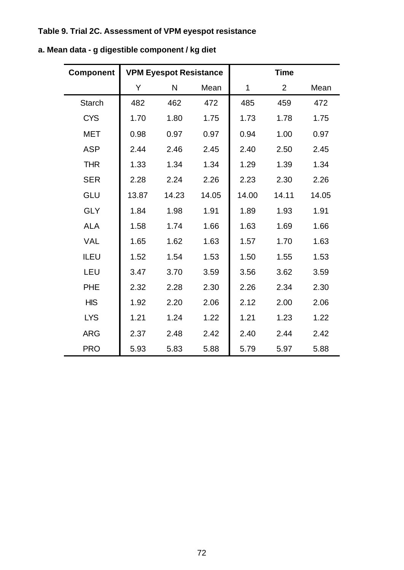## **Table 9. Trial 2C. Assessment of VPM eyespot resistance**

| <b>Component</b> |       | <b>VPM Eyespot Resistance</b> |       |       | <b>Time</b>    |       |  |
|------------------|-------|-------------------------------|-------|-------|----------------|-------|--|
|                  | Υ     | N                             | Mean  | 1     | $\overline{2}$ | Mean  |  |
| <b>Starch</b>    | 482   | 462                           | 472   | 485   | 459            | 472   |  |
| <b>CYS</b>       | 1.70  | 1.80                          | 1.75  | 1.73  | 1.78           | 1.75  |  |
| <b>MET</b>       | 0.98  | 0.97                          | 0.97  | 0.94  | 1.00           | 0.97  |  |
| <b>ASP</b>       | 2.44  | 2.46                          | 2.45  | 2.40  | 2.50           | 2.45  |  |
| <b>THR</b>       | 1.33  | 1.34                          | 1.34  | 1.29  | 1.39           | 1.34  |  |
| <b>SER</b>       | 2.28  | 2.24                          | 2.26  | 2.23  | 2.30           | 2.26  |  |
| GLU              | 13.87 | 14.23                         | 14.05 | 14.00 | 14.11          | 14.05 |  |
| <b>GLY</b>       | 1.84  | 1.98                          | 1.91  | 1.89  | 1.93           | 1.91  |  |
| <b>ALA</b>       | 1.58  | 1.74                          | 1.66  | 1.63  | 1.69           | 1.66  |  |
| <b>VAL</b>       | 1.65  | 1.62                          | 1.63  | 1.57  | 1.70           | 1.63  |  |
| <b>ILEU</b>      | 1.52  | 1.54                          | 1.53  | 1.50  | 1.55           | 1.53  |  |
| LEU              | 3.47  | 3.70                          | 3.59  | 3.56  | 3.62           | 3.59  |  |
| <b>PHE</b>       | 2.32  | 2.28                          | 2.30  | 2.26  | 2.34           | 2.30  |  |
| <b>HIS</b>       | 1.92  | 2.20                          | 2.06  | 2.12  | 2.00           | 2.06  |  |
| <b>LYS</b>       | 1.21  | 1.24                          | 1.22  | 1.21  | 1.23           | 1.22  |  |
| <b>ARG</b>       | 2.37  | 2.48                          | 2.42  | 2.40  | 2.44           | 2.42  |  |
| <b>PRO</b>       | 5.93  | 5.83                          | 5.88  | 5.79  | 5.97           | 5.88  |  |

**a. Mean data - g digestible component / kg diet**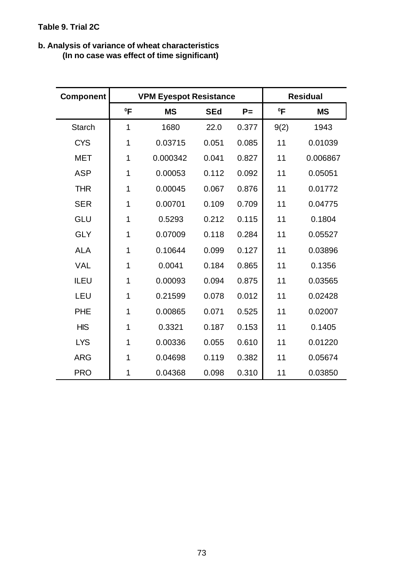#### **b. Analysis of variance of wheat characteristics (In no case was effect of time significant)**

| <b>Component</b> |             | <b>VPM Eyespot Resistance</b> |            |       |        | <b>Residual</b> |
|------------------|-------------|-------------------------------|------------|-------|--------|-----------------|
|                  | $^0$ F      | <b>MS</b>                     | <b>SEd</b> | $P =$ | $^0$ F | <b>MS</b>       |
| <b>Starch</b>    | $\mathbf 1$ | 1680                          | 22.0       | 0.377 | 9(2)   | 1943            |
| <b>CYS</b>       | 1           | 0.03715                       | 0.051      | 0.085 | 11     | 0.01039         |
| <b>MET</b>       | 1           | 0.000342                      | 0.041      | 0.827 | 11     | 0.006867        |
| <b>ASP</b>       | 1           | 0.00053                       | 0.112      | 0.092 | 11     | 0.05051         |
| <b>THR</b>       | 1           | 0.00045                       | 0.067      | 0.876 | 11     | 0.01772         |
| <b>SER</b>       | 1           | 0.00701                       | 0.109      | 0.709 | 11     | 0.04775         |
| <b>GLU</b>       | 1           | 0.5293                        | 0.212      | 0.115 | 11     | 0.1804          |
| <b>GLY</b>       | 1           | 0.07009                       | 0.118      | 0.284 | 11     | 0.05527         |
| <b>ALA</b>       | 1           | 0.10644                       | 0.099      | 0.127 | 11     | 0.03896         |
| <b>VAL</b>       | 1           | 0.0041                        | 0.184      | 0.865 | 11     | 0.1356          |
| ILEU             | 1           | 0.00093                       | 0.094      | 0.875 | 11     | 0.03565         |
| LEU              | 1           | 0.21599                       | 0.078      | 0.012 | 11     | 0.02428         |
| <b>PHE</b>       | 1           | 0.00865                       | 0.071      | 0.525 | 11     | 0.02007         |
| <b>HIS</b>       | 1           | 0.3321                        | 0.187      | 0.153 | 11     | 0.1405          |
| <b>LYS</b>       | 1           | 0.00336                       | 0.055      | 0.610 | 11     | 0.01220         |
| <b>ARG</b>       | 1           | 0.04698                       | 0.119      | 0.382 | 11     | 0.05674         |
| <b>PRO</b>       | 1           | 0.04368                       | 0.098      | 0.310 | 11     | 0.03850         |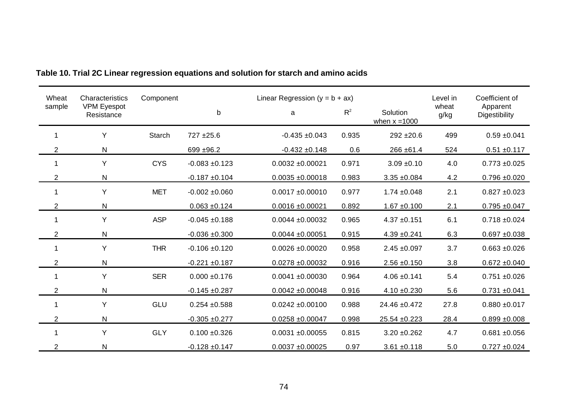| Wheat          | Characteristics                  | Component     |                   | Linear Regression ( $y = b + ax$ ) |       |                  | Level in      | Coefficient of            |
|----------------|----------------------------------|---------------|-------------------|------------------------------------|-------|------------------|---------------|---------------------------|
| sample         | <b>VPM Eyespot</b><br>Resistance |               | $\mathsf b$       | a                                  | $R^2$ |                  | wheat<br>g/kg | Apparent<br>Digestibility |
|                | Y                                | <b>Starch</b> | 727 ±25.6         | $-0.435 + 0.043$                   | 0.935 | $292 + 20.6$     | 499           | $0.59 + 0.041$            |
| $\overline{2}$ | N                                |               | 699 ±96.2         | $-0.432 + 0.148$                   | 0.6   | 266 ± 61.4       | 524           | $0.51 \pm 0.117$          |
|                | Y                                | <b>CYS</b>    | $-0.083 + 0.123$  | $0.0032 \pm 0.00021$               | 0.971 | $3.09 + 0.10$    | 4.0           | $0.773 + 0.025$           |
| 2              | N                                |               | $-0.187 + 0.104$  | $0.0035 + 0.00018$                 | 0.983 | $3.35 + 0.084$   | 4.2           | $0.796 + 0.020$           |
|                | Y                                | <b>MET</b>    | $-0.002 + 0.060$  | $0.0017 + 0.00010$                 | 0.977 | $1.74 \pm 0.048$ | 2.1           | $0.827 \pm 0.023$         |
| $\overline{2}$ | N                                |               | $0.063 + 0.124$   | $0.0016 + 0.00021$                 | 0.892 | $1.67 + 0.100$   | 2.1           | $0.795 + 0.047$           |
|                | Y                                | <b>ASP</b>    | $-0.045 + 0.188$  | $0.0044 \pm 0.00032$               | 0.965 | $4.37 + 0.151$   | 6.1           | $0.718 + 0.024$           |
| $\overline{2}$ | N                                |               | $-0.036 + 0.300$  | $0.0044 \pm 0.00051$               | 0.915 | $4.39 + 0.241$   | 6.3           | $0.697 + 0.038$           |
|                | Y                                | <b>THR</b>    | $-0.106 + 0.120$  | $0.0026 + 0.00020$                 | 0.958 | $2.45 + 0.097$   | 3.7           | $0.663 + 0.026$           |
| $\overline{2}$ | N                                |               | $-0.221 + 0.187$  | $0.0278 + 0.00032$                 | 0.916 | $2.56 \pm 0.150$ | 3.8           | $0.672 + 0.040$           |
|                | Y                                | <b>SER</b>    | $0.000 \pm 0.176$ | $0.0041 + 0.00030$                 | 0.964 | $4.06 \pm 0.141$ | 5.4           | $0.751 + 0.026$           |
| 2              | N                                |               | $-0.145 + 0.287$  | $0.0042 \pm 0.00048$               | 0.916 | $4.10 \pm 0.230$ | 5.6           | $0.731 + 0.041$           |
|                | Y                                | GLU           | $0.254 + 0.588$   | $0.0242 \pm 0.00100$               | 0.988 | 24.46 ±0.472     | 27.8          | $0.880 + 0.017$           |
| $\overline{2}$ | N                                |               | $-0.305 + 0.277$  | $0.0258 + 0.00047$                 | 0.998 | 25.54 ±0.223     | 28.4          | $0.899 + 0.008$           |
|                | Y                                | <b>GLY</b>    | $0.100 + 0.326$   | $0.0031 + 0.00055$                 | 0.815 | $3.20 + 0.262$   | 4.7           | $0.681 + 0.056$           |
| $\overline{2}$ | N                                |               | $-0.128 + 0.147$  | $0.0037 + 0.00025$                 | 0.97  | $3.61 + 0.118$   | 5.0           | $0.727 + 0.024$           |

## **Table 10. Trial 2C Linear regression equations and solution for starch and amino acids**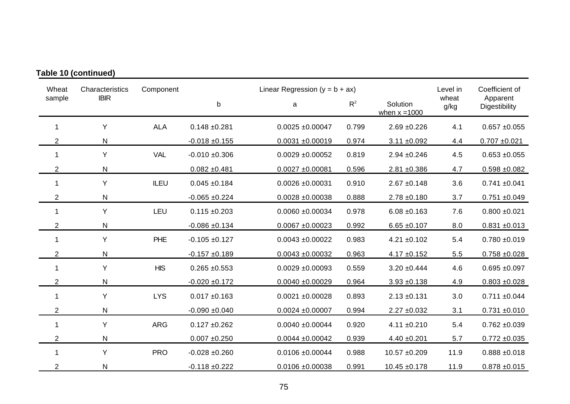| Wheat          | Characteristics | Component  |                   | Linear Regression ( $y = b + ax$ ) |       |                             | Level in      | Coefficient of            |
|----------------|-----------------|------------|-------------------|------------------------------------|-------|-----------------------------|---------------|---------------------------|
| sample         | <b>IBIR</b>     |            | $\mathsf b$       | $R^2$<br>a                         |       | Solution<br>when $x = 1000$ | wheat<br>g/kg | Apparent<br>Digestibility |
| 1              | Y               | <b>ALA</b> | $0.148 + 0.281$   | $0.0025 \pm 0.00047$               | 0.799 | $2.69 + 0.226$              | 4.1           | $0.657 + 0.055$           |
| $\overline{2}$ | $\mathsf{N}$    |            | $-0.018 + 0.155$  | $0.0031 + 0.00019$                 | 0.974 | $3.11 \pm 0.092$            | 4.4           | $0.707 + 0.021$           |
| 1              | Υ               | <b>VAL</b> | $-0.010 + 0.306$  | $0.0029 + 0.00052$                 | 0.819 | $2.94 \pm 0.246$            | 4.5           | $0.653 + 0.055$           |
| $\overline{2}$ | $\mathsf{N}$    |            | $0.082 + 0.481$   | $0.0027 + 0.00081$                 | 0.596 | $2.81 + 0.386$              | 4.7           | $0.598 + 0.082$           |
| 1              | Y               | ILEU       | $0.045 + 0.184$   | $0.0026 \pm 0.00031$               | 0.910 | $2.67 \pm 0.148$            | 3.6           | $0.741 \pm 0.041$         |
| $\overline{2}$ | ${\sf N}$       |            | $-0.065 + 0.224$  | $0.0028 + 0.00038$                 | 0.888 | $2.78 + 0.180$              | 3.7           | $0.751 + 0.049$           |
| 1              | Υ               | LEU        | $0.115 \pm 0.203$ | $0.0060 + 0.00034$                 | 0.978 | $6.08 + 0.163$              | 7.6           | $0.800 + 0.021$           |
| 2              | $\mathsf{N}$    |            | $-0.086 + 0.134$  | $0.0067 + 0.00023$                 | 0.992 | $6.65 \pm 0.107$            | 8.0           | $0.831 + 0.013$           |
| $\mathbf{1}$   | Y               | PHE        | $-0.105 + 0.127$  | $0.0043 + 0.00022$                 | 0.983 | $4.21 \pm 0.102$            | 5.4           | $0.780 + 0.019$           |
| $\overline{2}$ | ${\sf N}$       |            | $-0.157 + 0.189$  | $0.0043 + 0.00032$                 | 0.963 | $4.17 + 0.152$              | 5.5           | $0.758 + 0.028$           |
| 1              | Υ               | <b>HIS</b> | $0.265 + 0.553$   | $0.0029 + 0.00093$                 | 0.559 | $3.20 \pm 0.444$            | 4.6           | $0.695 + 0.097$           |
| $\overline{2}$ | $\mathsf{N}$    |            | $-0.020 + 0.172$  | $0.0040 + 0.00029$                 | 0.964 | $3.93 + 0.138$              | 4.9           | $0.803 + 0.028$           |
| 1              | Y               | <b>LYS</b> | $0.017 + 0.163$   | $0.0021 + 0.00028$                 | 0.893 | $2.13 \pm 0.131$            | 3.0           | $0.711 \pm 0.044$         |
| $\overline{2}$ | $\mathsf{N}$    |            | $-0.090 + 0.040$  | $0.0024 + 0.00007$                 | 0.994 | $2.27 \pm 0.032$            | 3.1           | $0.731 + 0.010$           |
| 1              | Υ               | <b>ARG</b> | $0.127 + 0.262$   | $0.0040 + 0.00044$                 | 0.920 | $4.11 \pm 0.210$            | 5.4           | $0.762 + 0.039$           |
| $\overline{2}$ | $\mathsf{N}$    |            | $0.007 + 0.250$   | $0.0044 \pm 0.00042$               | 0.939 | $4.40 \pm 0.201$            | 5.7           | $0.772 + 0.035$           |
| 1              | Υ               | <b>PRO</b> | $-0.028 + 0.260$  | $0.0106 + 0.00044$                 | 0.988 | 10.57 ±0.209                | 11.9          | $0.888 + 0.018$           |
| $\overline{2}$ | $\mathsf{N}$    |            | $-0.118 + 0.222$  | $0.0106 + 0.00038$                 | 0.991 | $10.45 + 0.178$             | 11.9          | $0.878 + 0.015$           |

### **Table 10 (continued)**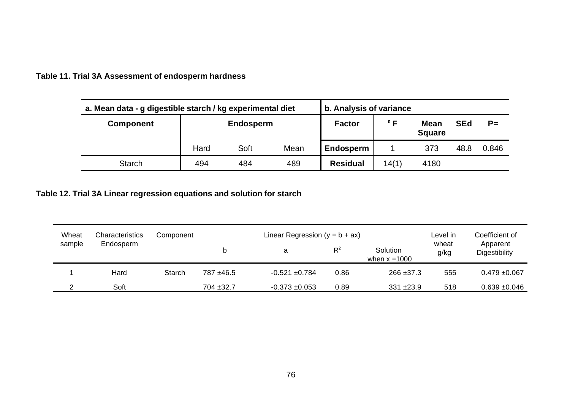| a. Mean data - g digestible starch / kg experimental diet | b. Analysis of variance |                  |      |                 |              |                              |            |       |
|-----------------------------------------------------------|-------------------------|------------------|------|-----------------|--------------|------------------------------|------------|-------|
| <b>Component</b>                                          |                         | <b>Endosperm</b> |      |                 | $^{\circ}$ F | <b>Mean</b><br><b>Square</b> | <b>SEd</b> | $P =$ |
|                                                           | Hard                    | Soft             | Mean | Endosperm       |              | 373                          | 48.8       | 0.846 |
| <b>Starch</b>                                             | 494                     | 484              | 489  | <b>Residual</b> | 14(1)        | 4180                         |            |       |

**Table 11. Trial 3A Assessment of endosperm hardness**

**Table 12. Trial 3A Linear regression equations and solution for starch**

| Wheat  | Characteristics | Component |           | Linear Regression $(y = b + ax)$ | Level in | Coefficient of              |               |                                  |
|--------|-----------------|-----------|-----------|----------------------------------|----------|-----------------------------|---------------|----------------------------------|
| sample | Endosperm       |           |           | a                                | $R^2$    | Solution<br>when $x = 1000$ | wheat<br>g/kg | Apparent<br><b>Digestibility</b> |
|        | Hard            | Starch    | 787 ±46.5 | $-0.521 + 0.784$                 | 0.86     | $266 + 37.3$                | 555           | $0.479 + 0.067$                  |
|        | Soft            |           | 704 ±32.7 | $-0.373 + 0.053$                 | 0.89     | $331 + 23.9$                | 518           | $0.639 + 0.046$                  |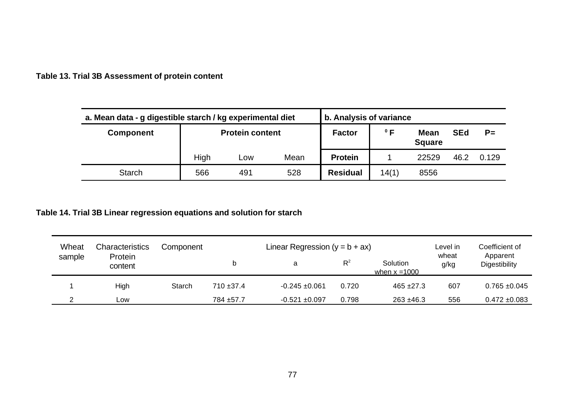**Table 13. Trial 3B Assessment of protein content**

| a. Mean data - g digestible starch / kg experimental diet | b. Analysis of variance |                               |      |                |              |                              |            |       |
|-----------------------------------------------------------|-------------------------|-------------------------------|------|----------------|--------------|------------------------------|------------|-------|
| <b>Component</b>                                          | <b>Protein content</b>  |                               |      | <b>Factor</b>  | $^{\circ}$ F | <b>Mean</b><br><b>Square</b> | <b>SEd</b> | $P=$  |
|                                                           | High                    | LOW                           | Mean | <b>Protein</b> |              | 22529                        | 46.2       | 0.129 |
| <b>Starch</b>                                             | 566                     | <b>Residual</b><br>528<br>491 |      |                | 14(1)        | 8556                         |            |       |

### **Table 14. Trial 3B Linear regression equations and solution for starch**

| Wheat  | Characteristics    | Component |              | Linear Regression ( $y = b + ax$ ) | Level in<br>wheat | Coefficient of              |      |                           |
|--------|--------------------|-----------|--------------|------------------------------------|-------------------|-----------------------------|------|---------------------------|
| sample | Protein<br>content |           |              | a                                  | $R^2$             | Solution<br>when $x = 1000$ | g/kg | Apparent<br>Digestibility |
|        | High               | Starch    | $710 + 37.4$ | $-0.245 + 0.061$                   | 0.720             | $465 + 27.3$                | 607  | $0.765 \pm 0.045$         |
|        | Low                |           | 784 ± 57.7   | $-0.521 + 0.097$                   | 0.798             | $263 + 46.3$                | 556  | $0.472 \pm 0.083$         |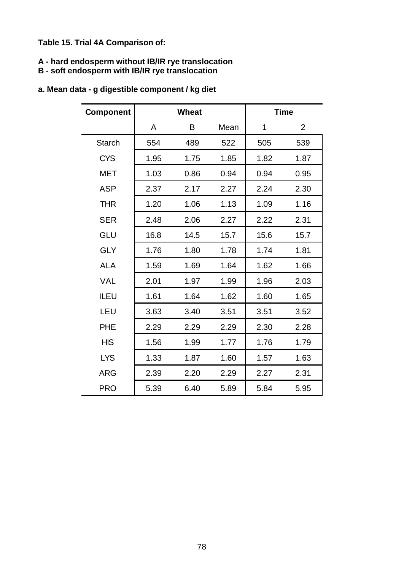**Table 15. Trial 4A Comparison of:**

#### **A - hard endosperm without IB/IR rye translocation**

#### **B - soft endosperm with IB/IR rye translocation**

| <b>Component</b> | <b>Wheat</b> |      |      |      | <b>Time</b>    |
|------------------|--------------|------|------|------|----------------|
|                  | A            | B    | Mean | 1    | $\overline{2}$ |
| <b>Starch</b>    | 554          | 489  | 522  | 505  | 539            |
| <b>CYS</b>       | 1.95         | 1.75 | 1.85 | 1.82 | 1.87           |
| <b>MET</b>       | 1.03         | 0.86 | 0.94 | 0.94 | 0.95           |
| <b>ASP</b>       | 2.37         | 2.17 | 2.27 | 2.24 | 2.30           |
| <b>THR</b>       | 1.20         | 1.06 | 1.13 | 1.09 | 1.16           |
| <b>SER</b>       | 2.48         | 2.06 | 2.27 | 2.22 | 2.31           |
| <b>GLU</b>       | 16.8         | 14.5 | 15.7 | 15.6 | 15.7           |
| <b>GLY</b>       | 1.76         | 1.80 | 1.78 | 1.74 | 1.81           |
| <b>ALA</b>       | 1.59         | 1.69 | 1.64 | 1.62 | 1.66           |
| <b>VAL</b>       | 2.01         | 1.97 | 1.99 | 1.96 | 2.03           |
| <b>ILEU</b>      | 1.61         | 1.64 | 1.62 | 1.60 | 1.65           |
| LEU              | 3.63         | 3.40 | 3.51 | 3.51 | 3.52           |
| <b>PHE</b>       | 2.29         | 2.29 | 2.29 | 2.30 | 2.28           |
| <b>HIS</b>       | 1.56         | 1.99 | 1.77 | 1.76 | 1.79           |
| <b>LYS</b>       | 1.33         | 1.87 | 1.60 | 1.57 | 1.63           |
| <b>ARG</b>       | 2.39         | 2.20 | 2.29 | 2.27 | 2.31           |
| <b>PRO</b>       | 5.39         | 6.40 | 5.89 | 5.84 | 5.95           |

### **a. Mean data - g digestible component / kg diet**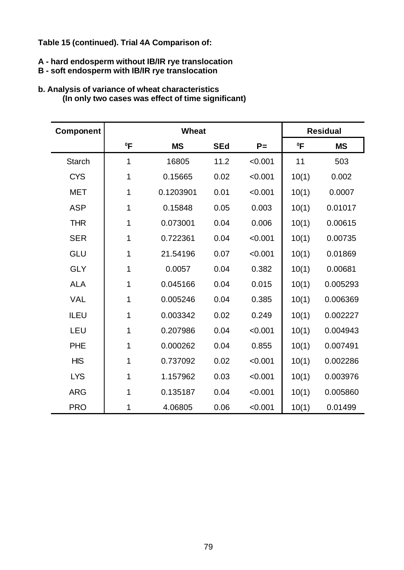#### **Table 15 (continued). Trial 4A Comparison of:**

#### **A - hard endosperm without IB/IR rye translocation**

#### **B - soft endosperm with IB/IR rye translocation**

# **Component Residual <sup>0</sup>F MS SEd P= <sup>0</sup>F MS** Starch | 1 16805 11.2 <0.001 | 11 503 CYS 1 0.15665 0.02 <0.001 10(1) 0.002 MET | 1 0.1203901 0.01 < 0.001 | 10(1) 0.0007 ASP | 1 0.15848 0.05 0.003 | 10(1) 0.01017 THR | 1 0.073001 0.04 0.006 10(1) 0.00615 SER | 1 0.722361 0.04 < 0.001 | 10(1) 0.00735 GLU | 1 21.54196 0.07 < 0.001 | 10(1) 0.01869 GLY 1 0.0057 0.04 0.382 10(1) 0.00681 ALA 1 0.045166 0.04 0.015 10(1) 0.005293 VAL 1 0.005246 0.04 0.385 10(1) 0.006369 ILEU 1 0.003342 0.02 0.249 10(1) 0.002227 LEU | 1 0.207986 0.04 < 0.001 | 10(1) 0.004943 PHE 1 0.000262 0.04 0.855 10(1) 0.007491 HIS 1 0.737092 0.02 <0.001 10(1) 0.002286 LYS | 1 1.157962 0.03 <0.001 | 10(1) 0.003976 ARG | 1 0.135187 0.04 < 0.001 10(1) 0.005860 PRO 1 4.06805 0.06 <0.001 10(1) 0.01499

#### **b. Analysis of variance of wheat characteristics (In only two cases was effect of time significant)**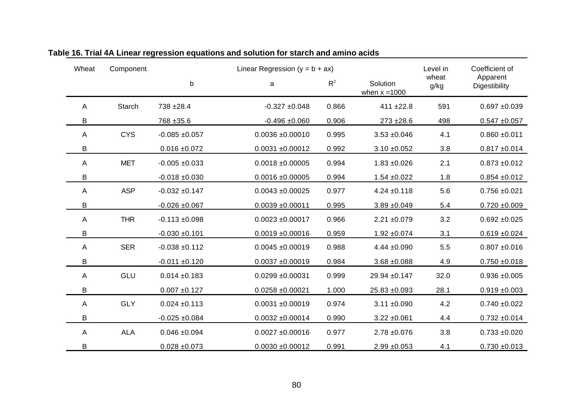| Wheat | Component     |                   | Linear Regression ( $y = b + ax$ ) |       |                             | Level in      | Coefficient of            |
|-------|---------------|-------------------|------------------------------------|-------|-----------------------------|---------------|---------------------------|
|       |               | $\mathsf b$       | a                                  | $R^2$ | Solution<br>when $x = 1000$ | wheat<br>g/kg | Apparent<br>Digestibility |
| Α     | <b>Starch</b> | 738 ± 28.4        | $-0.327 + 0.048$                   | 0.866 | $411 + 22.8$                | 591           | $0.697 + 0.039$           |
| B     |               | 768 ± 35.6        | $-0.496 + 0.060$                   | 0.906 | $273 + 28.6$                | 498           | $0.547 + 0.057$           |
| Α     | <b>CYS</b>    | $-0.085 + 0.057$  | $0.0036 + 0.00010$                 | 0.995 | $3.53 + 0.046$              | 4.1           | $0.860 + 0.011$           |
| В     |               | $0.016 + 0.072$   | $0.0031 + 0.00012$                 | 0.992 | $3.10 \pm 0.052$            | 3.8           | $0.817 + 0.014$           |
| Α     | <b>MET</b>    | $-0.005 + 0.033$  | $0.0018 + 0.00005$                 | 0.994 | $1.83 + 0.026$              | 2.1           | $0.873 + 0.012$           |
| В     |               | $-0.018 + 0.030$  | $0.0016 + 0.00005$                 | 0.994 | $1.54 \pm 0.022$            | 1.8           | $0.854 + 0.012$           |
| A     | <b>ASP</b>    | $-0.032 + 0.147$  | $0.0043 + 0.00025$                 | 0.977 | $4.24 \pm 0.118$            | 5.6           | $0.756 + 0.021$           |
| B     |               | $-0.026 + 0.067$  | $0.0039 + 0.00011$                 | 0.995 | $3.89 + 0.049$              | 5.4           | $0.720 + 0.009$           |
| A     | <b>THR</b>    | $-0.113 + 0.098$  | $0.0023 + 0.00017$                 | 0.966 | $2.21 \pm 0.079$            | 3.2           | $0.692 + 0.025$           |
| В     |               | $-0.030 + 0.101$  | $0.0019 + 0.00016$                 | 0.959 | $1.92 \pm 0.074$            | 3.1           | $0.619 + 0.024$           |
| А     | <b>SER</b>    | $-0.038 + 0.112$  | $0.0045 + 0.00019$                 | 0.988 | $4.44 \pm 0.090$            | 5.5           | $0.807 + 0.016$           |
| В     |               | $-0.011 + 0.120$  | $0.0037 + 0.00019$                 | 0.984 | $3.68 + 0.088$              | 4.9           | $0.750 + 0.018$           |
| Α     | GLU           | $0.014 \pm 0.183$ | $0.0299 + 0.00031$                 | 0.999 | 29.94 ±0.147                | 32.0          | $0.936 + 0.005$           |
| B     |               | $0.007 + 0.127$   | $0.0258 + 0.00021$                 | 1.000 | 25.83 ±0.093                | 28.1          | $0.919 + 0.003$           |
| A     | <b>GLY</b>    | $0.024 \pm 0.113$ | $0.0031 + 0.00019$                 | 0.974 | $3.11 \pm 0.090$            | 4.2           | $0.740 + 0.022$           |
| B     |               | $-0.025 + 0.084$  | $0.0032 \pm 0.00014$               | 0.990 | $3.22 \pm 0.061$            | 4.4           | $0.732 + 0.014$           |
| А     | <b>ALA</b>    | $0.046 + 0.094$   | $0.0027 + 0.00016$                 | 0.977 | $2.78 + 0.076$              | 3.8           | $0.733 + 0.020$           |
| B     |               | $0.028 + 0.073$   | $0.0030 + 0.00012$                 | 0.991 | $2.99 + 0.053$              | 4.1           | $0.730 + 0.013$           |

**Table 16. Trial 4A Linear regression equations and solution for starch and amino acids**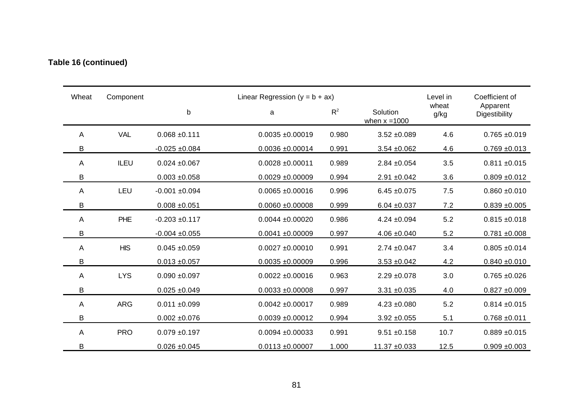## **Table 16 (continued)**

| Wheat | Component  |                    | Linear Regression ( $y = b + ax$ ) |       | Level in                    | Coefficient of |                           |
|-------|------------|--------------------|------------------------------------|-------|-----------------------------|----------------|---------------------------|
|       |            | $\mathsf b$        | a                                  | $R^2$ | Solution<br>when $x = 1000$ | wheat<br>g/kg  | Apparent<br>Digestibility |
| A     | <b>VAL</b> | $0.068 + 0.111$    | $0.0035 + 0.00019$                 | 0.980 | $3.52 + 0.089$              | 4.6            | $0.765 + 0.019$           |
| В     |            | $-0.025 + 0.084$   | $0.0036 + 0.00014$                 | 0.991 | $3.54 \pm 0.062$            | 4.6            | $0.769 + 0.013$           |
| A     | ILEU       | $0.024 \pm 0.067$  | $0.0028 + 0.00011$                 | 0.989 | $2.84 \pm 0.054$            | 3.5            | $0.811 \pm 0.015$         |
| B     |            | $0.003 + 0.058$    | $0.0029 + 0.00009$                 | 0.994 | $2.91 \pm 0.042$            | 3.6            | $0.809 + 0.012$           |
| A     | LEU        | $-0.001 + 0.094$   | $0.0065 + 0.00016$                 | 0.996 | $6.45 \pm 0.075$            | 7.5            | $0.860 + 0.010$           |
| B     |            | $0.008 + 0.051$    | $0.0060 + 0.00008$                 | 0.999 | $6.04 \pm 0.037$            | 7.2            | $0.839 + 0.005$           |
| A     | PHE        | $-0.203 + 0.117$   | $0.0044 \pm 0.00020$               | 0.986 | $4.24 \pm 0.094$            | 5.2            | $0.815 \pm 0.018$         |
| B     |            | $-0.004 \pm 0.055$ | $0.0041 + 0.00009$                 | 0.997 | $4.06 \pm 0.040$            | 5.2            | $0.781 + 0.008$           |
| A     | <b>HIS</b> | $0.045 + 0.059$    | $0.0027 + 0.00010$                 | 0.991 | $2.74 \pm 0.047$            | 3.4            | $0.805 + 0.014$           |
| В     |            | $0.013 \pm 0.057$  | $0.0035 + 0.00009$                 | 0.996 | $3.53 + 0.042$              | 4.2            | $0.840 + 0.010$           |
| A     | <b>LYS</b> | $0.090 + 0.097$    | $0.0022 \pm 0.00016$               | 0.963 | $2.29 + 0.078$              | 3.0            | $0.765 + 0.026$           |
| B     |            | $0.025 + 0.049$    | $0.0033 + 0.00008$                 | 0.997 | $3.31 + 0.035$              | 4.0            | $0.827 + 0.009$           |
| A     | <b>ARG</b> | $0.011 + 0.099$    | $0.0042 \pm 0.00017$               | 0.989 | $4.23 + 0.080$              | 5.2            | $0.814 \pm 0.015$         |
| В     |            | $0.002 + 0.076$    | $0.0039 + 0.00012$                 | 0.994 | $3.92 + 0.055$              | 5.1            | $0.768 + 0.011$           |
| A     | <b>PRO</b> | $0.079 + 0.197$    | $0.0094 + 0.00033$                 | 0.991 | $9.51 + 0.158$              | 10.7           | $0.889 + 0.015$           |
| B     |            | $0.026 \pm 0.045$  | $0.0113 + 0.00007$                 | 1.000 | $11.37 + 0.033$             | 12.5           | $0.909 + 0.003$           |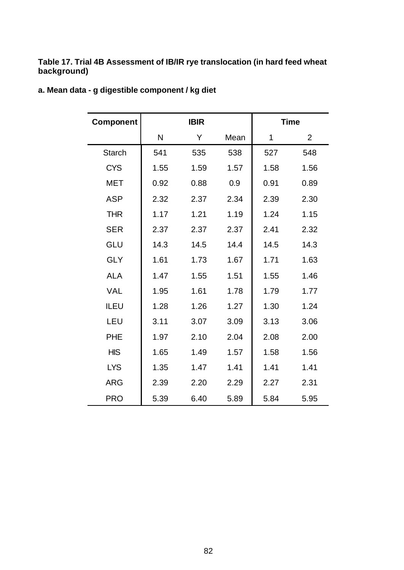#### **Table 17. Trial 4B Assessment of IB/IR rye translocation (in hard feed wheat background)**

| <b>Component</b> |      | <b>IBIR</b> |      |      | <b>Time</b>    |
|------------------|------|-------------|------|------|----------------|
|                  | N    | Υ           | Mean | 1    | $\overline{2}$ |
| <b>Starch</b>    | 541  | 535         | 538  | 527  | 548            |
| <b>CYS</b>       | 1.55 | 1.59        | 1.57 | 1.58 | 1.56           |
| <b>MET</b>       | 0.92 | 0.88        | 0.9  | 0.91 | 0.89           |
| <b>ASP</b>       | 2.32 | 2.37        | 2.34 | 2.39 | 2.30           |
| <b>THR</b>       | 1.17 | 1.21        | 1.19 | 1.24 | 1.15           |
| <b>SER</b>       | 2.37 | 2.37        | 2.37 | 2.41 | 2.32           |
| <b>GLU</b>       | 14.3 | 14.5        | 14.4 | 14.5 | 14.3           |
| <b>GLY</b>       | 1.61 | 1.73        | 1.67 | 1.71 | 1.63           |
| <b>ALA</b>       | 1.47 | 1.55        | 1.51 | 1.55 | 1.46           |
| <b>VAL</b>       | 1.95 | 1.61        | 1.78 | 1.79 | 1.77           |
| <b>ILEU</b>      | 1.28 | 1.26        | 1.27 | 1.30 | 1.24           |
| LEU              | 3.11 | 3.07        | 3.09 | 3.13 | 3.06           |
| <b>PHE</b>       | 1.97 | 2.10        | 2.04 | 2.08 | 2.00           |
| <b>HIS</b>       | 1.65 | 1.49        | 1.57 | 1.58 | 1.56           |
| <b>LYS</b>       | 1.35 | 1.47        | 1.41 | 1.41 | 1.41           |
| <b>ARG</b>       | 2.39 | 2.20        | 2.29 | 2.27 | 2.31           |
| <b>PRO</b>       | 5.39 | 6.40        | 5.89 | 5.84 | 5.95           |

### **a. Mean data - g digestible component / kg diet**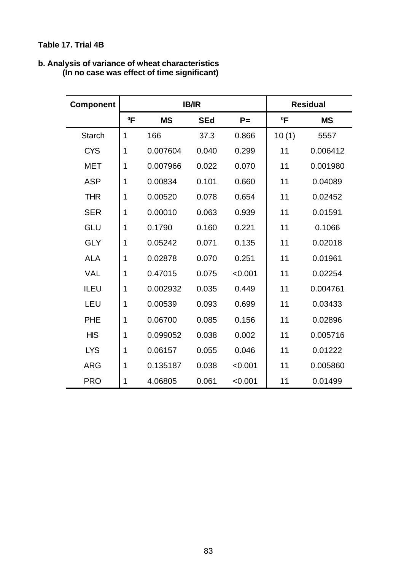### **Table 17. Trial 4B**

| <b>Component</b> |        | <b>IB/IR</b> |            |         | <b>Residual</b> |           |
|------------------|--------|--------------|------------|---------|-----------------|-----------|
|                  | $^0$ F | <b>MS</b>    | <b>SEd</b> | $P =$   | $^0$ F          | <b>MS</b> |
| <b>Starch</b>    | 1      | 166          | 37.3       | 0.866   | 10(1)           | 5557      |
| <b>CYS</b>       | 1      | 0.007604     | 0.040      | 0.299   | 11              | 0.006412  |
| <b>MET</b>       | 1      | 0.007966     | 0.022      | 0.070   | 11              | 0.001980  |
| <b>ASP</b>       | 1      | 0.00834      | 0.101      | 0.660   | 11              | 0.04089   |
| <b>THR</b>       | 1      | 0.00520      | 0.078      | 0.654   | 11              | 0.02452   |
| <b>SER</b>       | 1      | 0.00010      | 0.063      | 0.939   | 11              | 0.01591   |
| GLU              | 1      | 0.1790       | 0.160      | 0.221   | 11              | 0.1066    |
| <b>GLY</b>       | 1      | 0.05242      | 0.071      | 0.135   | 11              | 0.02018   |
| <b>ALA</b>       | 1      | 0.02878      | 0.070      | 0.251   | 11              | 0.01961   |
| <b>VAL</b>       | 1      | 0.47015      | 0.075      | < 0.001 | 11              | 0.02254   |
| <b>ILEU</b>      | 1      | 0.002932     | 0.035      | 0.449   | 11              | 0.004761  |
| LEU              | 1      | 0.00539      | 0.093      | 0.699   | 11              | 0.03433   |
| <b>PHE</b>       | 1      | 0.06700      | 0.085      | 0.156   | 11              | 0.02896   |
| <b>HIS</b>       | 1      | 0.099052     | 0.038      | 0.002   | 11              | 0.005716  |
| <b>LYS</b>       | 1      | 0.06157      | 0.055      | 0.046   | 11              | 0.01222   |
| <b>ARG</b>       | 1      | 0.135187     | 0.038      | < 0.001 | 11              | 0.005860  |
| <b>PRO</b>       | 1      | 4.06805      | 0.061      | < 0.001 | 11              | 0.01499   |

#### **b. Analysis of variance of wheat characteristics (In no case was effect of time significant)**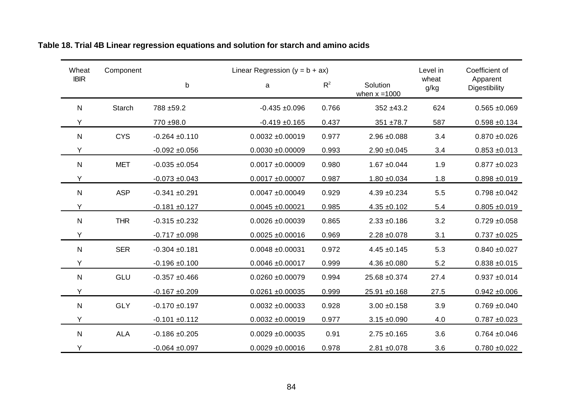| Wheat        | Component  |                  | Linear Regression ( $y = b + ax$ ) |                                      |                  |               | Coefficient of            |  |
|--------------|------------|------------------|------------------------------------|--------------------------------------|------------------|---------------|---------------------------|--|
| <b>IBIR</b>  |            | $\sf b$          | a                                  | $R^2$<br>Solution<br>when $x = 1000$ |                  | wheat<br>g/kg | Apparent<br>Digestibility |  |
| N            | Starch     | 788 ±59.2        | $-0.435 + 0.096$                   | 0.766                                | $352 + 43.2$     | 624           | $0.565 + 0.069$           |  |
| Y            |            | 770 ±98.0        | $-0.419 + 0.165$                   | 0.437                                | 351 ±78.7        | 587           | $0.598 + 0.134$           |  |
| $\mathsf{N}$ | <b>CYS</b> | $-0.264 + 0.110$ | $0.0032 + 0.00019$                 | 0.977                                | $2.96 \pm 0.088$ | 3.4           | $0.870 + 0.026$           |  |
| Υ            |            | $-0.092 + 0.056$ | $0.0030 + 0.00009$                 | 0.993                                | $2.90 + 0.045$   | 3.4           | $0.853 + 0.013$           |  |
| ${\sf N}$    | <b>MET</b> | $-0.035 + 0.054$ | $0.0017 + 0.00009$                 | 0.980                                | $1.67 + 0.044$   | 1.9           | $0.877 + 0.023$           |  |
| Y            |            | $-0.073 + 0.043$ | $0.0017 + 0.00007$                 | 0.987                                | $1.80 + 0.034$   | 1.8           | $0.898 + 0.019$           |  |
| $\mathsf{N}$ | <b>ASP</b> | $-0.341 + 0.291$ | $0.0047 + 0.00049$                 | 0.929                                | $4.39 + 0.234$   | 5.5           | $0.798 + 0.042$           |  |
| Υ            |            | $-0.181 + 0.127$ | $0.0045 + 0.00021$                 | 0.985                                | $4.35 + 0.102$   | 5.4           | $0.805 + 0.019$           |  |
| $\mathsf{N}$ | <b>THR</b> | $-0.315 + 0.232$ | $0.0026 + 0.00039$                 | 0.865                                | $2.33 + 0.186$   | 3.2           | $0.729 + 0.058$           |  |
| Υ            |            | $-0.717 + 0.098$ | $0.0025 \pm 0.00016$               | 0.969                                | $2.28 \pm 0.078$ | 3.1           | $0.737 + 0.025$           |  |
| ${\sf N}$    | <b>SER</b> | $-0.304 + 0.181$ | $0.0048 + 0.00031$                 | 0.972                                | $4.45 \pm 0.145$ | 5.3           | $0.840 + 0.027$           |  |
| Y            |            | $-0.196 + 0.100$ | $0.0046 + 0.00017$                 | 0.999                                | $4.36 \pm 0.080$ | 5.2           | $0.838 + 0.015$           |  |
| ${\sf N}$    | GLU        | $-0.357 + 0.466$ | $0.0260 + 0.00079$                 | 0.994                                | 25.68 ±0.374     | 27.4          | $0.937 + 0.014$           |  |
| Y            |            | $-0.167 + 0.209$ | $0.0261 + 0.00035$                 | 0.999                                | $25.91 + 0.168$  | 27.5          | $0.942 + 0.006$           |  |
| $\mathsf{N}$ | <b>GLY</b> | $-0.170 + 0.197$ | $0.0032 + 0.00033$                 | 0.928                                | $3.00 + 0.158$   | 3.9           | $0.769 + 0.040$           |  |
| Υ            |            | $-0.101 + 0.112$ | $0.0032 \pm 0.00019$               | 0.977                                | $3.15 \pm 0.090$ | 4.0           | $0.787 + 0.023$           |  |
| $\mathsf{N}$ | <b>ALA</b> | $-0.186 + 0.205$ | $0.0029 + 0.00035$                 | 0.91                                 | $2.75 + 0.165$   | 3.6           | $0.764 + 0.046$           |  |
| Y            |            | $-0.064 + 0.097$ | $0.0029 + 0.00016$                 | 0.978                                | $2.81 + 0.078$   | 3.6           | $0.780 + 0.022$           |  |

### **Table 18. Trial 4B Linear regression equations and solution for starch and amino acids**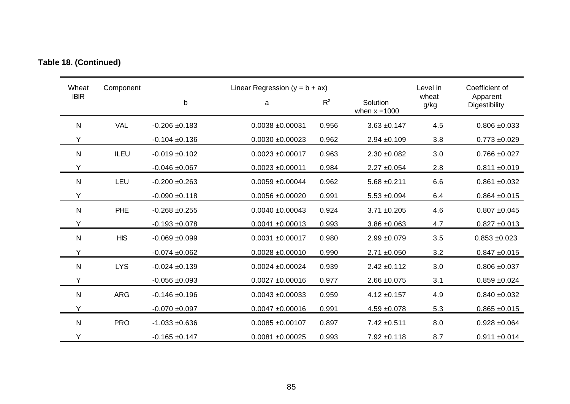| Wheat        | Component   |                    | Linear Regression ( $y = b + ax$ ) |       | Level in                    | Coefficient of |                           |
|--------------|-------------|--------------------|------------------------------------|-------|-----------------------------|----------------|---------------------------|
| <b>IBIR</b>  |             | b                  | a                                  |       | Solution<br>when $x = 1000$ | wheat<br>g/kg  | Apparent<br>Digestibility |
| ${\sf N}$    | <b>VAL</b>  | $-0.206 \pm 0.183$ | $0.0038 + 0.00031$                 | 0.956 | $3.63 + 0.147$              | 4.5            | $0.806 + 0.033$           |
| Υ            |             | $-0.104 + 0.136$   | $0.0030 + 0.00023$                 | 0.962 | $2.94 + 0.109$              | 3.8            | $0.773 + 0.029$           |
| $\mathsf{N}$ | <b>ILEU</b> | $-0.019 + 0.102$   | $0.0023 + 0.00017$                 | 0.963 | $2.30 + 0.082$              | 3.0            | $0.766 + 0.027$           |
| Y            |             | $-0.046 + 0.067$   | $0.0023 + 0.00011$                 | 0.984 | $2.27 \pm 0.054$            | 2.8            | $0.811 + 0.019$           |
| $\mathsf{N}$ | LEU         | $-0.200 + 0.263$   | $0.0059 + 0.00044$                 | 0.962 | $5.68 + 0.211$              | 6.6            | $0.861 + 0.032$           |
| Y            |             | $-0.090 + 0.118$   | $0.0056 + 0.00020$                 | 0.991 | $5.53 + 0.094$              | 6.4            | $0.864 + 0.015$           |
| ${\sf N}$    | <b>PHE</b>  | $-0.268 + 0.255$   | $0.0040 + 0.00043$                 | 0.924 | $3.71 + 0.205$              | 4.6            | $0.807 + 0.045$           |
| Y            |             | $-0.193 + 0.078$   | $0.0041 + 0.00013$                 | 0.993 | $3.86 \pm 0.063$            | 4.7            | $0.827 + 0.013$           |
| $\mathsf{N}$ | <b>HIS</b>  | $-0.069 + 0.099$   | $0.0031 + 0.00017$                 | 0.980 | $2.99 + 0.079$              | 3.5            | $0.853 + 0.023$           |
| Υ            |             | $-0.074 + 0.062$   | $0.0028 + 0.00010$                 | 0.990 | $2.71 \pm 0.050$            | 3.2            | $0.847 + 0.015$           |
| $\mathsf{N}$ | <b>LYS</b>  | $-0.024 \pm 0.139$ | $0.0024 \pm 0.00024$               | 0.939 | $2.42 \pm 0.112$            | 3.0            | $0.806 + 0.037$           |
| Y            |             | $-0.056 + 0.093$   | $0.0027 + 0.00016$                 | 0.977 | $2.66 \pm 0.075$            | 3.1            | $0.859 + 0.024$           |
| $\mathsf{N}$ | <b>ARG</b>  | $-0.146 + 0.196$   | $0.0043 + 0.00033$                 | 0.959 | $4.12 \pm 0.157$            | 4.9            | $0.840 + 0.032$           |
| Y            |             | $-0.070 + 0.097$   | $0.0047 + 0.00016$                 | 0.991 | $4.59 + 0.078$              | 5.3            | $0.865 + 0.015$           |
| $\mathsf{N}$ | <b>PRO</b>  | $-1.033 + 0.636$   | $0.0085 + 0.00107$                 | 0.897 | 7.42 ±0.511                 | 8.0            | $0.928 + 0.064$           |
| Y            |             | $-0.165 + 0.147$   | $0.0081 + 0.00025$                 | 0.993 | $7.92 \pm 0.118$            | 8.7            | $0.911 + 0.014$           |

## **Table 18. (Continued)**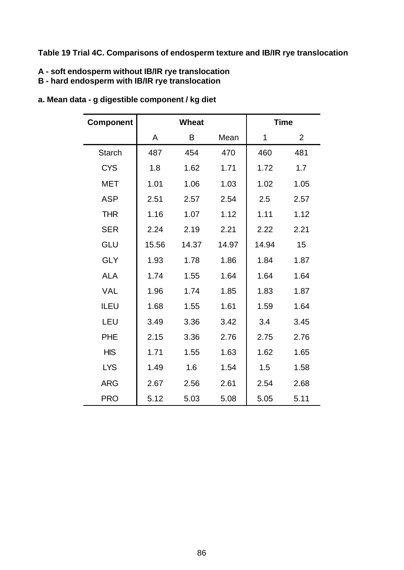### **Table 19 Trial 4C. Comparisons of endosperm texture and IB/IR rye translocation**

#### **A - soft endosperm without IB/IR rye translocation**

#### **B - hard endosperm with IB/IR rye translocation**

| Component     | <b>Wheat</b> |       |       | <b>Time</b> |                |
|---------------|--------------|-------|-------|-------------|----------------|
|               | A            | B     | Mean  | 1           | $\overline{2}$ |
| <b>Starch</b> | 487          | 454   | 470   | 460         | 481            |
| <b>CYS</b>    | 1.8          | 1.62  | 1.71  | 1.72        | 1.7            |
| <b>MET</b>    | 1.01         | 1.06  | 1.03  | 1.02        | 1.05           |
| <b>ASP</b>    | 2.51         | 2.57  | 2.54  | 2.5         | 2.57           |
| <b>THR</b>    | 1.16         | 1.07  | 1.12  | 1.11        | 1.12           |
| <b>SER</b>    | 2.24         | 2.19  | 2.21  | 2.22        | 2.21           |
| GLU           | 15.56        | 14.37 | 14.97 | 14.94       | 15             |
| <b>GLY</b>    | 1.93         | 1.78  | 1.86  | 1.84        | 1.87           |
| <b>ALA</b>    | 1.74         | 1.55  | 1.64  | 1.64        | 1.64           |
| <b>VAL</b>    | 1.96         | 1.74  | 1.85  | 1.83        | 1.87           |
| <b>ILEU</b>   | 1.68         | 1.55  | 1.61  | 1.59        | 1.64           |
| LEU           | 3.49         | 3.36  | 3.42  | 3.4         | 3.45           |
| <b>PHE</b>    | 2.15         | 3.36  | 2.76  | 2.75        | 2.76           |
| <b>HIS</b>    | 1.71         | 1.55  | 1.63  | 1.62        | 1.65           |
| <b>LYS</b>    | 1.49         | 1.6   | 1.54  | 1.5         | 1.58           |
| <b>ARG</b>    | 2.67         | 2.56  | 2.61  | 2.54        | 2.68           |
| <b>PRO</b>    | 5.12         | 5.03  | 5.08  | 5.05        | 5.11           |

### **a. Mean data - g digestible component / kg diet**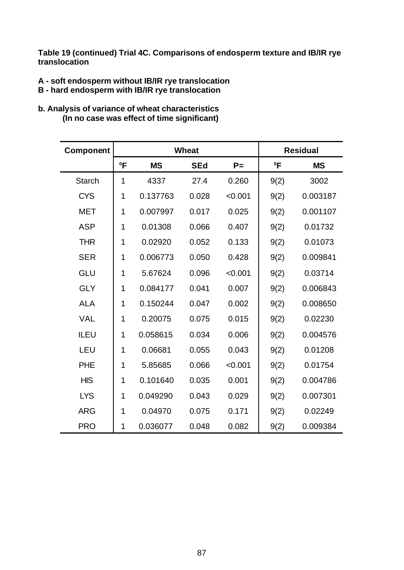**Table 19 (continued) Trial 4C. Comparisons of endosperm texture and IB/IR rye translocation** 

- **A soft endosperm without IB/IR rye translocation**
- **B hard endosperm with IB/IR rye translocation**
- **b. Analysis of variance of wheat characteristics (In no case was effect of time significant)**

| Component     |        |           | <b>Wheat</b> |         |        | <b>Residual</b> |
|---------------|--------|-----------|--------------|---------|--------|-----------------|
|               | $^0$ F | <b>MS</b> | <b>SEd</b>   | $P =$   | $^0$ F | <b>MS</b>       |
| <b>Starch</b> | 1      | 4337      | 27.4         | 0.260   | 9(2)   | 3002            |
| <b>CYS</b>    | 1      | 0.137763  | 0.028        | < 0.001 | 9(2)   | 0.003187        |
| <b>MET</b>    | 1      | 0.007997  | 0.017        | 0.025   | 9(2)   | 0.001107        |
| <b>ASP</b>    | 1      | 0.01308   | 0.066        | 0.407   | 9(2)   | 0.01732         |
| <b>THR</b>    | 1      | 0.02920   | 0.052        | 0.133   | 9(2)   | 0.01073         |
| <b>SER</b>    | 1      | 0.006773  | 0.050        | 0.428   | 9(2)   | 0.009841        |
| GLU           | 1      | 5.67624   | 0.096        | < 0.001 | 9(2)   | 0.03714         |
| <b>GLY</b>    | 1      | 0.084177  | 0.041        | 0.007   | 9(2)   | 0.006843        |
| <b>ALA</b>    | 1      | 0.150244  | 0.047        | 0.002   | 9(2)   | 0.008650        |
| <b>VAL</b>    | 1      | 0.20075   | 0.075        | 0.015   | 9(2)   | 0.02230         |
| <b>ILEU</b>   | 1      | 0.058615  | 0.034        | 0.006   | 9(2)   | 0.004576        |
| LEU           | 1      | 0.06681   | 0.055        | 0.043   | 9(2)   | 0.01208         |
| <b>PHE</b>    | 1      | 5.85685   | 0.066        | < 0.001 | 9(2)   | 0.01754         |
| <b>HIS</b>    | 1      | 0.101640  | 0.035        | 0.001   | 9(2)   | 0.004786        |
| <b>LYS</b>    | 1      | 0.049290  | 0.043        | 0.029   | 9(2)   | 0.007301        |
| <b>ARG</b>    | 1      | 0.04970   | 0.075        | 0.171   | 9(2)   | 0.02249         |
| <b>PRO</b>    | 1      | 0.036077  | 0.048        | 0.082   | 9(2)   | 0.009384        |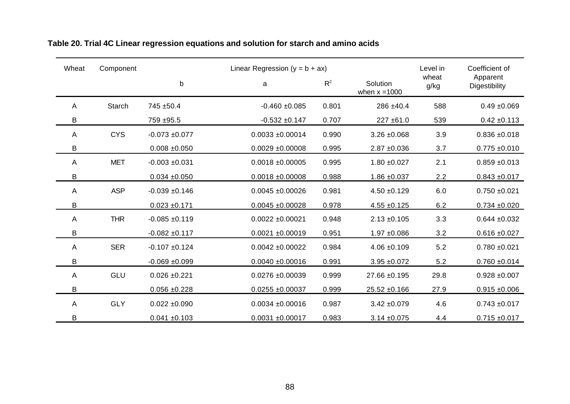| Wheat<br>Linear Regression ( $y = b + ax$ )<br>Component |            |                   |                      |       |                             | Level in      | Coefficient of            |
|----------------------------------------------------------|------------|-------------------|----------------------|-------|-----------------------------|---------------|---------------------------|
|                                                          |            | $\mathsf b$       | a                    | $R^2$ | Solution<br>when $x = 1000$ | wheat<br>g/kg | Apparent<br>Digestibility |
| A                                                        | Starch     | 745 ±50.4         | $-0.460 + 0.085$     | 0.801 | 286 ±40.4                   | 588           | $0.49 + 0.069$            |
| B                                                        |            | 759 ±95.5         | $-0.532 + 0.147$     | 0.707 | $227 \pm 61.0$              | 539           | $0.42 \pm 0.113$          |
| A                                                        | <b>CYS</b> | $-0.073 + 0.077$  | $0.0033 + 0.00014$   | 0.990 | $3.26 \pm 0.068$            | 3.9           | $0.836 + 0.018$           |
| B                                                        |            | $0.008 + 0.050$   | $0.0029 + 0.00008$   | 0.995 | $2.87 + 0.036$              | 3.7           | $0.775 + 0.010$           |
| A                                                        | <b>MET</b> | $-0.003 + 0.031$  | $0.0018 + 0.00005$   | 0.995 | $1.80 + 0.027$              | 2.1           | $0.859 + 0.013$           |
| B                                                        |            | $0.034 + 0.050$   | $0.0018 + 0.00008$   | 0.988 | $1.86 + 0.037$              | 2.2           | $0.843 + 0.017$           |
| A                                                        | <b>ASP</b> | $-0.039 + 0.146$  | $0.0045 + 0.00026$   | 0.981 | $4.50 + 0.129$              | 6.0           | $0.750 + 0.021$           |
| B                                                        |            | $0.023 \pm 0.171$ | $0.0045 + 0.00028$   | 0.978 | $4.55 \pm 0.125$            | 6.2           | $0.734 + 0.020$           |
| A                                                        | <b>THR</b> | $-0.085 + 0.119$  | $0.0022 \pm 0.00021$ | 0.948 | $2.13 \pm 0.105$            | 3.3           | $0.644 \pm 0.032$         |
| B                                                        |            | $-0.082 + 0.117$  | $0.0021 + 0.00019$   | 0.951 | $1.97 + 0.086$              | 3.2           | $0.616 \pm 0.027$         |
| Α                                                        | <b>SER</b> | $-0.107 + 0.124$  | $0.0042 \pm 0.00022$ | 0.984 | $4.06 \pm 0.109$            | 5.2           | $0.780 + 0.021$           |
| B                                                        |            | $-0.069 + 0.099$  | $0.0040 + 0.00016$   | 0.991 | $3.95 \pm 0.072$            | 5.2           | $0.760 + 0.014$           |
| A                                                        | GLU        | $0.026 + 0.221$   | $0.0276 + 0.00039$   | 0.999 | 27.66 ±0.195                | 29.8          | $0.928 + 0.007$           |
| B                                                        |            | $0.056 + 0.228$   | $0.0255 \pm 0.00037$ | 0.999 | $25.52 + 0.166$             | 27.9          | $0.915 + 0.006$           |
| A                                                        | <b>GLY</b> | $0.022 \pm 0.090$ | $0.0034 \pm 0.00016$ | 0.987 | $3.42 + 0.079$              | 4.6           | $0.743 + 0.017$           |
| B                                                        |            | $0.041 \pm 0.103$ | $0.0031 + 0.00017$   | 0.983 | $3.14 \pm 0.075$            | 4.4           | $0.715 \pm 0.017$         |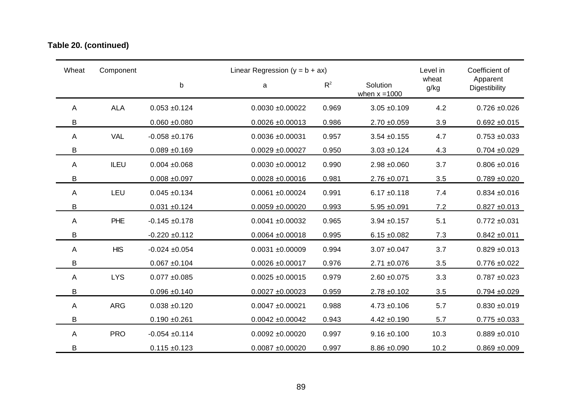### **Table 20. (continued)**

| Wheat          | Component  |                    | Linear Regression ( $y = b + ax$ ) |       |                             | Level in<br>wheat | Coefficient of            |
|----------------|------------|--------------------|------------------------------------|-------|-----------------------------|-------------------|---------------------------|
|                |            | $\sf b$            | a                                  | $R^2$ | Solution<br>when $x = 1000$ | g/kg              | Apparent<br>Digestibility |
| Α              | <b>ALA</b> | $0.053 + 0.124$    | $0.0030 + 0.00022$                 | 0.969 | $3.05 + 0.109$              | 4.2               | $0.726 \pm 0.026$         |
| B              |            | $0.060 + 0.080$    | $0.0026 \pm 0.00013$               | 0.986 | $2.70 + 0.059$              | 3.9               | $0.692 + 0.015$           |
| A              | <b>VAL</b> | $-0.058 + 0.176$   | $0.0036 + 0.00031$                 | 0.957 | $3.54 + 0.155$              | 4.7               | $0.753 + 0.033$           |
| B              |            | $0.089 + 0.169$    | $0.0029 + 0.00027$                 | 0.950 | $3.03 + 0.124$              | 4.3               | $0.704 \pm 0.029$         |
| A              | ILEU       | $0.004 \pm 0.068$  | $0.0030 + 0.00012$                 | 0.990 | $2.98 + 0.060$              | 3.7               | $0.806 + 0.016$           |
| B              |            | $0.008 + 0.097$    | $0.0028 + 0.00016$                 | 0.981 | $2.76 \pm 0.071$            | 3.5               | $0.789 + 0.020$           |
| A              | LEU        | $0.045 + 0.134$    | $0.0061 + 0.00024$                 | 0.991 | $6.17 \pm 0.118$            | 7.4               | $0.834 + 0.016$           |
| B              |            | $0.031 + 0.124$    | $0.0059 + 0.00020$                 | 0.993 | $5.95 + 0.091$              | 7.2               | $0.827 + 0.013$           |
| $\overline{A}$ | PHE        | $-0.145 + 0.178$   | $0.0041 + 0.00032$                 | 0.965 | $3.94 \pm 0.157$            | 5.1               | $0.772 \pm 0.031$         |
| B              |            | $-0.220 \pm 0.112$ | $0.0064 + 0.00018$                 | 0.995 | $6.15 \pm 0.082$            | 7.3               | $0.842 \pm 0.011$         |
| $\overline{A}$ | <b>HIS</b> | $-0.024 \pm 0.054$ | $0.0031 + 0.00009$                 | 0.994 | $3.07 + 0.047$              | 3.7               | $0.829 + 0.013$           |
| B              |            | $0.067 + 0.104$    | $0.0026 + 0.00017$                 | 0.976 | $2.71 + 0.076$              | 3.5               | $0.776 + 0.022$           |
| A              | <b>LYS</b> | $0.077 + 0.085$    | $0.0025 \pm 0.00015$               | 0.979 | $2.60 + 0.075$              | 3.3               | $0.787 + 0.023$           |
| B              |            | $0.096 + 0.140$    | $0.0027 + 0.00023$                 | 0.959 | $2.78 + 0.102$              | 3.5               | $0.794 + 0.029$           |
| A              | <b>ARG</b> | $0.038 + 0.120$    | $0.0047 + 0.00021$                 | 0.988 | $4.73 + 0.106$              | 5.7               | $0.830 + 0.019$           |
| B              |            | $0.190 + 0.261$    | $0.0042 \pm 0.00042$               | 0.943 | $4.42 \pm 0.190$            | 5.7               | $0.775 \pm 0.033$         |
| $\overline{A}$ | <b>PRO</b> | $-0.054 \pm 0.114$ | $0.0092 + 0.00020$                 | 0.997 | $9.16 \pm 0.100$            | 10.3              | $0.889 + 0.010$           |
| B              |            | $0.115 \pm 0.123$  | $0.0087 + 0.00020$                 | 0.997 | $8.86 \pm 0.090$            | 10.2              | $0.869 + 0.009$           |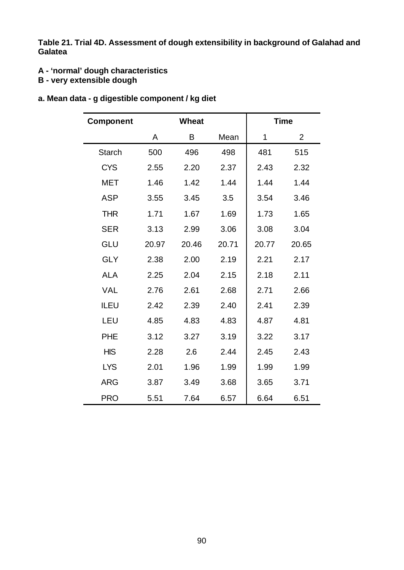**Table 21. Trial 4D. Assessment of dough extensibility in background of Galahad and Galatea**

- **A 'normal' dough characteristics**
- **B very extensible dough**

|  |  |  |  | a. Mean data - g digestible component / kg diet |  |
|--|--|--|--|-------------------------------------------------|--|
|--|--|--|--|-------------------------------------------------|--|

| <b>Component</b> |       | <b>Wheat</b> |       |       | <b>Time</b>    |
|------------------|-------|--------------|-------|-------|----------------|
|                  | A     | Β            | Mean  | 1     | $\overline{2}$ |
| <b>Starch</b>    | 500   | 496          | 498   | 481   | 515            |
| <b>CYS</b>       | 2.55  | 2.20         | 2.37  | 2.43  | 2.32           |
| <b>MET</b>       | 1.46  | 1.42         | 1.44  | 1.44  | 1.44           |
| <b>ASP</b>       | 3.55  | 3.45         | 3.5   | 3.54  | 3.46           |
| <b>THR</b>       | 1.71  | 1.67         | 1.69  | 1.73  | 1.65           |
| <b>SER</b>       | 3.13  | 2.99         | 3.06  | 3.08  | 3.04           |
| GLU              | 20.97 | 20.46        | 20.71 | 20.77 | 20.65          |
| <b>GLY</b>       | 2.38  | 2.00         | 2.19  | 2.21  | 2.17           |
| <b>ALA</b>       | 2.25  | 2.04         | 2.15  | 2.18  | 2.11           |
| <b>VAL</b>       | 2.76  | 2.61         | 2.68  | 2.71  | 2.66           |
| <b>ILEU</b>      | 2.42  | 2.39         | 2.40  | 2.41  | 2.39           |
| LEU              | 4.85  | 4.83         | 4.83  | 4.87  | 4.81           |
| <b>PHE</b>       | 3.12  | 3.27         | 3.19  | 3.22  | 3.17           |
| <b>HIS</b>       | 2.28  | 2.6          | 2.44  | 2.45  | 2.43           |
| <b>LYS</b>       | 2.01  | 1.96         | 1.99  | 1.99  | 1.99           |
| <b>ARG</b>       | 3.87  | 3.49         | 3.68  | 3.65  | 3.71           |
| <b>PRO</b>       | 5.51  | 7.64         | 6.57  | 6.64  | 6.51           |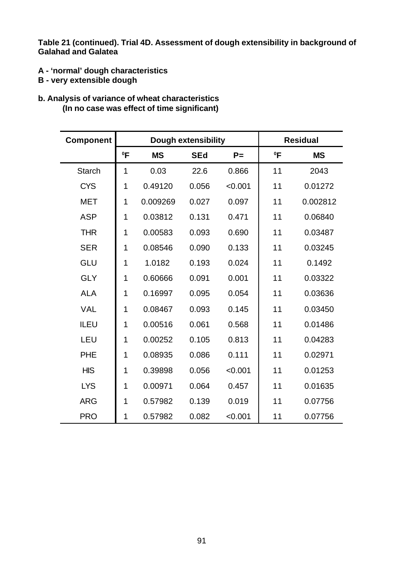**Table 21 (continued). Trial 4D. Assessment of dough extensibility in background of Galahad and Galatea**

- **A 'normal' dough characteristics**
- **B very extensible dough**
- **b. Analysis of variance of wheat characteristics (In no case was effect of time significant)**

| <b>Component</b> |        | <b>Dough extensibility</b> | <b>Residual</b> |         |        |           |
|------------------|--------|----------------------------|-----------------|---------|--------|-----------|
|                  | $^0$ F | <b>MS</b>                  | <b>SEd</b>      | $P =$   | $^0$ F | <b>MS</b> |
| <b>Starch</b>    | 1      | 0.03                       | 22.6            | 0.866   | 11     | 2043      |
| <b>CYS</b>       | 1      | 0.49120                    | 0.056           | < 0.001 | 11     | 0.01272   |
| <b>MET</b>       | 1      | 0.009269                   | 0.027           | 0.097   | 11     | 0.002812  |
| <b>ASP</b>       | 1      | 0.03812                    | 0.131           | 0.471   | 11     | 0.06840   |
| <b>THR</b>       | 1      | 0.00583                    | 0.093           | 0.690   | 11     | 0.03487   |
| <b>SER</b>       | 1      | 0.08546                    | 0.090           | 0.133   | 11     | 0.03245   |
| <b>GLU</b>       | 1      | 1.0182                     | 0.193           | 0.024   | 11     | 0.1492    |
| <b>GLY</b>       | 1      | 0.60666                    | 0.091           | 0.001   | 11     | 0.03322   |
| <b>ALA</b>       | 1      | 0.16997                    | 0.095           | 0.054   | 11     | 0.03636   |
| <b>VAL</b>       | 1      | 0.08467                    | 0.093           | 0.145   | 11     | 0.03450   |
| ILEU             | 1      | 0.00516                    | 0.061           | 0.568   | 11     | 0.01486   |
| LEU              | 1      | 0.00252                    | 0.105           | 0.813   | 11     | 0.04283   |
| <b>PHE</b>       | 1      | 0.08935                    | 0.086           | 0.111   | 11     | 0.02971   |
| <b>HIS</b>       | 1      | 0.39898                    | 0.056           | < 0.001 | 11     | 0.01253   |
| <b>LYS</b>       | 1      | 0.00971                    | 0.064           | 0.457   | 11     | 0.01635   |
| <b>ARG</b>       | 1      | 0.57982                    | 0.139           | 0.019   | 11     | 0.07756   |
| <b>PRO</b>       | 1      | 0.57982                    | 0.082           | < 0.001 | 11     | 0.07756   |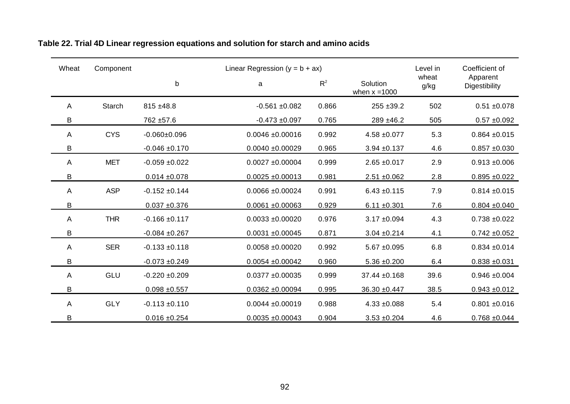| Wheat | Component  |                    | Linear Regression ( $y = b + ax$ ) |       |                             | Level in      | Coefficient of            |
|-------|------------|--------------------|------------------------------------|-------|-----------------------------|---------------|---------------------------|
|       |            | $\mathsf b$        | a                                  | $R^2$ | Solution<br>when $x = 1000$ | wheat<br>g/kg | Apparent<br>Digestibility |
| A     | Starch     | $815 + 48.8$       | $-0.561 + 0.082$                   | 0.866 | $255 + 39.2$                | 502           | $0.51 + 0.078$            |
| B     |            | 762 ±57.6          | $-0.473 + 0.097$                   | 0.765 | 289 ±46.2                   | 505           | $0.57 + 0.092$            |
| A     | <b>CYS</b> | $-0.060+0.096$     | $0.0046 + 0.00016$                 | 0.992 | $4.58 + 0.077$              | 5.3           | $0.864 \pm 0.015$         |
| B     |            | $-0.046 + 0.170$   | $0.0040 + 0.00029$                 | 0.965 | $3.94 + 0.137$              | 4.6           | $0.857 + 0.030$           |
| A     | <b>MET</b> | $-0.059 + 0.022$   | $0.0027 + 0.00004$                 | 0.999 | $2.65 + 0.017$              | 2.9           | $0.913 + 0.006$           |
| B     |            | $0.014 + 0.078$    | $0.0025 \pm 0.00013$               | 0.981 | $2.51 + 0.062$              | 2.8           | $0.895 + 0.022$           |
| A     | <b>ASP</b> | $-0.152 + 0.144$   | $0.0066 \pm 0.00024$               | 0.991 | $6.43 \pm 0.115$            | 7.9           | $0.814 \pm 0.015$         |
| B     |            | $0.037 + 0.376$    | $0.0061 + 0.00063$                 | 0.929 | $6.11 \pm 0.301$            | 7.6           | $0.804 + 0.040$           |
| A     | <b>THR</b> | $-0.166 \pm 0.117$ | $0.0033 + 0.00020$                 | 0.976 | $3.17 + 0.094$              | 4.3           | $0.738 + 0.022$           |
| B     |            | $-0.084 + 0.267$   | $0.0031 + 0.00045$                 | 0.871 | $3.04 \pm 0.214$            | 4.1           | $0.742 \pm 0.052$         |
| A     | <b>SER</b> | $-0.133 + 0.118$   | $0.0058 + 0.00020$                 | 0.992 | $5.67 + 0.095$              | 6.8           | $0.834 + 0.014$           |
| B     |            | $-0.073 + 0.249$   | $0.0054 \pm 0.00042$               | 0.960 | $5.36 \pm 0.200$            | 6.4           | $0.838 + 0.031$           |
| A     | GLU        | $-0.220 + 0.209$   | $0.0377 + 0.00035$                 | 0.999 | 37.44 ±0.168                | 39.6          | $0.946 + 0.004$           |
| В     |            | $0.098 + 0.557$    | $0.0362 + 0.00094$                 | 0.995 | $36.30 + 0.447$             | 38.5          | $0.943 + 0.012$           |
| A     | <b>GLY</b> | $-0.113 + 0.110$   | $0.0044 + 0.00019$                 | 0.988 | $4.33 + 0.088$              | 5.4           | $0.801 + 0.016$           |
| B     |            | $0.016 + 0.254$    | $0.0035 + 0.00043$                 | 0.904 | $3.53 + 0.204$              | 4.6           | $0.768 + 0.044$           |

**Table 22. Trial 4D Linear regression equations and solution for starch and amino acids**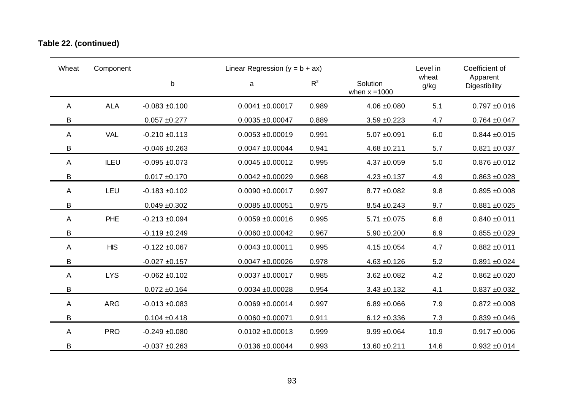### **Table 22. (continued)**

| Wheat          | Component  |                   | Linear Regression ( $y = b + ax$ ) |       |                             | Level in      | Coefficient of            |
|----------------|------------|-------------------|------------------------------------|-------|-----------------------------|---------------|---------------------------|
|                |            | b                 | $\mathsf{a}$                       | $R^2$ | Solution<br>when $x = 1000$ | wheat<br>g/kg | Apparent<br>Digestibility |
| A              | <b>ALA</b> | $-0.083 + 0.100$  | $0.0041 + 0.00017$                 | 0.989 | $4.06 \pm 0.080$            | 5.1           | $0.797 + 0.016$           |
| B              |            | $0.057 + 0.277$   | $0.0035 + 0.00047$                 | 0.889 | $3.59 + 0.223$              | 4.7           | $0.764 + 0.047$           |
| $\overline{A}$ | <b>VAL</b> | $-0.210 + 0.113$  | $0.0053 + 0.00019$                 | 0.991 | $5.07 + 0.091$              | 6.0           | $0.844 \pm 0.015$         |
| B              |            | $-0.046 + 0.263$  | $0.0047 + 0.00044$                 | 0.941 | $4.68 + 0.211$              | 5.7           | $0.821 + 0.037$           |
| A              | ILEU       | $-0.095 + 0.073$  | $0.0045 + 0.00012$                 | 0.995 | $4.37 + 0.059$              | 5.0           | $0.876 + 0.012$           |
| B              |            | $0.017 + 0.170$   | $0.0042 \pm 0.00029$               | 0.968 | $4.23 \pm 0.137$            | 4.9           | $0.863 + 0.028$           |
| A              | LEU        | $-0.183 + 0.102$  | $0.0090 + 0.00017$                 | 0.997 | $8.77 \pm 0.082$            | 9.8           | $0.895 + 0.008$           |
| B              |            | $0.049 + 0.302$   | $0.0085 + 0.00051$                 | 0.975 | $8.54 \pm 0.243$            | 9.7           | $0.881 + 0.025$           |
| $\overline{A}$ | PHE        | $-0.213 + 0.094$  | $0.0059 + 0.00016$                 | 0.995 | $5.71 \pm 0.075$            | 6.8           | $0.840 + 0.011$           |
| B              |            | $-0.119 + 0.249$  | $0.0060 + 0.00042$                 | 0.967 | $5.90 + 0.200$              | 6.9           | $0.855 + 0.029$           |
| A              | <b>HIS</b> | $-0.122 + 0.067$  | $0.0043 + 0.00011$                 | 0.995 | $4.15 \pm 0.054$            | 4.7           | $0.882 + 0.011$           |
| B              |            | $-0.027 + 0.157$  | $0.0047 + 0.00026$                 | 0.978 | $4.63 + 0.126$              | 5.2           | $0.891 + 0.024$           |
| $\overline{A}$ | <b>LYS</b> | $-0.062 + 0.102$  | $0.0037 + 0.00017$                 | 0.985 | $3.62 + 0.082$              | 4.2           | $0.862 + 0.020$           |
| B              |            | $0.072 \pm 0.164$ | $0.0034 + 0.00028$                 | 0.954 | $3.43 + 0.132$              | 4.1           | $0.837 + 0.032$           |
| $\overline{A}$ | <b>ARG</b> | $-0.013 + 0.083$  | $0.0069 + 0.00014$                 | 0.997 | $6.89 + 0.066$              | 7.9           | $0.872 + 0.008$           |
| B              |            | $0.104 + 0.418$   | $0.0060 + 0.00071$                 | 0.911 | $6.12 \pm 0.336$            | 7.3           | $0.839 + 0.046$           |
| A              | <b>PRO</b> | $-0.249 + 0.080$  | $0.0102 \pm 0.00013$               | 0.999 | $9.99 \pm 0.064$            | 10.9          | $0.917 + 0.006$           |
| B              |            | $-0.037 + 0.263$  | $0.0136 + 0.00044$                 | 0.993 | 13.60 ±0.211                | 14.6          | $0.932 + 0.014$           |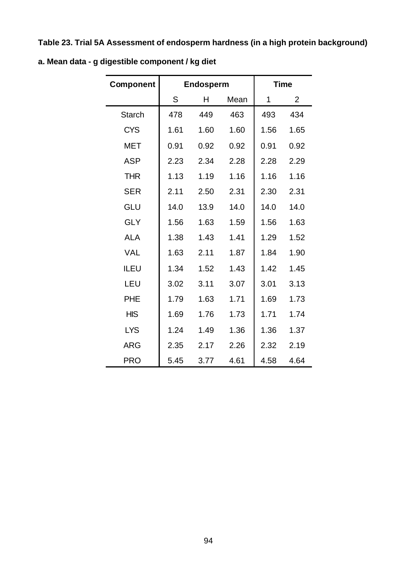**Table 23. Trial 5A Assessment of endosperm hardness (in a high protein background)**

| <b>Component</b> |      | Endosperm |      |      | <b>Time</b>    |
|------------------|------|-----------|------|------|----------------|
|                  | S    | Н         | Mean | 1    | $\overline{2}$ |
| <b>Starch</b>    | 478  | 449       | 463  | 493  | 434            |
| <b>CYS</b>       | 1.61 | 1.60      | 1.60 | 1.56 | 1.65           |
| <b>MET</b>       | 0.91 | 0.92      | 0.92 | 0.91 | 0.92           |
| <b>ASP</b>       | 2.23 | 2.34      | 2.28 | 2.28 | 2.29           |
| <b>THR</b>       | 1.13 | 1.19      | 1.16 | 1.16 | 1.16           |
| <b>SER</b>       | 2.11 | 2.50      | 2.31 | 2.30 | 2.31           |
| GLU              | 14.0 | 13.9      | 14.0 | 14.0 | 14.0           |
| <b>GLY</b>       | 1.56 | 1.63      | 1.59 | 1.56 | 1.63           |
| <b>ALA</b>       | 1.38 | 1.43      | 1.41 | 1.29 | 1.52           |
| <b>VAL</b>       | 1.63 | 2.11      | 1.87 | 1.84 | 1.90           |
| <b>ILEU</b>      | 1.34 | 1.52      | 1.43 | 1.42 | 1.45           |
| LEU              | 3.02 | 3.11      | 3.07 | 3.01 | 3.13           |
| <b>PHE</b>       | 1.79 | 1.63      | 1.71 | 1.69 | 1.73           |
| <b>HIS</b>       | 1.69 | 1.76      | 1.73 | 1.71 | 1.74           |
| <b>LYS</b>       | 1.24 | 1.49      | 1.36 | 1.36 | 1.37           |
| <b>ARG</b>       | 2.35 | 2.17      | 2.26 | 2.32 | 2.19           |
| <b>PRO</b>       | 5.45 | 3.77      | 4.61 | 4.58 | 4.64           |

**a. Mean data - g digestible component / kg diet**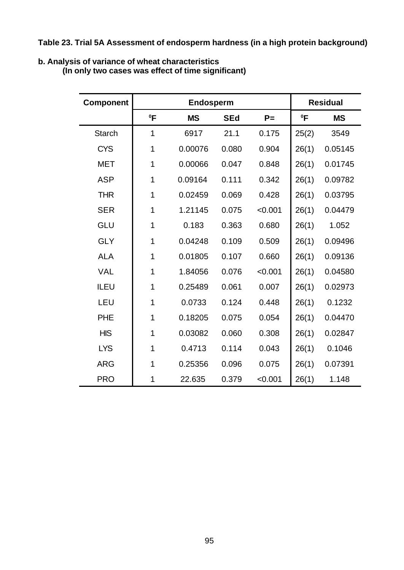**Table 23. Trial 5A Assessment of endosperm hardness (in a high protein background)**

#### **b. Analysis of variance of wheat characteristics**

**(In only two cases was effect of time significant)**

| <b>Component</b> |             | <b>Endosperm</b> | <b>Residual</b> |         |        |           |
|------------------|-------------|------------------|-----------------|---------|--------|-----------|
|                  | $^0$ F      | <b>MS</b>        | <b>SEd</b>      | $P =$   | $^0$ F | <b>MS</b> |
| <b>Starch</b>    | 1           | 6917             | 21.1            | 0.175   | 25(2)  | 3549      |
| <b>CYS</b>       | 1           | 0.00076          | 0.080           | 0.904   | 26(1)  | 0.05145   |
| <b>MET</b>       | 1           | 0.00066          | 0.047           | 0.848   | 26(1)  | 0.01745   |
| <b>ASP</b>       | 1           | 0.09164          | 0.111           | 0.342   | 26(1)  | 0.09782   |
| <b>THR</b>       | $\mathbf 1$ | 0.02459          | 0.069           | 0.428   | 26(1)  | 0.03795   |
| <b>SER</b>       | 1           | 1.21145          | 0.075           | < 0.001 | 26(1)  | 0.04479   |
| GLU              | 1<br>0.183  |                  | 0.363           | 0.680   | 26(1)  | 1.052     |
| <b>GLY</b>       | 1           | 0.04248          | 0.109           | 0.509   | 26(1)  | 0.09496   |
| <b>ALA</b>       | 1           | 0.01805          | 0.107           | 0.660   |        | 0.09136   |
| <b>VAL</b>       | 1           | 1.84056          | 0.076           | < 0.001 | 26(1)  | 0.04580   |
| <b>ILEU</b>      | $\mathbf 1$ | 0.25489          | 0.061           | 0.007   | 26(1)  | 0.02973   |
| LEU              | 1           | 0.0733           | 0.124           | 0.448   | 26(1)  | 0.1232    |
| <b>PHE</b>       | 1           | 0.18205          | 0.075           | 0.054   | 26(1)  | 0.04470   |
| <b>HIS</b>       | 1           | 0.03082          | 0.060           | 0.308   | 26(1)  | 0.02847   |
| <b>LYS</b>       | 1           | 0.4713           | 0.114           | 0.043   | 26(1)  | 0.1046    |
| <b>ARG</b>       | 1           | 0.25356          | 0.096           | 0.075   |        | 0.07391   |
| <b>PRO</b>       | 1           | 22.635           | 0.379           | < 0.001 | 26(1)  | 1.148     |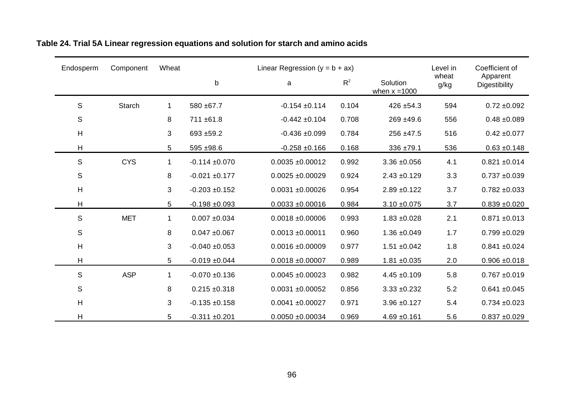| Endosperm     | Component     | Wheat       |                    | Linear Regression $(y = b + ax)$ |       |                             | Level in      | Coefficient of            |
|---------------|---------------|-------------|--------------------|----------------------------------|-------|-----------------------------|---------------|---------------------------|
|               |               |             | b                  | a                                | $R^2$ | Solution<br>when $x = 1000$ | wheat<br>g/kg | Apparent<br>Digestibility |
| $\mathsf S$   | <b>Starch</b> | $\mathbf 1$ | 580 ±67.7          | $-0.154 \pm 0.114$               | 0.104 | $426 + 54.3$                | 594           | $0.72 + 0.092$            |
| ${\mathsf S}$ |               | 8           | 711 ±61.8          | $-0.442 \pm 0.104$               | 0.708 | $269 + 49.6$                | 556           | $0.48 + 0.089$            |
| H             |               | 3           | 693 ±59.2          | $-0.436 + 0.099$                 | 0.784 | 256 ±47.5                   | 516           | $0.42 \pm 0.077$          |
| Н             |               | 5           | $595 + 98.6$       | $-0.258 + 0.166$                 | 0.168 | 336 ±79.1                   | 536           | $0.63 + 0.148$            |
| $\mathsf S$   | <b>CYS</b>    | $\mathbf 1$ | $-0.114 + 0.070$   | $0.0035 + 0.00012$               | 0.992 | $3.36 + 0.056$              | 4.1           | $0.821 + 0.014$           |
| ${\mathsf S}$ |               | 8           | $-0.021 + 0.177$   | $0.0025 + 0.00029$               | 0.924 | $2.43 \pm 0.129$            | 3.3           | $0.737 + 0.039$           |
| H             |               | 3           | $-0.203 + 0.152$   | $0.0031 + 0.00026$               | 0.954 | $2.89 + 0.122$              | 3.7           | $0.782 + 0.033$           |
| Η             |               | 5           | $-0.198 + 0.093$   | $0.0033 + 0.00016$               | 0.984 | $3.10 \pm 0.075$            | 3.7           | $0.839 + 0.020$           |
| $\mathsf S$   | <b>MET</b>    | $\mathbf 1$ | $0.007 + 0.034$    | $0.0018 + 0.00006$               | 0.993 | $1.83 + 0.028$              | 2.1           | $0.871 + 0.013$           |
| $\mathsf S$   |               | 8           | $0.047 + 0.067$    | $0.0013 \pm 0.00011$             | 0.960 | $1.36 \pm 0.049$            | 1.7           | $0.799 + 0.029$           |
| H             |               | 3           | $-0.040 + 0.053$   | $0.0016 + 0.00009$               | 0.977 | $1.51 \pm 0.042$            | 1.8           | $0.841 + 0.024$           |
| Н             |               | 5           | $-0.019 + 0.044$   | $0.0018 + 0.00007$               | 0.989 | $1.81 + 0.035$              | 2.0           | $0.906 \pm 0.018$         |
| $\mathsf S$   | <b>ASP</b>    | $\mathbf 1$ | $-0.070 + 0.136$   | $0.0045 \pm 0.00023$             | 0.982 | $4.45 + 0.109$              | 5.8           | $0.767 + 0.019$           |
| $\mathsf S$   |               | 8           | $0.215 \pm 0.318$  | $0.0031 + 0.00052$               | 0.856 | $3.33 + 0.232$              | 5.2           | $0.641 + 0.045$           |
| H             |               | 3           | $-0.135 + 0.158$   | $0.0041 + 0.00027$               | 0.971 | $3.96 + 0.127$              | 5.4           | $0.734 + 0.023$           |
| H             |               | 5           | $-0.311 \pm 0.201$ | $0.0050 + 0.00034$               | 0.969 | $4.69 + 0.161$              | 5.6           | $0.837 + 0.029$           |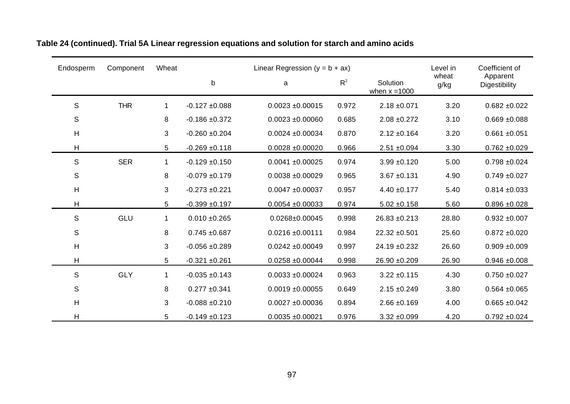| Endosperm      | Component  | Wheat          | Linear Regression ( $y = b + ax$ ) |                      |       | Level in                    | Coefficient of |                           |
|----------------|------------|----------------|------------------------------------|----------------------|-------|-----------------------------|----------------|---------------------------|
|                |            |                | $\sf b$                            | a                    | $R^2$ | Solution<br>when $x = 1000$ | wheat<br>g/kg  | Apparent<br>Digestibility |
| $\mathbb S$    | <b>THR</b> | 1              | $-0.127 + 0.088$                   | $0.0023 \pm 0.00015$ | 0.972 | $2.18 \pm 0.071$            | 3.20           | $0.682 + 0.022$           |
| S              |            | 8              | $-0.186 + 0.372$                   | $0.0023 + 0.00060$   | 0.685 | $2.08 \pm 0.272$            | 3.10           | $0.669 + 0.088$           |
| Н              |            | 3              | $-0.260 + 0.204$                   | $0.0024 \pm 0.00034$ | 0.870 | $2.12 \pm 0.164$            | 3.20           | $0.661 + 0.051$           |
| H              |            | 5              | $-0.269 + 0.118$                   | $0.0028 + 0.00020$   | 0.966 | $2.51 \pm 0.094$            | 3.30           | $0.762 + 0.029$           |
| S              | <b>SER</b> | $\mathbf{1}$   | $-0.129 + 0.150$                   | $0.0041 + 0.00025$   | 0.974 | $3.99 + 0.120$              | 5.00           | $0.798 + 0.024$           |
| $\mathbb S$    |            | 8              | $-0.079 + 0.179$                   | $0.0038 + 0.00029$   | 0.965 | $3.67 + 0.131$              | 4.90           | $0.749 + 0.027$           |
| $\mathsf{H}$   |            | 3              | $-0.273 + 0.221$                   | $0.0047 + 0.00037$   | 0.957 | $4.40 \pm 0.177$            | 5.40           | $0.814 \pm 0.033$         |
| Η              |            | 5 <sup>5</sup> | $-0.399 + 0.197$                   | $0.0054 \pm 0.00033$ | 0.974 | $5.02 \pm 0.158$            | 5.60           | $0.896 + 0.028$           |
| S              | GLU        | $\mathbf 1$    | $0.010 + 0.265$                    | 0.0268±0.00045       | 0.998 | 26.83 ±0.213                | 28.80          | $0.932 + 0.007$           |
| $\mathbb S$    |            | 8              | $0.745 + 0.687$                    | $0.0216 \pm 0.00111$ | 0.984 | 22.32 ±0.501                | 25.60          | $0.872 + 0.020$           |
| $\overline{H}$ |            | 3              | $-0.056 + 0.289$                   | $0.0242 \pm 0.00049$ | 0.997 | 24.19 ±0.232                | 26.60          | $0.909 + 0.009$           |
| H              |            | 5              | $-0.321 + 0.261$                   | $0.0258 + 0.00044$   | 0.998 | 26.90 ±0.209                | 26.90          | $0.946 + 0.008$           |
| S              | <b>GLY</b> | $\mathbf 1$    | $-0.035 + 0.143$                   | $0.0033 + 0.00024$   | 0.963 | $3.22 \pm 0.115$            | 4.30           | $0.750 + 0.027$           |
| $\mathbb S$    |            | 8              | $0.277 + 0.341$                    | $0.0019 + 0.00055$   | 0.649 | $2.15 \pm 0.249$            | 3.80           | $0.564 \pm 0.065$         |
| H              |            | 3              | $-0.088 + 0.210$                   | $0.0027 + 0.00036$   | 0.894 | $2.66 \pm 0.169$            | 4.00           | $0.665 + 0.042$           |
| $\overline{H}$ |            | 5              | $-0.149 + 0.123$                   | $0.0035 + 0.00021$   | 0.976 | $3.32 + 0.099$              | 4.20           | $0.792 + 0.024$           |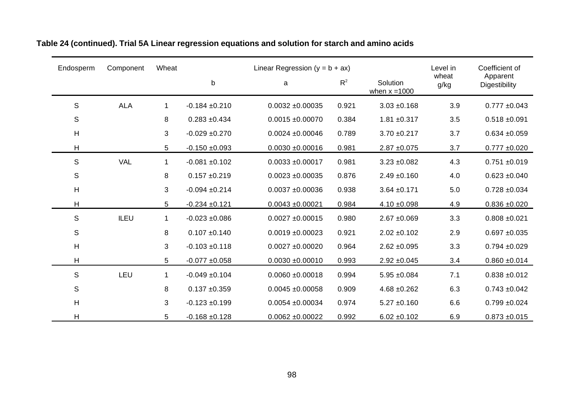| Endosperm      | Wheat<br>Component |                |                  | Linear Regression ( $y = b + ax$ ) |       |                             | Level in      | Coefficient of            |
|----------------|--------------------|----------------|------------------|------------------------------------|-------|-----------------------------|---------------|---------------------------|
|                |                    |                | $\mathsf b$      | a                                  | $R^2$ | Solution<br>when $x = 1000$ | wheat<br>g/kg | Apparent<br>Digestibility |
| $\mathbb S$    | <b>ALA</b>         | 1              | $-0.184 + 0.210$ | $0.0032 \pm 0.00035$               | 0.921 | $3.03 + 0.168$              | 3.9           | $0.777 \pm 0.043$         |
| $\mathbb S$    |                    | 8              | $0.283 + 0.434$  | $0.0015 \pm 0.00070$               | 0.384 | $1.81 + 0.317$              | 3.5           | $0.518 + 0.091$           |
| H              |                    | 3              | $-0.029 + 0.270$ | $0.0024 \pm 0.00046$               | 0.789 | $3.70 + 0.217$              | 3.7           | $0.634 + 0.059$           |
| Н              |                    | 5              | $-0.150 + 0.093$ | $0.0030 + 0.00016$                 | 0.981 | $2.87 + 0.075$              | 3.7           | $0.777 \pm 0.020$         |
| S              | <b>VAL</b>         | $\mathbf 1$    | $-0.081 + 0.102$ | $0.0033 + 0.00017$                 | 0.981 | $3.23 + 0.082$              | 4.3           | $0.751 + 0.019$           |
| $\mathbb S$    |                    | 8              | $0.157 + 0.219$  | $0.0023 \pm 0.00035$               | 0.876 | $2.49 + 0.160$              | 4.0           | $0.623 + 0.040$           |
| $\overline{H}$ |                    | 3              | $-0.094 + 0.214$ | $0.0037 + 0.00036$                 | 0.938 | $3.64 \pm 0.171$            | 5.0           | $0.728 + 0.034$           |
| Н              |                    | 5 <sup>5</sup> | $-0.234 + 0.121$ | $0.0043 + 0.00021$                 | 0.984 | $4.10 \pm 0.098$            | 4.9           | $0.836 + 0.020$           |
| $\mathbb S$    | <b>ILEU</b>        | $\mathbf{1}$   | $-0.023 + 0.086$ | $0.0027 \pm 0.00015$               | 0.980 | $2.67 + 0.069$              | 3.3           | $0.808 + 0.021$           |
| $\mathbb S$    |                    | 8              | $0.107 + 0.140$  | $0.0019 \pm 0.00023$               | 0.921 | $2.02 \pm 0.102$            | 2.9           | $0.697 + 0.035$           |
| $\mathsf{H}$   |                    | 3              | $-0.103 + 0.118$ | $0.0027 + 0.00020$                 | 0.964 | $2.62 \pm 0.095$            | 3.3           | $0.794 + 0.029$           |
| Н              |                    | 5              | $-0.077 + 0.058$ | $0.0030 + 0.00010$                 | 0.993 | $2.92 \pm 0.045$            | 3.4           | $0.860 + 0.014$           |
| $\mathbb S$    | LEU                | $\mathbf{1}$   | $-0.049 + 0.104$ | $0.0060 + 0.00018$                 | 0.994 | $5.95 + 0.084$              | 7.1           | $0.838 + 0.012$           |
| $\mathbb S$    |                    | 8              | $0.137 + 0.359$  | $0.0045 + 0.00058$                 | 0.909 | $4.68 + 0.262$              | 6.3           | $0.743 + 0.042$           |
| H              |                    | 3              | $-0.123 + 0.199$ | $0.0054 \pm 0.00034$               | 0.974 | $5.27 \pm 0.160$            | 6.6           | $0.799 + 0.024$           |
| $\overline{H}$ |                    | 5              | $-0.168 + 0.128$ | $0.0062 + 0.00022$                 | 0.992 | $6.02 \pm 0.102$            | 6.9           | $0.873 + 0.015$           |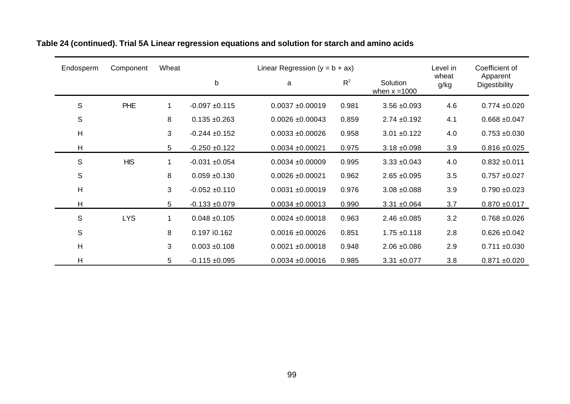| Endosperm   | Component  | Wheat |                    | Linear Regression ( $y = b + ax$ ) |       |                             | Level in      | Coefficient of            |
|-------------|------------|-------|--------------------|------------------------------------|-------|-----------------------------|---------------|---------------------------|
|             |            |       | b                  | a                                  | $R^2$ | Solution<br>when $x = 1000$ | wheat<br>g/kg | Apparent<br>Digestibility |
| S           | <b>PHE</b> | 1     | $-0.097 + 0.115$   | $0.0037 + 0.00019$                 | 0.981 | $3.56 + 0.093$              | 4.6           | $0.774 + 0.020$           |
| S           |            | 8     | $0.135 + 0.263$    | $0.0026 \pm 0.00043$               | 0.859 | $2.74 \pm 0.192$            | 4.1           | $0.668 + 0.047$           |
| Н           |            | 3     | $-0.244 \pm 0.152$ | $0.0033 + 0.00026$                 | 0.958 | $3.01 + 0.122$              | 4.0           | $0.753 + 0.030$           |
| н           |            | 5     | $-0.250 + 0.122$   | $0.0034 + 0.00021$                 | 0.975 | $3.18 + 0.098$              | 3.9           | $0.816 \pm 0.025$         |
| S           | <b>HIS</b> | 1     | $-0.031 + 0.054$   | $0.0034 + 0.00009$                 | 0.995 | $3.33 + 0.043$              | 4.0           | $0.832 \pm 0.011$         |
| $\mathsf S$ |            | 8     | $0.059 + 0.130$    | $0.0026 \pm 0.00021$               | 0.962 | $2.65 \pm 0.095$            | 3.5           | $0.757 + 0.027$           |
| H           |            | 3     | $-0.052 \pm 0.110$ | $0.0031 + 0.00019$                 | 0.976 | $3.08 + 0.088$              | 3.9           | $0.790 + 0.023$           |
| H           |            | 5     | $-0.133 + 0.079$   | $0.0034 \pm 0.00013$               | 0.990 | $3.31 + 0.064$              | 3.7           | $0.870 + 0.017$           |
| S           | <b>LYS</b> | 1     | $0.048 + 0.105$    | $0.0024 \pm 0.00018$               | 0.963 | $2.46 + 0.085$              | 3.2           | $0.768 + 0.026$           |
| S           |            | 8     | 0.197 ì0.162       | $0.0016 + 0.00026$                 | 0.851 | $1.75 \pm 0.118$            | 2.8           | $0.626 \pm 0.042$         |
| H           |            | 3     | $0.003 + 0.108$    | $0.0021 \pm 0.00018$               | 0.948 | $2.06 \pm 0.086$            | 2.9           | $0.711 \pm 0.030$         |
| H           |            | 5     | $-0.115 + 0.095$   | $0.0034 \pm 0.00016$               | 0.985 | $3.31 + 0.077$              | 3.8           | $0.871 + 0.020$           |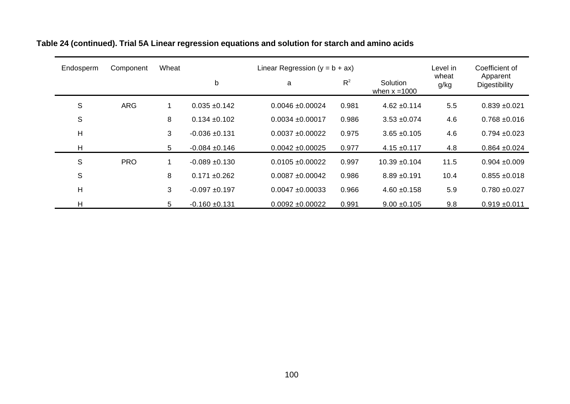| Endosperm    | Component  | Wheat |                   | Linear Regression ( $y = b + ax$ ) |       |                             | Level in      | Coefficient of            |
|--------------|------------|-------|-------------------|------------------------------------|-------|-----------------------------|---------------|---------------------------|
|              |            |       | b                 | a                                  | $R^2$ | Solution<br>when $x = 1000$ | wheat<br>g/kg | Apparent<br>Digestibility |
| S            | <b>ARG</b> | 1     | $0.035 + 0.142$   | $0.0046 \pm 0.00024$               | 0.981 | $4.62 \pm 0.114$            | 5.5           | $0.839 + 0.021$           |
| $\mathsf{S}$ |            | 8     | $0.134 \pm 0.102$ | $0.0034 \pm 0.00017$               | 0.986 | $3.53 + 0.074$              | 4.6           | $0.768 + 0.016$           |
| Η            |            | 3     | $-0.036 + 0.131$  | $0.0037 + 0.00022$                 | 0.975 | $3.65 + 0.105$              | 4.6           | $0.794 \pm 0.023$         |
| H            |            | 5     | $-0.084 + 0.146$  | $0.0042 \pm 0.00025$               | 0.977 | $4.15 \pm 0.117$            | 4.8           | $0.864 \pm 0.024$         |
| S            | <b>PRO</b> | 1     | $-0.089 + 0.130$  | $0.0105 + 0.00022$                 | 0.997 | $10.39 + 0.104$             | 11.5          | $0.904 + 0.009$           |
| S            |            | 8     | $0.171 \pm 0.262$ | $0.0087 + 0.00042$                 | 0.986 | $8.89 + 0.191$              | 10.4          | $0.855 \pm 0.018$         |
| Η            |            | 3     | $-0.097 + 0.197$  | $0.0047 + 0.00033$                 | 0.966 | $4.60 + 0.158$              | 5.9           | $0.780 + 0.027$           |
| н            |            | 5     | $-0.160 + 0.131$  | $0.0092 \pm 0.00022$               | 0.991 | $9.00 + 0.105$              | 9.8           | $0.919 + 0.011$           |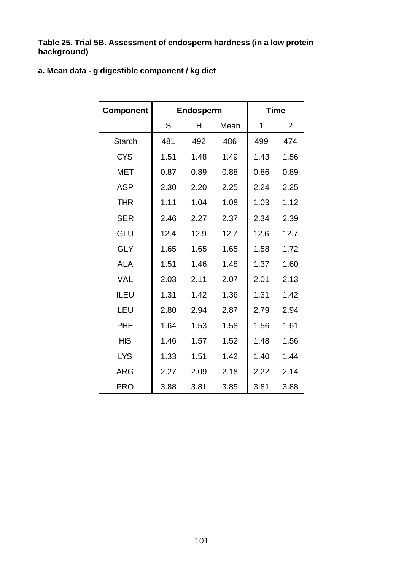**Table 25. Trial 5B. Assessment of endosperm hardness (in a low protein background)**

### **a. Mean data - g digestible component / kg diet**

| <b>Component</b> |      | Endosperm |      |      | <b>Time</b>    |
|------------------|------|-----------|------|------|----------------|
|                  | S    | н         | Mean | 1    | $\overline{2}$ |
| <b>Starch</b>    | 481  | 492       | 486  | 499  | 474            |
| <b>CYS</b>       | 1.51 | 1.48      | 1.49 | 1.43 | 1.56           |
| <b>MET</b>       | 0.87 | 0.89      | 0.88 | 0.86 | 0.89           |
| <b>ASP</b>       | 2.30 | 2.20      | 2.25 | 2.24 | 2.25           |
| <b>THR</b>       | 1.11 | 1.04      | 1.08 | 1.03 | 1.12           |
| <b>SER</b>       | 2.46 | 2.27      | 2.37 | 2.34 | 2.39           |
| GLU              | 12.4 | 12.9      | 12.7 | 12.6 | 12.7           |
| <b>GLY</b>       | 1.65 | 1.65      | 1.65 | 1.58 | 1.72           |
| <b>ALA</b>       | 1.51 | 1.46      | 1.48 | 1.37 | 1.60           |
| <b>VAL</b>       | 2.03 | 2.11      | 2.07 | 2.01 | 2.13           |
| <b>ILEU</b>      | 1.31 | 1.42      | 1.36 | 1.31 | 1.42           |
| LEU              | 2.80 | 2.94      | 2.87 | 2.79 | 2.94           |
| <b>PHE</b>       | 1.64 | 1.53      | 1.58 | 1.56 | 1.61           |
| <b>HIS</b>       | 1.46 | 1.57      | 1.52 | 1.48 | 1.56           |
| <b>LYS</b>       | 1.33 | 1.51      | 1.42 | 1.40 | 1.44           |
| <b>ARG</b>       | 2.27 | 2.09      | 2.18 | 2.22 | 2.14           |
| <b>PRO</b>       | 3.88 | 3.81      | 3.85 | 3.81 | 3.88           |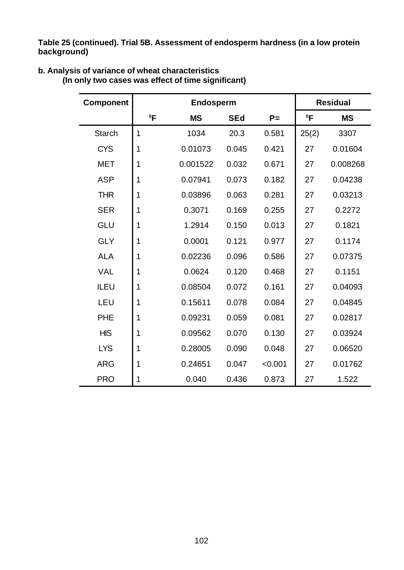**Table 25 (continued). Trial 5B. Assessment of endosperm hardness (in a low protein background)**

| <b>Component</b> |        | Endosperm |            |         | <b>Residual</b> |           |  |
|------------------|--------|-----------|------------|---------|-----------------|-----------|--|
|                  | $^0$ F | <b>MS</b> | <b>SEd</b> | $P =$   | ºΕ              | <b>MS</b> |  |
| <b>Starch</b>    | 1      | 1034      | 20.3       | 0.581   | 25(2)           | 3307      |  |
| <b>CYS</b>       | 1      | 0.01073   | 0.045      | 0.421   | 27              | 0.01604   |  |
| <b>MET</b>       | 1      | 0.001522  | 0.032      | 0.671   | 27              | 0.008268  |  |
| <b>ASP</b>       | 1      | 0.07941   | 0.073      | 0.182   | 27              | 0.04238   |  |
| <b>THR</b>       | 1      | 0.03896   | 0.063      | 0.281   | 27              | 0.03213   |  |
| <b>SER</b>       | 1      | 0.3071    | 0.169      | 0.255   | 27              | 0.2272    |  |
| GLU              | 1      | 1.2914    | 0.150      | 0.013   | 27              | 0.1821    |  |
| <b>GLY</b>       | 1      | 0.0001    | 0.121      | 0.977   |                 | 0.1174    |  |
| <b>ALA</b>       | 1      | 0.02236   | 0.096      | 0.586   | 27              | 0.07375   |  |
| <b>VAL</b>       | 1      | 0.0624    | 0.120      | 0.468   | 27              | 0.1151    |  |
| ILEU             | 1      | 0.08504   | 0.072      | 0.161   | 27              | 0.04093   |  |
| LEU              | 1      | 0.15611   | 0.078      | 0.084   | 27              | 0.04845   |  |
| <b>PHE</b>       | 1      | 0.09231   | 0.059      | 0.081   | 27              | 0.02817   |  |
| <b>HIS</b>       | 1      | 0.09562   | 0.070      | 0.130   | 27              | 0.03924   |  |
| <b>LYS</b>       | 1      | 0.28005   | 0.090      | 0.048   | 27              | 0.06520   |  |
| <b>ARG</b>       | 1      | 0.24651   | 0.047      | < 0.001 | 27              | 0.01762   |  |
| <b>PRO</b>       | 1      | 0.040     | 0.436      | 0.873   | 27              | 1.522     |  |

### **b. Analysis of variance of wheat characteristics**

**(In only two cases was effect of time significant)**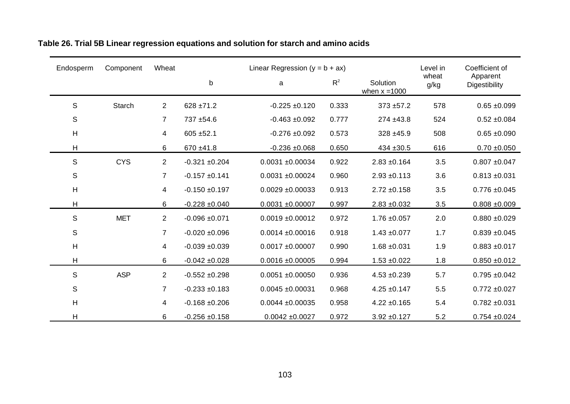| Endosperm     | Component     | Wheat          |                  | Linear Regression $(y = b + ax)$ |       |                             | Level in      | Coefficient of            |  |
|---------------|---------------|----------------|------------------|----------------------------------|-------|-----------------------------|---------------|---------------------------|--|
|               |               |                | b                | a                                | $R^2$ | Solution<br>when $x = 1000$ | wheat<br>g/kg | Apparent<br>Digestibility |  |
| S             | <b>Starch</b> | $\overline{2}$ | $628 \pm 71.2$   | $-0.225 + 0.120$                 | 0.333 | $373 + 57.2$                | 578           | $0.65 + 0.099$            |  |
| $\mathbb S$   |               | $\overline{7}$ | 737 ±54.6        | $-0.463 + 0.092$                 | 0.777 | $274 + 43.8$                | 524           | $0.52 \pm 0.084$          |  |
| H             |               | 4              | $605 + 52.1$     | $-0.276 + 0.092$                 | 0.573 | 328 ±45.9                   | 508           | $0.65 + 0.090$            |  |
| Н             |               | 6              | $670 + 41.8$     | $-0.236 + 0.068$                 | 0.650 | $434 + 30.5$                | 616           | $0.70 + 0.050$            |  |
| ${\mathsf S}$ | <b>CYS</b>    | $\overline{c}$ | $-0.321 + 0.204$ | $0.0031 + 0.00034$               | 0.922 | $2.83 + 0.164$              | 3.5           | $0.807 + 0.047$           |  |
| ${\mathsf S}$ |               | $\overline{7}$ | $-0.157 + 0.141$ | $0.0031 + 0.00024$               | 0.960 | $2.93 + 0.113$              | 3.6           | $0.813 + 0.031$           |  |
| H             |               | 4              | $-0.150 + 0.197$ | $0.0029 + 0.00033$               | 0.913 | $2.72 \pm 0.158$            | 3.5           | $0.776 + 0.045$           |  |
| H             |               | 6              | $-0.228 + 0.040$ | $0.0031 + 0.00007$               | 0.997 | $2.83 + 0.032$              | 3.5           | $0.808 + 0.009$           |  |
| $\mathsf S$   | <b>MET</b>    | $\overline{c}$ | $-0.096 + 0.071$ | $0.0019 + 0.00012$               | 0.972 | $1.76 \pm 0.057$            | 2.0           | $0.880 + 0.029$           |  |
| ${\mathsf S}$ |               | 7              | $-0.020 + 0.096$ | $0.0014 \pm 0.00016$             | 0.918 | $1.43 \pm 0.077$            | 1.7           | $0.839 + 0.045$           |  |
| H             |               | 4              | $-0.039 + 0.039$ | $0.0017 + 0.00007$               | 0.990 | $1.68 + 0.031$              | 1.9           | $0.883 + 0.017$           |  |
| $\mathsf{H}$  |               | 6              | $-0.042 + 0.028$ | $0.0016 \pm 0.00005$             | 0.994 | $1.53 + 0.022$              | 1.8           | $0.850 + 0.012$           |  |
| $\mathsf S$   | <b>ASP</b>    | $\overline{c}$ | $-0.552 + 0.298$ | $0.0051 + 0.00050$               | 0.936 | $4.53 + 0.239$              | 5.7           | $0.795 + 0.042$           |  |
| ${\mathsf S}$ |               | $\overline{7}$ | $-0.233 + 0.183$ | $0.0045 + 0.00031$               | 0.968 | $4.25 \pm 0.147$            | 5.5           | $0.772 + 0.027$           |  |
| H             |               | 4              | $-0.168 + 0.206$ | $0.0044 \pm 0.00035$             | 0.958 | $4.22 \pm 0.165$            | 5.4           | $0.782 + 0.031$           |  |
| H             |               | 6              | $-0.256 + 0.158$ | $0.0042 \pm 0.0027$              | 0.972 | $3.92 + 0.127$              | 5.2           | $0.754 + 0.024$           |  |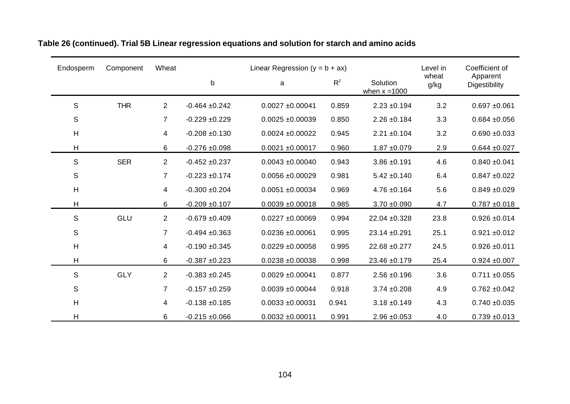| Endosperm   | Component  | Wheat          | Linear Regression ( $y = b + ax$ ) |                      |       |                             | Level in      | Coefficient of            |
|-------------|------------|----------------|------------------------------------|----------------------|-------|-----------------------------|---------------|---------------------------|
|             |            |                | $\sf b$                            | a                    | $R^2$ | Solution<br>when $x = 1000$ | wheat<br>g/kg | Apparent<br>Digestibility |
| S           | <b>THR</b> | 2              | $-0.464 + 0.242$                   | $0.0027 + 0.00041$   | 0.859 | $2.23 \pm 0.194$            | 3.2           | $0.697 + 0.061$           |
| S           |            | $\overline{7}$ | $-0.229 + 0.229$                   | $0.0025 + 0.00039$   | 0.850 | $2.26 \pm 0.184$            | 3.3           | $0.684 + 0.056$           |
| H           |            | 4              | $-0.208 + 0.130$                   | $0.0024 \pm 0.00022$ | 0.945 | $2.21 \pm 0.104$            | 3.2           | $0.690 + 0.033$           |
| Н           |            | 6              | $-0.276 + 0.098$                   | $0.0021 + 0.00017$   | 0.960 | $1.87 + 0.079$              | 2.9           | $0.644 + 0.027$           |
| $\mathsf S$ | <b>SER</b> | 2              | $-0.452 + 0.237$                   | $0.0043 + 0.00040$   | 0.943 | $3.86 + 0.191$              | 4.6           | $0.840 + 0.041$           |
| S           |            | $\overline{7}$ | $-0.223 + 0.174$                   | $0.0056 + 0.00029$   | 0.981 | $5.42 \pm 0.140$            | 6.4           | $0.847 + 0.022$           |
| H           |            | 4              | $-0.300 + 0.204$                   | $0.0051 + 0.00034$   | 0.969 | $4.76 \pm 0.164$            | 5.6           | $0.849 + 0.029$           |
| Н           |            | 6              | $-0.209 + 0.107$                   | $0.0039 + 0.00018$   | 0.985 | $3.70 \pm 0.090$            | 4.7           | $0.787 + 0.018$           |
| S           | GLU        | $\overline{2}$ | $-0.679 + 0.409$                   | $0.0227 + 0.00069$   | 0.994 | 22.04 ±0.328                | 23.8          | $0.926 + 0.014$           |
| $\mathbb S$ |            | $\overline{7}$ | $-0.494 + 0.363$                   | $0.0236 + 0.00061$   | 0.995 | 23.14 ±0.291                | 25.1          | $0.921 + 0.012$           |
| H           |            | 4              | $-0.190 + 0.345$                   | $0.0229 + 0.00058$   | 0.995 | 22.68 ±0.277                | 24.5          | $0.926 \pm 0.011$         |
| Н           |            | 6              | $-0.387 + 0.223$                   | $0.0238 + 0.00038$   | 0.998 | 23.46 ±0.179                | 25.4          | $0.924 \pm 0.007$         |
| S           | <b>GLY</b> | $\overline{2}$ | $-0.383 + 0.245$                   | $0.0029 + 0.00041$   | 0.877 | $2.56 \pm 0.196$            | 3.6           | $0.711 \pm 0.055$         |
| S           |            | $\overline{7}$ | $-0.157 + 0.259$                   | $0.0039 + 0.00044$   | 0.918 | $3.74 \pm 0.208$            | 4.9           | $0.762 + 0.042$           |
| H           |            | 4              | $-0.138 + 0.185$                   | $0.0033 + 0.00031$   | 0.941 | $3.18 + 0.149$              | 4.3           | $0.740 + 0.035$           |
| Η           |            | 6              | $-0.215 + 0.066$                   | $0.0032 \pm 0.00011$ | 0.991 | $2.96 \pm 0.053$            | 4.0           | $0.739 + 0.013$           |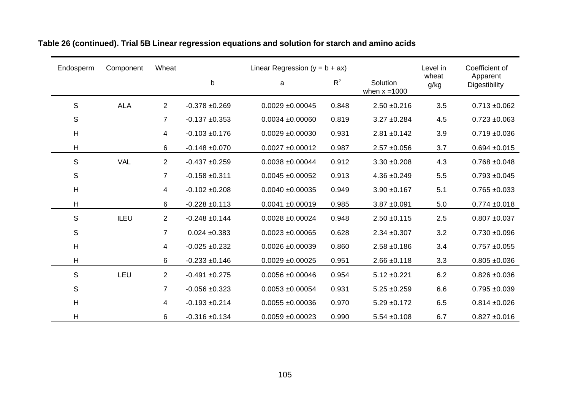| Endosperm   | Component  | Wheat          | Linear Regression ( $y = b + ax$ ) |                      |       |                             |               | Coefficient of            |
|-------------|------------|----------------|------------------------------------|----------------------|-------|-----------------------------|---------------|---------------------------|
|             |            |                | $\sf b$                            | a                    | $R^2$ | Solution<br>when $x = 1000$ | wheat<br>g/kg | Apparent<br>Digestibility |
| S           | <b>ALA</b> | 2              | $-0.378 + 0.269$                   | $0.0029 + 0.00045$   | 0.848 | $2.50 + 0.216$              | 3.5           | $0.713 + 0.062$           |
| S           |            | $\overline{7}$ | $-0.137 + 0.353$                   | $0.0034 + 0.00060$   | 0.819 | $3.27 \pm 0.284$            | 4.5           | $0.723 + 0.063$           |
| H           |            | 4              | $-0.103 + 0.176$                   | $0.0029 + 0.00030$   | 0.931 | $2.81 \pm 0.142$            | 3.9           | $0.719 + 0.036$           |
| Н           |            | 6              | $-0.148 + 0.070$                   | $0.0027 + 0.00012$   | 0.987 | $2.57 + 0.056$              | 3.7           | $0.694 + 0.015$           |
| $\mathsf S$ | <b>VAL</b> | 2              | $-0.437 + 0.259$                   | $0.0038 + 0.00044$   | 0.912 | $3.30 + 0.208$              | 4.3           | $0.768 + 0.048$           |
| S           |            | $\overline{7}$ | $-0.158 + 0.311$                   | $0.0045 + 0.00052$   | 0.913 | $4.36 + 0.249$              | 5.5           | $0.793 + 0.045$           |
| H           |            | 4              | $-0.102 + 0.208$                   | $0.0040 + 0.00035$   | 0.949 | $3.90 + 0.167$              | 5.1           | $0.765 + 0.033$           |
| Н           |            | 6              | $-0.228 + 0.113$                   | $0.0041 + 0.00019$   | 0.985 | $3.87 + 0.091$              | 5.0           | $0.774 + 0.018$           |
| S           | ILEU       | 2              | $-0.248 + 0.144$                   | $0.0028 + 0.00024$   | 0.948 | $2.50 + 0.115$              | 2.5           | $0.807 + 0.037$           |
| $\mathbb S$ |            | $\overline{7}$ | $0.024 \pm 0.383$                  | $0.0023 + 0.00065$   | 0.628 | $2.34 + 0.307$              | 3.2           | $0.730 + 0.096$           |
| H           |            | 4              | $-0.025 + 0.232$                   | $0.0026 + 0.00039$   | 0.860 | $2.58 + 0.186$              | 3.4           | $0.757 + 0.055$           |
| Н           |            | 6              | $-0.233 + 0.146$                   | $0.0029 + 0.00025$   | 0.951 | $2.66 \pm 0.118$            | 3.3           | $0.805 + 0.036$           |
| S           | LEU        | $\overline{2}$ | $-0.491 + 0.275$                   | $0.0056 + 0.00046$   | 0.954 | $5.12 \pm 0.221$            | 6.2           | $0.826 + 0.036$           |
| S           |            | $\overline{7}$ | $-0.056 + 0.323$                   | $0.0053 + 0.00054$   | 0.931 | $5.25 \pm 0.259$            | 6.6           | $0.795 + 0.039$           |
| H           |            | 4              | $-0.193 + 0.214$                   | $0.0055 \pm 0.00036$ | 0.970 | $5.29 \pm 0.172$            | 6.5           | $0.814 \pm 0.026$         |
| Η           |            | 6              | $-0.316 + 0.134$                   | $0.0059 + 0.00023$   | 0.990 | $5.54 \pm 0.108$            | 6.7           | $0.827 + 0.016$           |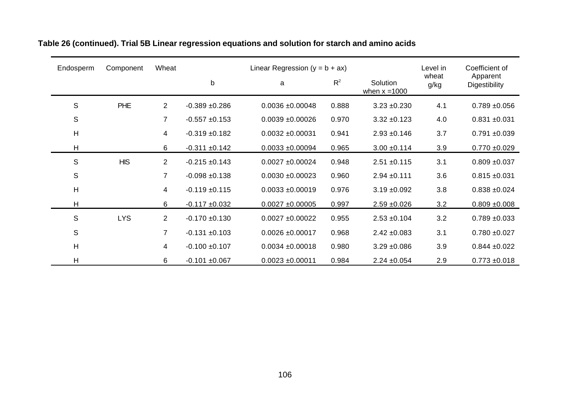| Endosperm      | Component  | Wheat          |                    | Linear Regression ( $y = b + ax$ ) |       |                             | Level in      | Coefficient of            |
|----------------|------------|----------------|--------------------|------------------------------------|-------|-----------------------------|---------------|---------------------------|
|                |            |                | b                  | a                                  | $R^2$ | Solution<br>when $x = 1000$ | wheat<br>g/kg | Apparent<br>Digestibility |
| S              | <b>PHE</b> | $\overline{2}$ | $-0.389 + 0.286$   | $0.0036 + 0.00048$                 | 0.888 | $3.23 + 0.230$              | 4.1           | $0.789 + 0.056$           |
| S              |            | 7              | $-0.557 + 0.153$   | $0.0039 + 0.00026$                 | 0.970 | $3.32 + 0.123$              | 4.0           | $0.831 + 0.031$           |
| $\overline{H}$ |            | 4              | $-0.319 + 0.182$   | $0.0032 \pm 0.00031$               | 0.941 | $2.93 + 0.146$              | 3.7           | $0.791 + 0.039$           |
| H              |            | 6              | $-0.311 \pm 0.142$ | $0.0033 + 0.00094$                 | 0.965 | $3.00 \pm 0.114$            | 3.9           | $0.770 + 0.029$           |
| S              | <b>HIS</b> | $\overline{2}$ | $-0.215 \pm 0.143$ | $0.0027 + 0.00024$                 | 0.948 | $2.51 + 0.115$              | 3.1           | $0.809 + 0.037$           |
| S              |            | $\overline{7}$ | $-0.098 + 0.138$   | $0.0030 + 0.00023$                 | 0.960 | $2.94 \pm 0.111$            | 3.6           | $0.815 \pm 0.031$         |
| $\overline{H}$ |            | 4              | $-0.119 \pm 0.115$ | $0.0033 + 0.00019$                 | 0.976 | $3.19 \pm 0.092$            | 3.8           | $0.838 + 0.024$           |
| H              |            | 6              | $-0.117 + 0.032$   | $0.0027 + 0.00005$                 | 0.997 | $2.59 + 0.026$              | 3.2           | $0.809 + 0.008$           |
| S              | <b>LYS</b> | $\overline{2}$ | $-0.170 + 0.130$   | $0.0027 + 0.00022$                 | 0.955 | $2.53 \pm 0.104$            | 3.2           | $0.789 + 0.033$           |
| S              |            | 7              | $-0.131 + 0.103$   | $0.0026 \pm 0.00017$               | 0.968 | $2.42 \pm 0.083$            | 3.1           | $0.780 + 0.027$           |
| $\overline{H}$ |            | 4              | $-0.100 + 0.107$   | $0.0034 \pm 0.00018$               | 0.980 | $3.29 \pm 0.086$            | 3.9           | $0.844 \pm 0.022$         |
| H              |            | 6              | $-0.101 + 0.067$   | $0.0023 \pm 0.00011$               | 0.984 | $2.24 \pm 0.054$            | 2.9           | $0.773 + 0.018$           |

## **Table 26 (continued). Trial 5B Linear regression equations and solution for starch and amino acids**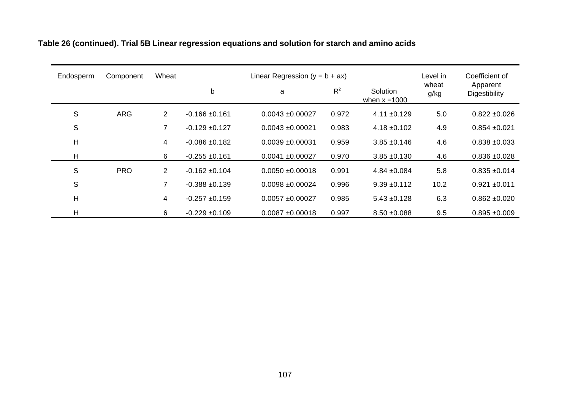| Endosperm | Component  | Wheat          | Linear Regression ( $y = b + ax$ ) |                    |       |                             | Level in      | Coefficient of            |
|-----------|------------|----------------|------------------------------------|--------------------|-------|-----------------------------|---------------|---------------------------|
|           |            |                | b                                  | a                  | $R^2$ | Solution<br>when $x = 1000$ | wheat<br>g/kg | Apparent<br>Digestibility |
| S         | <b>ARG</b> | $\overline{2}$ | $-0.166 \pm 0.161$                 | $0.0043 + 0.00027$ | 0.972 | $4.11 \pm 0.129$            | 5.0           | $0.822 \pm 0.026$         |
| S         |            | $\overline{7}$ | $-0.129 + 0.127$                   | $0.0043 + 0.00021$ | 0.983 | $4.18 \pm 0.102$            | 4.9           | $0.854 \pm 0.021$         |
| H         |            | 4              | $-0.086 + 0.182$                   | $0.0039 + 0.00031$ | 0.959 | $3.85 + 0.146$              | 4.6           | $0.838 + 0.033$           |
| н         |            | 6              | $-0.255 \pm 0.161$                 | $0.0041 + 0.00027$ | 0.970 | $3.85 + 0.130$              | 4.6           | $0.836 + 0.028$           |
| S         | <b>PRO</b> | $\overline{2}$ | $-0.162 + 0.104$                   | $0.0050 + 0.00018$ | 0.991 | $4.84 \pm 0.084$            | 5.8           | $0.835 + 0.014$           |
| S         |            | $\overline{7}$ | $-0.388 + 0.139$                   | $0.0098 + 0.00024$ | 0.996 | $9.39 + 0.112$              | 10.2          | $0.921 + 0.011$           |
| H         |            | $\overline{4}$ | $-0.257 + 0.159$                   | $0.0057 + 0.00027$ | 0.985 | $5.43 \pm 0.128$            | 6.3           | $0.862 + 0.020$           |
| H         |            | 6              | $-0.229 + 0.109$                   | $0.0087 + 0.00018$ | 0.997 | $8.50 + 0.088$              | 9.5           | $0.895 + 0.009$           |

# **Table 26 (continued). Trial 5B Linear regression equations and solution for starch and amino acids**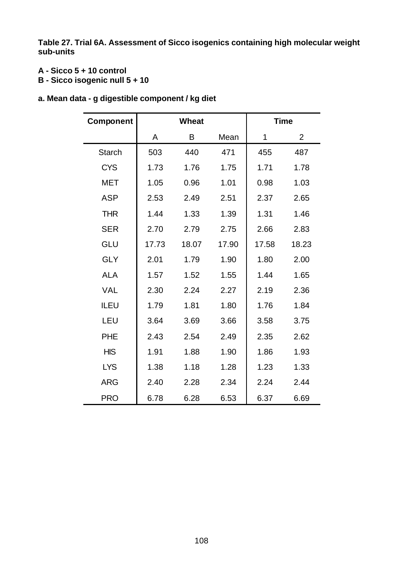**Table 27. Trial 6A. Assessment of Sicco isogenics containing high molecular weight sub-units**

### **A - Sicco 5 + 10 control**

**B - Sicco isogenic null 5 + 10** 

|  |  |  |  | a. Mean data - g digestible component / kg diet |  |
|--|--|--|--|-------------------------------------------------|--|
|--|--|--|--|-------------------------------------------------|--|

| <b>Component</b> |       | <b>Wheat</b> |       |       | <b>Time</b>    |  |  |
|------------------|-------|--------------|-------|-------|----------------|--|--|
|                  | A     | B            | Mean  | 1     | $\overline{2}$ |  |  |
| <b>Starch</b>    | 503   | 440          | 471   | 455   | 487            |  |  |
| <b>CYS</b>       | 1.73  | 1.76         | 1.75  | 1.71  | 1.78           |  |  |
| <b>MET</b>       | 1.05  | 0.96         | 1.01  | 0.98  | 1.03           |  |  |
| <b>ASP</b>       | 2.53  | 2.49         | 2.51  | 2.37  | 2.65           |  |  |
| <b>THR</b>       | 1.44  | 1.33         | 1.39  | 1.31  | 1.46           |  |  |
| <b>SER</b>       | 2.70  | 2.79         | 2.75  | 2.66  | 2.83           |  |  |
| GLU              | 17.73 | 18.07        | 17.90 | 17.58 | 18.23          |  |  |
| <b>GLY</b>       | 2.01  | 1.79         | 1.90  | 1.80  | 2.00           |  |  |
| <b>ALA</b>       | 1.57  | 1.52         | 1.55  | 1.44  | 1.65           |  |  |
| <b>VAL</b>       | 2.30  | 2.24         | 2.27  | 2.19  | 2.36           |  |  |
| <b>ILEU</b>      | 1.79  | 1.81         | 1.80  | 1.76  | 1.84           |  |  |
| LEU              | 3.64  | 3.69         | 3.66  | 3.58  | 3.75           |  |  |
| <b>PHE</b>       | 2.43  | 2.54         | 2.49  | 2.35  | 2.62           |  |  |
| <b>HIS</b>       | 1.91  | 1.88         | 1.90  | 1.86  | 1.93           |  |  |
| <b>LYS</b>       | 1.38  | 1.18         | 1.28  | 1.23  | 1.33           |  |  |
| <b>ARG</b>       | 2.40  | 2.28         | 2.34  | 2.24  | 2.44           |  |  |
| <b>PRO</b>       | 6.78  | 6.28         | 6.53  | 6.37  | 6.69           |  |  |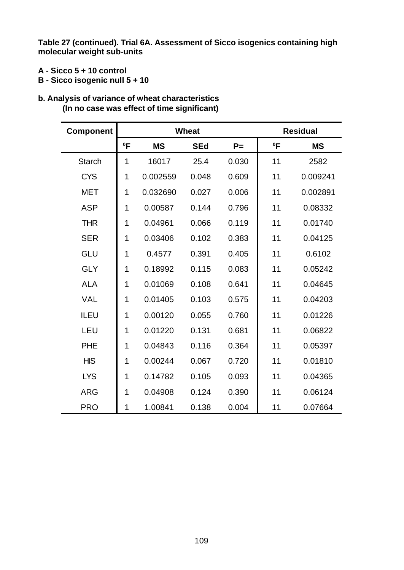**Table 27 (continued). Trial 6A. Assessment of Sicco isogenics containing high molecular weight sub-units**

- **A Sicco 5 + 10 control**
- **B Sicco isogenic null 5 + 10**

#### **b. Analysis of variance of wheat characteristics (In no case was effect of time significant)**

| <b>Component</b> |        |           | <b>Wheat</b> |       | <b>Residual</b> |           |  |
|------------------|--------|-----------|--------------|-------|-----------------|-----------|--|
|                  | $^0$ F | <b>MS</b> | <b>SEd</b>   | $P =$ | $^0$ F          | <b>MS</b> |  |
| <b>Starch</b>    | 1      | 16017     | 25.4         | 0.030 | 11              | 2582      |  |
| <b>CYS</b>       | 1      | 0.002559  | 0.048        | 0.609 | 11              | 0.009241  |  |
| <b>MET</b>       | 1      | 0.032690  | 0.027        | 0.006 | 11              | 0.002891  |  |
| <b>ASP</b>       | 1      | 0.00587   | 0.144        | 0.796 | 11              | 0.08332   |  |
| <b>THR</b>       | 1      | 0.04961   | 0.066        | 0.119 | 11              | 0.01740   |  |
| <b>SER</b>       | 1      | 0.03406   | 0.102        | 0.383 | 11              | 0.04125   |  |
| <b>GLU</b>       | 1      | 0.4577    | 0.391        | 0.405 | 11              | 0.6102    |  |
| <b>GLY</b>       | 1      | 0.18992   | 0.115        | 0.083 | 11              | 0.05242   |  |
| <b>ALA</b>       | 1      | 0.01069   | 0.108        | 0.641 | 11              | 0.04645   |  |
| <b>VAL</b>       | 1      | 0.01405   | 0.103        | 0.575 | 11              | 0.04203   |  |
| <b>ILEU</b>      | 1      | 0.00120   | 0.055        | 0.760 | 11              | 0.01226   |  |
| LEU              | 1      | 0.01220   | 0.131        | 0.681 | 11              | 0.06822   |  |
| <b>PHE</b>       | 1      | 0.04843   | 0.116        | 0.364 | 11              | 0.05397   |  |
| <b>HIS</b>       | 1      | 0.00244   | 0.067        | 0.720 | 11              | 0.01810   |  |
| <b>LYS</b>       | 1      | 0.14782   | 0.105        | 0.093 | 11              | 0.04365   |  |
| <b>ARG</b>       | 1      | 0.04908   | 0.124        | 0.390 | 11              | 0.06124   |  |
| <b>PRO</b>       | 1      | 1.00841   | 0.138        | 0.004 | 11              | 0.07664   |  |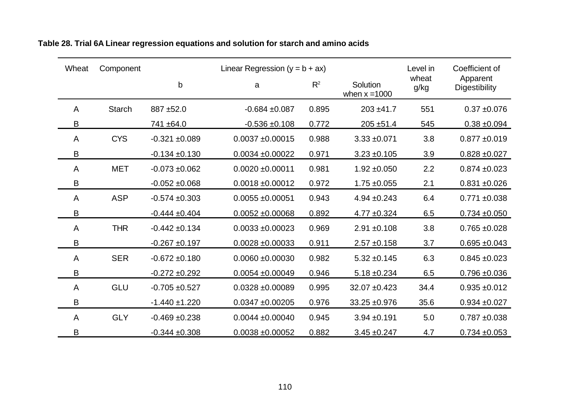| Wheat | Component     | Linear Regression $(y = b + ax)$ |                      |       |                             | Level in      | Coefficient of                   |
|-------|---------------|----------------------------------|----------------------|-------|-----------------------------|---------------|----------------------------------|
|       |               | $\mathsf{b}$                     | a                    | $R^2$ | Solution<br>when $x = 1000$ | wheat<br>g/kg | Apparent<br><b>Digestibility</b> |
| A     | <b>Starch</b> | 887 ±52.0                        | $-0.684 + 0.087$     | 0.895 | $203 + 41.7$                | 551           | $0.37 + 0.076$                   |
| В     |               | 741 ±64.0                        | $-0.536 + 0.108$     | 0.772 | $205 + 51.4$                | 545           | $0.38 + 0.094$                   |
| A     | <b>CYS</b>    | $-0.321 + 0.089$                 | $0.0037 + 0.00015$   | 0.988 | $3.33 + 0.071$              | 3.8           | $0.877 + 0.019$                  |
| B     |               | $-0.134 + 0.130$                 | $0.0034 \pm 0.00022$ | 0.971 | $3.23 + 0.105$              | 3.9           | $0.828 + 0.027$                  |
| A     | <b>MET</b>    | $-0.073 + 0.062$                 | $0.0020 \pm 0.00011$ | 0.981 | $1.92 \pm 0.050$            | 2.2           | $0.874 \pm 0.023$                |
| B     |               | $-0.052 \pm 0.068$               | $0.0018 \pm 0.00012$ | 0.972 | $1.75 + 0.055$              | 2.1           | $0.831 + 0.026$                  |
| A     | <b>ASP</b>    | $-0.574 \pm 0.303$               | $0.0055 \pm 0.00051$ | 0.943 | $4.94 \pm 0.243$            | 6.4           | $0.771 + 0.038$                  |
| B     |               | $-0.444 \pm 0.404$               | $0.0052 \pm 0.00068$ | 0.892 | $4.77 \pm 0.324$            | 6.5           | $0.734 + 0.050$                  |
| A     | <b>THR</b>    | $-0.442 \pm 0.134$               | $0.0033 + 0.00023$   | 0.969 | $2.91 \pm 0.108$            | 3.8           | $0.765 \pm 0.028$                |
| B     |               | $-0.267 + 0.197$                 | $0.0028 \pm 0.00033$ | 0.911 | $2.57 + 0.158$              | 3.7           | $0.695 \pm 0.043$                |
| A     | <b>SER</b>    | $-0.672 \pm 0.180$               | $0.0060 + 0.00030$   | 0.982 | $5.32 \pm 0.145$            | 6.3           | $0.845 \pm 0.023$                |
| B     |               | $-0.272 + 0.292$                 | $0.0054 \pm 0.00049$ | 0.946 | $5.18 \pm 0.234$            | 6.5           | $0.796 + 0.036$                  |
| A     | <b>GLU</b>    | $-0.705 + 0.527$                 | $0.0328 + 0.00089$   | 0.995 | $32.07 + 0.423$             | 34.4          | $0.935 + 0.012$                  |
| B     |               | $-1.440 \pm 1.220$               | $0.0347 + 0.00205$   | 0.976 | 33.25 ±0.976                | 35.6          | $0.934 + 0.027$                  |
| A     | <b>GLY</b>    | $-0.469 + 0.238$                 | $0.0044 \pm 0.00040$ | 0.945 | $3.94 + 0.191$              | 5.0           | $0.787 + 0.038$                  |
| B     |               | $-0.344 \pm 0.308$               | $0.0038 + 0.00052$   | 0.882 | $3.45 + 0.247$              | 4.7           | $0.734 + 0.053$                  |

**Table 28. Trial 6A Linear regression equations and solution for starch and amino acids**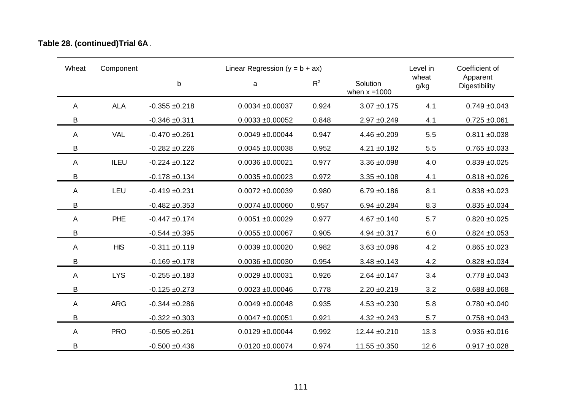|  | Table 28. (continued) Trial 6A. |
|--|---------------------------------|
|--|---------------------------------|

| Wheat | Component  |                    | Linear Regression $(y = b + ax)$ |       | Level in                    | Coefficient of |                           |
|-------|------------|--------------------|----------------------------------|-------|-----------------------------|----------------|---------------------------|
|       |            | $\mathsf b$        | a                                | $R^2$ | Solution<br>when $x = 1000$ | wheat<br>g/kg  | Apparent<br>Digestibility |
| A     | <b>ALA</b> | $-0.355 \pm 0.218$ | $0.0034 + 0.00037$               | 0.924 | $3.07 + 0.175$              | 4.1            | $0.749 + 0.043$           |
| B     |            | $-0.346 + 0.311$   | $0.0033 + 0.00052$               | 0.848 | $2.97 + 0.249$              | 4.1            | $0.725 \pm 0.061$         |
| A     | <b>VAL</b> | $-0.470 + 0.261$   | $0.0049 + 0.00044$               | 0.947 | $4.46 \pm 0.209$            | 5.5            | $0.811 + 0.038$           |
| B     |            | $-0.282 + 0.226$   | $0.0045 + 0.00038$               | 0.952 | $4.21 \pm 0.182$            | 5.5            | $0.765 + 0.033$           |
| A     | ILEU       | $-0.224 \pm 0.122$ | $0.0036 + 0.00021$               | 0.977 | $3.36 + 0.098$              | 4.0            | $0.839 + 0.025$           |
| B     |            | $-0.178 + 0.134$   | $0.0035 + 0.00023$               | 0.972 | $3.35 + 0.108$              | 4.1            | $0.818 + 0.026$           |
| A     | LEU        | $-0.419 + 0.231$   | $0.0072 + 0.00039$               | 0.980 | $6.79 + 0.186$              | 8.1            | $0.838 + 0.023$           |
| B     |            | $-0.482 + 0.353$   | $0.0074 + 0.00060$               | 0.957 | $6.94 \pm 0.284$            | 8.3            | $0.835 + 0.034$           |
| A     | PHE        | $-0.447 + 0.174$   | $0.0051 + 0.00029$               | 0.977 | $4.67 + 0.140$              | 5.7            | $0.820 + 0.025$           |
| B     |            | $-0.544 + 0.395$   | $0.0055 + 0.00067$               | 0.905 | $4.94 \pm 0.317$            | 6.0            | $0.824 + 0.053$           |
| A     | <b>HIS</b> | $-0.311 \pm 0.119$ | $0.0039 + 0.00020$               | 0.982 | $3.63 + 0.096$              | 4.2            | $0.865 + 0.023$           |
| B     |            | $-0.169 + 0.178$   | $0.0036 + 0.00030$               | 0.954 | $3.48 + 0.143$              | 4.2            | $0.828 + 0.034$           |
| Α     | <b>LYS</b> | $-0.255 \pm 0.183$ | $0.0029 + 0.00031$               | 0.926 | $2.64 \pm 0.147$            | 3.4            | $0.778 + 0.043$           |
| B     |            | $-0.125 + 0.273$   | $0.0023 + 0.00046$               | 0.778 | $2.20 \pm 0.219$            | 3.2            | $0.688 + 0.068$           |
| A     | <b>ARG</b> | $-0.344 + 0.286$   | $0.0049 + 0.00048$               | 0.935 | $4.53 + 0.230$              | 5.8            | $0.780 + 0.040$           |
| B     |            | $-0.322 + 0.303$   | $0.0047 + 0.00051$               | 0.921 | $4.32 + 0.243$              | 5.7            | $0.758 + 0.043$           |
| Α     | <b>PRO</b> | $-0.505 + 0.261$   | $0.0129 + 0.00044$               | 0.992 | 12.44 ±0.210                | 13.3           | $0.936 + 0.016$           |
| B     |            | $-0.500 + 0.436$   | $0.0120 + 0.00074$               | 0.974 | $11.55 + 0.350$             | 12.6           | $0.917 + 0.028$           |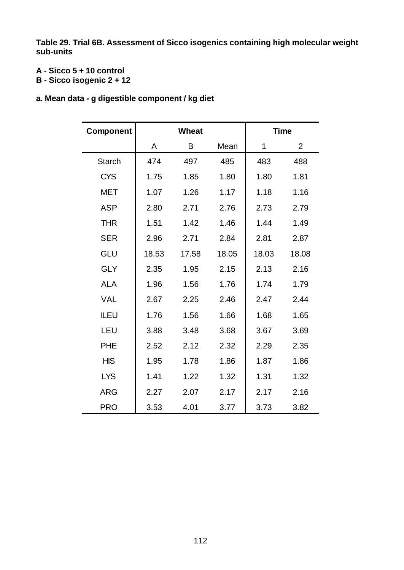**Table 29. Trial 6B. Assessment of Sicco isogenics containing high molecular weight sub-units**

### **A - Sicco 5 + 10 control**

- **B Sicco isogenic 2 + 12**
- **a. Mean data g digestible component / kg diet**

| Component     | <b>Wheat</b> |       |       |       | <b>Time</b>    |  |  |
|---------------|--------------|-------|-------|-------|----------------|--|--|
|               | A            | Β     | Mean  | 1     | $\overline{2}$ |  |  |
| <b>Starch</b> | 474          | 497   | 485   | 483   | 488            |  |  |
| <b>CYS</b>    | 1.75         | 1.85  | 1.80  | 1.80  | 1.81           |  |  |
| <b>MET</b>    | 1.07         | 1.26  | 1.17  | 1.18  | 1.16           |  |  |
| <b>ASP</b>    | 2.80         | 2.71  | 2.76  | 2.73  | 2.79           |  |  |
| <b>THR</b>    | 1.51         | 1.42  | 1.46  | 1.44  | 1.49           |  |  |
| <b>SER</b>    | 2.96         | 2.71  | 2.84  | 2.81  | 2.87           |  |  |
| GLU           | 18.53        | 17.58 | 18.05 | 18.03 | 18.08          |  |  |
| <b>GLY</b>    | 2.35         | 1.95  | 2.15  | 2.13  | 2.16           |  |  |
| <b>ALA</b>    | 1.96         | 1.56  | 1.76  | 1.74  | 1.79           |  |  |
| <b>VAL</b>    | 2.67         | 2.25  | 2.46  | 2.47  | 2.44           |  |  |
| <b>ILEU</b>   | 1.76         | 1.56  | 1.66  | 1.68  | 1.65           |  |  |
| LEU           | 3.88         | 3.48  | 3.68  | 3.67  | 3.69           |  |  |
| <b>PHE</b>    | 2.52         | 2.12  | 2.32  | 2.29  | 2.35           |  |  |
| <b>HIS</b>    | 1.95         | 1.78  | 1.86  | 1.87  | 1.86           |  |  |
| <b>LYS</b>    | 1.41         | 1.22  | 1.32  | 1.31  | 1.32           |  |  |
| <b>ARG</b>    | 2.27         | 2.07  | 2.17  | 2.17  | 2.16           |  |  |
| <b>PRO</b>    | 3.53         | 4.01  | 3.77  | 3.73  | 3.82           |  |  |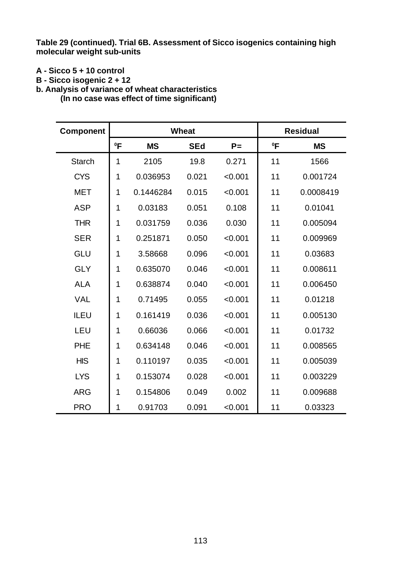**Table 29 (continued). Trial 6B. Assessment of Sicco isogenics containing high molecular weight sub-units**

- **A Sicco 5 + 10 control**
- **B Sicco isogenic 2 + 12**

**b. Analysis of variance of wheat characteristics**

**(In no case was effect of time significant)**

| <b>Component</b> |             | <b>Wheat</b> |            |         |        | <b>Residual</b> |  |  |
|------------------|-------------|--------------|------------|---------|--------|-----------------|--|--|
|                  | $^0$ F      | <b>MS</b>    | <b>SEd</b> | $P =$   | $^0$ F | <b>MS</b>       |  |  |
| <b>Starch</b>    | 1           | 2105         | 19.8       | 0.271   | 11     | 1566            |  |  |
| <b>CYS</b>       | 1           | 0.036953     | 0.021      | < 0.001 | 11     | 0.001724        |  |  |
| <b>MET</b>       | 1           | 0.1446284    | 0.015      | < 0.001 | 11     | 0.0008419       |  |  |
| <b>ASP</b>       | $\mathbf 1$ | 0.03183      | 0.051      | 0.108   | 11     | 0.01041         |  |  |
| <b>THR</b>       | 1           | 0.031759     | 0.036      | 0.030   | 11     | 0.005094        |  |  |
| <b>SER</b>       | 1           | 0.251871     | 0.050      | < 0.001 | 11     | 0.009969        |  |  |
| <b>GLU</b>       | 1           | 3.58668      | 0.096      | < 0.001 | 11     | 0.03683         |  |  |
| <b>GLY</b>       | 1           | 0.635070     | 0.046      | < 0.001 | 11     | 0.008611        |  |  |
| <b>ALA</b>       | 1           | 0.638874     | 0.040      | < 0.001 | 11     | 0.006450        |  |  |
| <b>VAL</b>       | 1           | 0.71495      | 0.055      | < 0.001 | 11     | 0.01218         |  |  |
| <b>ILEU</b>      | 1           | 0.161419     | 0.036      | < 0.001 | 11     | 0.005130        |  |  |
| LEU              | 1           | 0.66036      | 0.066      | < 0.001 | 11     | 0.01732         |  |  |
| <b>PHE</b>       | 1           | 0.634148     | 0.046      | < 0.001 | 11     | 0.008565        |  |  |
| <b>HIS</b>       | 1           | 0.110197     | 0.035      | < 0.001 | 11     | 0.005039        |  |  |
| <b>LYS</b>       | 1           | 0.153074     | 0.028      | < 0.001 | 11     | 0.003229        |  |  |
| <b>ARG</b>       | 1           | 0.154806     | 0.049      | 0.002   | 11     | 0.009688        |  |  |
| <b>PRO</b>       | 1           | 0.91703      | 0.091      | < 0.001 | 11     | 0.03323         |  |  |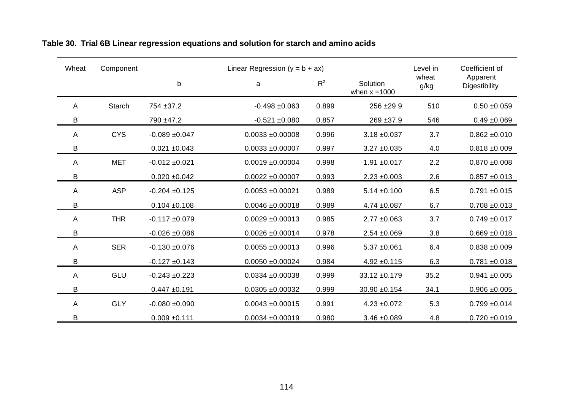| Wheat        | Component     |                    | Linear Regression ( $y = b + ax$ ) |       | Level in                    | Coefficient of |                           |
|--------------|---------------|--------------------|------------------------------------|-------|-----------------------------|----------------|---------------------------|
|              |               | $\mathsf b$        | a                                  | $R^2$ | Solution<br>when $x = 1000$ | wheat<br>g/kg  | Apparent<br>Digestibility |
| Α            | <b>Starch</b> | 754 ± 37.2         | $-0.498 + 0.063$                   | 0.899 | 256 ±29.9                   | 510            | $0.50 + 0.059$            |
| B            |               | 790 ±47.2          | $-0.521 + 0.080$                   | 0.857 | $269 + 37.9$                | 546            | $0.49 + 0.069$            |
| A            | <b>CYS</b>    | $-0.089 + 0.047$   | $0.0033 + 0.00008$                 | 0.996 | $3.18 + 0.037$              | 3.7            | $0.862 + 0.010$           |
| B            |               | $0.021 \pm 0.043$  | $0.0033 + 0.00007$                 | 0.997 | $3.27 \pm 0.035$            | 4.0            | $0.818 + 0.009$           |
| A            | <b>MET</b>    | $-0.012 \pm 0.021$ | $0.0019 + 0.00004$                 | 0.998 | $1.91 \pm 0.017$            | 2.2            | $0.870 + 0.008$           |
| В            |               | $0.020 + 0.042$    | $0.0022 \pm 0.00007$               | 0.993 | $2.23 \pm 0.003$            | 2.6            | $0.857 + 0.013$           |
| A            | <b>ASP</b>    | $-0.204 \pm 0.125$ | $0.0053 \pm 0.00021$               | 0.989 | $5.14 \pm 0.100$            | 6.5            | $0.791 + 0.015$           |
| B            |               | $0.104 \pm 0.108$  | $0.0046 + 0.00018$                 | 0.989 | $4.74 \pm 0.087$            | 6.7            | $0.708 + 0.013$           |
| A            | <b>THR</b>    | $-0.117 + 0.079$   | $0.0029 \pm 0.00013$               | 0.985 | $2.77 \pm 0.063$            | 3.7            | $0.749 + 0.017$           |
| B            |               | $-0.026 + 0.086$   | $0.0026 \pm 0.00014$               | 0.978 | $2.54 \pm 0.069$            | 3.8            | $0.669 + 0.018$           |
| $\mathsf{A}$ | <b>SER</b>    | $-0.130 + 0.076$   | $0.0055 \pm 0.00013$               | 0.996 | $5.37 + 0.061$              | 6.4            | $0.838 + 0.009$           |
| B            |               | $-0.127 + 0.143$   | $0.0050 + 0.00024$                 | 0.984 | $4.92 \pm 0.115$            | 6.3            | $0.781 + 0.018$           |
| A            | GLU           | $-0.243 + 0.223$   | $0.0334 + 0.00038$                 | 0.999 | $33.12 \pm 0.179$           | 35.2           | $0.941 + 0.005$           |
| B            |               | $0.447 + 0.191$    | $0.0305 + 0.00032$                 | 0.999 | $30.90 + 0.154$             | 34.1           | $0.906 + 0.005$           |
| $\mathsf{A}$ | <b>GLY</b>    | $-0.080 + 0.090$   | $0.0043 + 0.00015$                 | 0.991 | $4.23 + 0.072$              | 5.3            | $0.799 + 0.014$           |
| B            |               | $0.009 + 0.111$    | $0.0034 + 0.00019$                 | 0.980 | $3.46 \pm 0.089$            | 4.8            | $0.720 + 0.019$           |

### **Table 30. Trial 6B Linear regression equations and solution for starch and amino acids**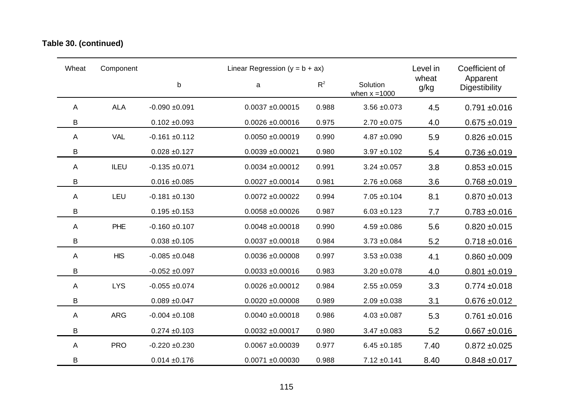### **Table 30. (continued)**

| Wheat | Component  |                    | Linear Regression ( $y = b + ax$ ) |       | Level in                    | Coefficient of |                           |
|-------|------------|--------------------|------------------------------------|-------|-----------------------------|----------------|---------------------------|
|       |            | b                  | a                                  | $R^2$ | Solution<br>when $x = 1000$ | wheat<br>g/kg  | Apparent<br>Digestibility |
| Α     | <b>ALA</b> | $-0.090 + 0.091$   | $0.0037 + 0.00015$                 | 0.988 | $3.56 + 0.073$              | 4.5            | $0.791 + 0.016$           |
| B     |            | $0.102 \pm 0.093$  | $0.0026 + 0.00016$                 | 0.975 | $2.70 + 0.075$              | 4.0            | $0.675 + 0.019$           |
| A     | <b>VAL</b> | $-0.161 + 0.112$   | $0.0050 + 0.00019$                 | 0.990 | $4.87 + 0.090$              | 5.9            | $0.826 \pm 0.015$         |
| B     |            | $0.028 + 0.127$    | $0.0039 + 0.00021$                 | 0.980 | $3.97 + 0.102$              | 5.4            | $0.736 + 0.019$           |
| A     | ILEU       | $-0.135 + 0.071$   | $0.0034 + 0.00012$                 | 0.991 | $3.24 \pm 0.057$            | 3.8            | $0.853 + 0.015$           |
| B     |            | $0.016 \pm 0.085$  | $0.0027 + 0.00014$                 | 0.981 | $2.76 \pm 0.068$            | 3.6            | $0.768 + 0.019$           |
| A     | LEU        | $-0.181 + 0.130$   | $0.0072 + 0.00022$                 | 0.994 | $7.05 \pm 0.104$            | 8.1            | $0.870 + 0.013$           |
| B     |            | $0.195 + 0.153$    | $0.0058 + 0.00026$                 | 0.987 | $6.03 \pm 0.123$            | 7.7            | $0.783 + 0.016$           |
| A     | PHE        | $-0.160 + 0.107$   | $0.0048 + 0.00018$                 | 0.990 | $4.59 + 0.086$              | 5.6            | $0.820 + 0.015$           |
| B     |            | $0.038 + 0.105$    | $0.0037 + 0.00018$                 | 0.984 | $3.73 + 0.084$              | 5.2            | $0.718 + 0.016$           |
| A     | <b>HIS</b> | $-0.085 + 0.048$   | $0.0036 + 0.00008$                 | 0.997 | $3.53 + 0.038$              | 4.1            | $0.860 + 0.009$           |
| B     |            | $-0.052 + 0.097$   | $0.0033 + 0.00016$                 | 0.983 | $3.20 \pm 0.078$            | 4.0            | $0.801 + 0.019$           |
| Α     | <b>LYS</b> | $-0.055 + 0.074$   | $0.0026 \pm 0.00012$               | 0.984 | $2.55 \pm 0.059$            | 3.3            | $0.774 \pm 0.018$         |
| B     |            | $0.089 + 0.047$    | $0.0020 + 0.00008$                 | 0.989 | $2.09 + 0.038$              | 3.1            | $0.676 + 0.012$           |
| A     | <b>ARG</b> | $-0.004 \pm 0.108$ | $0.0040 + 0.00018$                 | 0.986 | $4.03 + 0.087$              | 5.3            | $0.761 + 0.016$           |
| B     |            | $0.274 \pm 0.103$  | $0.0032 + 0.00017$                 | 0.980 | $3.47 \pm 0.083$            | 5.2            | $0.667 + 0.016$           |
| A     | <b>PRO</b> | $-0.220 + 0.230$   | $0.0067 + 0.00039$                 | 0.977 | $6.45 \pm 0.185$            | 7.40           | $0.872 + 0.025$           |
| B     |            | $0.014 \pm 0.176$  | $0.0071 + 0.00030$                 | 0.988 | $7.12 \pm 0.141$            | 8.40           | $0.848 + 0.017$           |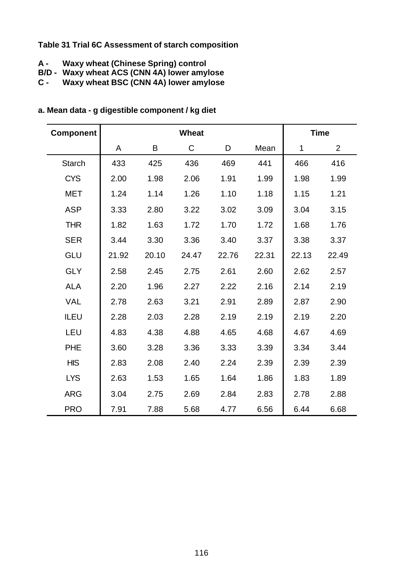#### **Table 31 Trial 6C Assessment of starch composition**

- **A Waxy wheat (Chinese Spring) control**
- **B/D Waxy wheat ACS (CNN 4A) lower amylose**
- **C Waxy wheat BSC (CNN 4A) lower amylose**

| <b>Component</b> |       |       | <b>Wheat</b> |       |       |             | <b>Time</b> |
|------------------|-------|-------|--------------|-------|-------|-------------|-------------|
|                  | A     | B     | C            | D     | Mean  | $\mathbf 1$ | 2           |
| <b>Starch</b>    | 433   | 425   | 436          | 469   | 441   | 466         | 416         |
| <b>CYS</b>       | 2.00  | 1.98  | 2.06         | 1.91  | 1.99  | 1.98        | 1.99        |
| <b>MET</b>       | 1.24  | 1.14  | 1.26         | 1.10  | 1.18  | 1.15        | 1.21        |
| <b>ASP</b>       | 3.33  | 2.80  | 3.22         | 3.02  | 3.09  | 3.04        | 3.15        |
| <b>THR</b>       | 1.82  | 1.63  | 1.72         | 1.70  | 1.72  | 1.68        | 1.76        |
| <b>SER</b>       | 3.44  | 3.30  | 3.36         | 3.40  | 3.37  | 3.38        | 3.37        |
| <b>GLU</b>       | 21.92 | 20.10 | 24.47        | 22.76 | 22.31 | 22.13       | 22.49       |
| <b>GLY</b>       | 2.58  | 2.45  | 2.75         | 2.61  | 2.60  | 2.62        | 2.57        |
| <b>ALA</b>       | 2.20  | 1.96  | 2.27         | 2.22  | 2.16  | 2.14        | 2.19        |
| <b>VAL</b>       | 2.78  | 2.63  | 3.21         | 2.91  | 2.89  | 2.87        | 2.90        |
| ILEU             | 2.28  | 2.03  | 2.28         | 2.19  | 2.19  | 2.19        | 2.20        |
| LEU              | 4.83  | 4.38  | 4.88         | 4.65  | 4.68  | 4.67        | 4.69        |
| <b>PHE</b>       | 3.60  | 3.28  | 3.36         | 3.33  | 3.39  | 3.34        | 3.44        |
| <b>HIS</b>       | 2.83  | 2.08  | 2.40         | 2.24  | 2.39  | 2.39        | 2.39        |
| <b>LYS</b>       | 2.63  | 1.53  | 1.65         | 1.64  | 1.86  | 1.83        | 1.89        |
| <b>ARG</b>       | 3.04  | 2.75  | 2.69         | 2.84  | 2.83  | 2.78        | 2.88        |
| <b>PRO</b>       | 7.91  | 7.88  | 5.68         | 4.77  | 6.56  | 6.44        | 6.68        |

### **a. Mean data - g digestible component / kg diet**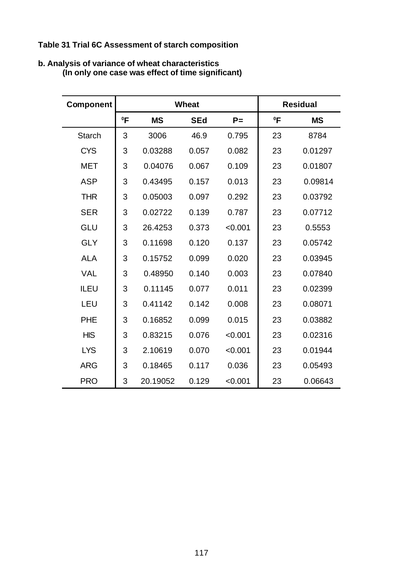**Table 31 Trial 6C Assessment of starch composition**

| <b>Component</b> |        |           | <b>Wheat</b> |         |        | <b>Residual</b> |
|------------------|--------|-----------|--------------|---------|--------|-----------------|
|                  | $^0$ F | <b>MS</b> | <b>SEd</b>   | $P =$   | $^0$ F | <b>MS</b>       |
| <b>Starch</b>    | 3      | 3006      | 46.9         | 0.795   | 23     | 8784            |
| <b>CYS</b>       | 3      | 0.03288   | 0.057        | 0.082   | 23     | 0.01297         |
| <b>MET</b>       | 3      | 0.04076   | 0.067        | 0.109   | 23     | 0.01807         |
| <b>ASP</b>       | 3      | 0.43495   | 0.157        | 0.013   | 23     | 0.09814         |
| <b>THR</b>       | 3      | 0.05003   | 0.097        | 0.292   | 23     | 0.03792         |
| <b>SER</b>       | 3      | 0.02722   | 0.139        | 0.787   | 23     | 0.07712         |
| <b>GLU</b>       | 3      | 26.4253   | 0.373        | < 0.001 | 23     | 0.5553          |
| <b>GLY</b>       | 3      | 0.11698   | 0.120        | 0.137   | 23     | 0.05742         |
| <b>ALA</b>       | 3      | 0.15752   | 0.099        | 0.020   | 23     | 0.03945         |
| <b>VAL</b>       | 3      | 0.48950   | 0.140        | 0.003   | 23     | 0.07840         |
| ILEU             | 3      | 0.11145   | 0.077        | 0.011   | 23     | 0.02399         |
| LEU              | 3      | 0.41142   | 0.142        | 0.008   | 23     | 0.08071         |
| <b>PHE</b>       | 3      | 0.16852   | 0.099        | 0.015   | 23     | 0.03882         |
| <b>HIS</b>       | 3      | 0.83215   | 0.076        | < 0.001 | 23     | 0.02316         |
| <b>LYS</b>       | 3      | 2.10619   | 0.070        | < 0.001 | 23     | 0.01944         |
| <b>ARG</b>       | 3      | 0.18465   | 0.117        | 0.036   | 23     | 0.05493         |
| <b>PRO</b>       | 3      | 20.19052  | 0.129        | < 0.001 | 23     | 0.06643         |

#### **b. Analysis of variance of wheat characteristics (In only one case was effect of time significant)**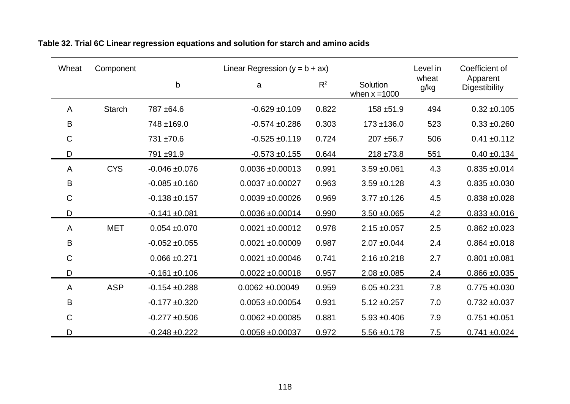| Wheat       | Component     |                    | Linear Regression $(y = b + ax)$ |       |                             | Level in      | Coefficient of            |  |
|-------------|---------------|--------------------|----------------------------------|-------|-----------------------------|---------------|---------------------------|--|
|             |               | $\mathsf b$        | a                                | $R^2$ | Solution<br>when $x = 1000$ | wheat<br>g/kg | Apparent<br>Digestibility |  |
| A           | <b>Starch</b> | 787 ±64.6          | $-0.629 \pm 0.109$               | 0.822 | 158 ±51.9                   | 494           | $0.32 + 0.105$            |  |
| B           |               | 748 ±169.0         | $-0.574 \pm 0.286$               | 0.303 | $173 + 136.0$               | 523           | $0.33 + 0.260$            |  |
| C           |               | 731 ±70.6          | $-0.525 \pm 0.119$               | 0.724 | 207 ±56.7                   | 506           | $0.41 \pm 0.112$          |  |
| D           |               | 791 ±91.9          | $-0.573 + 0.155$                 | 0.644 | $218 + 73.8$                | 551           | $0.40 \pm 0.134$          |  |
| A           | <b>CYS</b>    | $-0.046 + 0.076$   | $0.0036 + 0.00013$               | 0.991 | $3.59 + 0.061$              | 4.3           | $0.835 \pm 0.014$         |  |
| B           |               | $-0.085 + 0.160$   | $0.0037 + 0.00027$               | 0.963 | $3.59 + 0.128$              | 4.3           | $0.835 + 0.030$           |  |
| $\mathsf C$ |               | $-0.138 + 0.157$   | $0.0039 + 0.00026$               | 0.969 | $3.77 \pm 0.126$            | 4.5           | $0.838 + 0.028$           |  |
| D           |               | $-0.141 + 0.081$   | $0.0036 \pm 0.00014$             | 0.990 | $3.50 + 0.065$              | 4.2           | $0.833 + 0.016$           |  |
| A           | <b>MET</b>    | $0.054 + 0.070$    | $0.0021 \pm 0.00012$             | 0.978 | $2.15 \pm 0.057$            | 2.5           | $0.862 \pm 0.023$         |  |
| B           |               | $-0.052 \pm 0.055$ | $0.0021 \pm 0.00009$             | 0.987 | $2.07 + 0.044$              | 2.4           | $0.864 \pm 0.018$         |  |
| $\mathsf C$ |               | $0.066 \pm 0.271$  | $0.0021 \pm 0.00046$             | 0.741 | $2.16 \pm 0.218$            | 2.7           | $0.801 + 0.081$           |  |
| D           |               | $-0.161 + 0.106$   | $0.0022 \pm 0.00018$             | 0.957 | $2.08 \pm 0.085$            | 2.4           | $0.866 \pm 0.035$         |  |
| A           | <b>ASP</b>    | $-0.154 + 0.288$   | $0.0062 \pm 0.00049$             | 0.959 | $6.05 \pm 0.231$            | 7.8           | $0.775 + 0.030$           |  |
| B           |               | $-0.177 + 0.320$   | $0.0053 \pm 0.00054$             | 0.931 | $5.12 \pm 0.257$            | 7.0           | $0.732 + 0.037$           |  |
| $\mathsf C$ |               | $-0.277 \pm 0.506$ | $0.0062 \pm 0.00085$             | 0.881 | $5.93 \pm 0.406$            | 7.9           | $0.751 + 0.051$           |  |
| D           |               | $-0.248 + 0.222$   | $0.0058 + 0.00037$               | 0.972 | $5.56 \pm 0.178$            | 7.5           | $0.741 + 0.024$           |  |

**Table 32. Trial 6C Linear regression equations and solution for starch and amino acids**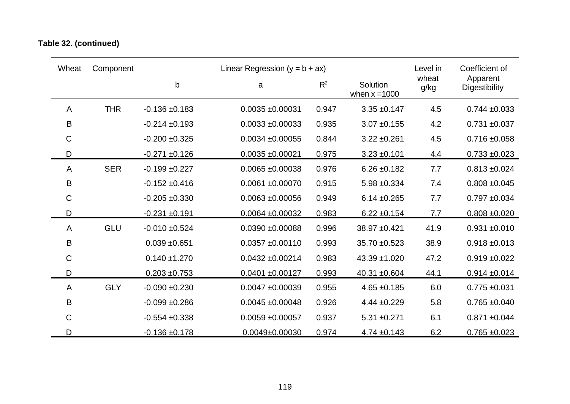## **Table 32. (continued)**

| Wheat       | Component  |                    | Linear Regression $(y = b + ax)$ |       |                             | Level in      | Coefficient of            |
|-------------|------------|--------------------|----------------------------------|-------|-----------------------------|---------------|---------------------------|
|             |            | $\mathsf b$        | a                                | $R^2$ | Solution<br>when $x = 1000$ | wheat<br>g/kg | Apparent<br>Digestibility |
| A           | <b>THR</b> | $-0.136 \pm 0.183$ | $0.0035 + 0.00031$               | 0.947 | $3.35 + 0.147$              | 4.5           | $0.744 \pm 0.033$         |
| B           |            | $-0.214 \pm 0.193$ | $0.0033 \pm 0.00033$             | 0.935 | $3.07 + 0.155$              | 4.2           | $0.731 + 0.037$           |
| $\mathsf C$ |            | $-0.200 + 0.325$   | $0.0034 \pm 0.00055$             | 0.844 | $3.22 \pm 0.261$            | 4.5           | $0.716 + 0.058$           |
| D           |            | $-0.271 + 0.126$   | $0.0035 + 0.00021$               | 0.975 | $3.23 + 0.101$              | 4.4           | $0.733 + 0.023$           |
| A           | <b>SER</b> | $-0.199 + 0.227$   | $0.0065 \pm 0.00038$             | 0.976 | $6.26 \pm 0.182$            | 7.7           | $0.813 \pm 0.024$         |
| B           |            | $-0.152 \pm 0.416$ | $0.0061 + 0.00070$               | 0.915 | $5.98 \pm 0.334$            | 7.4           | $0.808 + 0.045$           |
| $\mathsf C$ |            | $-0.205 + 0.330$   | $0.0063 \pm 0.00056$             | 0.949 | $6.14 \pm 0.265$            | 7.7           | $0.797 + 0.034$           |
| D           |            | $-0.231 + 0.191$   | $0.0064 \pm 0.00032$             | 0.983 | $6.22 \pm 0.154$            | 7.7           | $0.808 + 0.020$           |
| A           | <b>GLU</b> | $-0.010 + 0.524$   | $0.0390 + 0.00088$               | 0.996 | 38.97 ±0.421                | 41.9          | $0.931 + 0.010$           |
| B           |            | $0.039 + 0.651$    | $0.0357 + 0.00110$               | 0.993 | $35.70 + 0.523$             | 38.9          | $0.918 + 0.013$           |
| $\mathsf C$ |            | $0.140 + 1.270$    | $0.0432 \pm 0.00214$             | 0.983 | $43.39 + 1.020$             | 47.2          | $0.919 + 0.022$           |
| D           |            | $0.203 + 0.753$    | $0.0401 + 0.00127$               | 0.993 | 40.31 ±0.604                | 44.1          | $0.914 \pm 0.014$         |
| A           | <b>GLY</b> | $-0.090 + 0.230$   | $0.0047 + 0.00039$               | 0.955 | $4.65 \pm 0.185$            | 6.0           | $0.775 \pm 0.031$         |
| B           |            | $-0.099 + 0.286$   | $0.0045 \pm 0.00048$             | 0.926 | $4.44 \pm 0.229$            | 5.8           | $0.765 + 0.040$           |
| $\mathsf C$ |            | $-0.554 + 0.338$   | $0.0059 + 0.00057$               | 0.937 | $5.31 \pm 0.271$            | 6.1           | $0.871 + 0.044$           |
| D           |            | $-0.136 + 0.178$   | $0.0049 \pm 0.00030$             | 0.974 | $4.74 \pm 0.143$            | 6.2           | $0.765 + 0.023$           |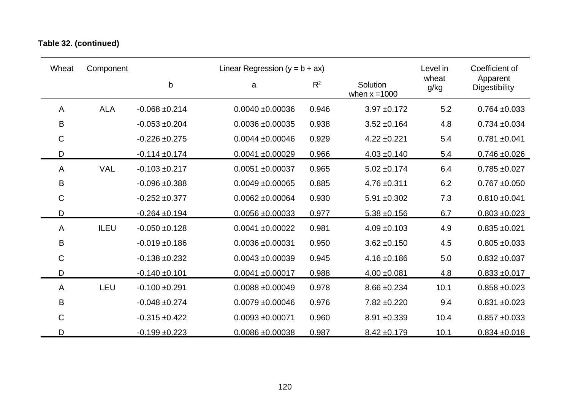## **Table 32. (continued)**

| Wheat       | Component   |                    | Linear Regression $(y = b + ax)$ |       |                             | Level in      | Coefficient of            |
|-------------|-------------|--------------------|----------------------------------|-------|-----------------------------|---------------|---------------------------|
|             |             | b                  | a                                | $R^2$ | Solution<br>when $x = 1000$ | wheat<br>g/kg | Apparent<br>Digestibility |
| A           | <b>ALA</b>  | $-0.068 + 0.214$   | $0.0040 \pm 0.00036$             | 0.946 | $3.97 + 0.172$              | 5.2           | $0.764 \pm 0.033$         |
| B           |             | $-0.053 + 0.204$   | $0.0036 + 0.00035$               | 0.938 | $3.52 \pm 0.164$            | 4.8           | $0.734 \pm 0.034$         |
| C           |             | $-0.226 + 0.275$   | $0.0044 \pm 0.00046$             | 0.929 | $4.22 \pm 0.221$            | 5.4           | $0.781 + 0.041$           |
| D           |             | $-0.114 \pm 0.174$ | $0.0041 \pm 0.00029$             | 0.966 | $4.03 \pm 0.140$            | 5.4           | $0.746 + 0.026$           |
| A           | <b>VAL</b>  | $-0.103 + 0.217$   | $0.0051 \pm 0.00037$             | 0.965 | $5.02 \pm 0.174$            | 6.4           | $0.785 + 0.027$           |
| B           |             | $-0.096 + 0.388$   | $0.0049 \pm 0.00065$             | 0.885 | $4.76 \pm 0.311$            | 6.2           | $0.767 + 0.050$           |
| $\mathsf C$ |             | $-0.252 \pm 0.377$ | $0.0062 \pm 0.00064$             | 0.930 | $5.91 \pm 0.302$            | 7.3           | $0.810 \pm 0.041$         |
| D           |             | $-0.264 + 0.194$   | $0.0056 \pm 0.00033$             | 0.977 | $5.38 + 0.156$              | 6.7           | $0.803 + 0.023$           |
| A           | <b>ILEU</b> | $-0.050 + 0.128$   | $0.0041 \pm 0.00022$             | 0.981 | $4.09 \pm 0.103$            | 4.9           | $0.835 + 0.021$           |
| B           |             | $-0.019 + 0.186$   | $0.0036 + 0.00031$               | 0.950 | $3.62 \pm 0.150$            | 4.5           | $0.805 \pm 0.033$         |
| С           |             | $-0.138 + 0.232$   | $0.0043 \pm 0.00039$             | 0.945 | $4.16 \pm 0.186$            | 5.0           | $0.832 \pm 0.037$         |
| D           |             | $-0.140 + 0.101$   | $0.0041 \pm 0.00017$             | 0.988 | $4.00 \pm 0.081$            | 4.8           | $0.833 + 0.017$           |
| A           | LEU         | $-0.100 + 0.291$   | $0.0088 + 0.00049$               | 0.978 | $8.66 \pm 0.234$            | 10.1          | $0.858 + 0.023$           |
| B           |             | $-0.048 + 0.274$   | $0.0079 + 0.00046$               | 0.976 | $7.82 \pm 0.220$            | 9.4           | $0.831 \pm 0.023$         |
| C           |             | $-0.315 + 0.422$   | $0.0093 + 0.00071$               | 0.960 | $8.91 \pm 0.339$            | 10.4          | $0.857 + 0.033$           |
| D           |             | $-0.199 + 0.223$   | $0.0086 + 0.00038$               | 0.987 | $8.42 \pm 0.179$            | 10.1          | $0.834 + 0.018$           |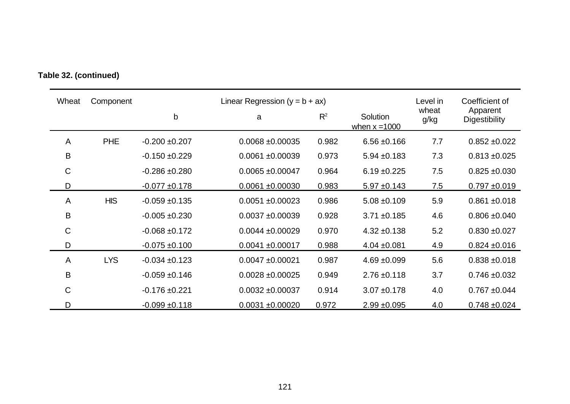| Wheat        | Component  |                    | Linear Regression $(y = b + ax)$ |       |                                    | Level in      | Coefficient of            |
|--------------|------------|--------------------|----------------------------------|-------|------------------------------------|---------------|---------------------------|
|              |            | b                  | a                                | $R^2$ | <b>Solution</b><br>when $x = 1000$ | wheat<br>g/kg | Apparent<br>Digestibility |
| A            | <b>PHE</b> | $-0.200 + 0.207$   | $0.0068 + 0.00035$               | 0.982 | $6.56 \pm 0.166$                   | 7.7           | $0.852 \pm 0.022$         |
| B            |            | $-0.150 + 0.229$   | $0.0061 + 0.00039$               | 0.973 | $5.94 \pm 0.183$                   | 7.3           | $0.813 \pm 0.025$         |
| $\mathsf C$  |            | $-0.286 + 0.280$   | $0.0065 \pm 0.00047$             | 0.964 | $6.19 \pm 0.225$                   | 7.5           | $0.825 \pm 0.030$         |
| D            |            | $-0.077 + 0.178$   | $0.0061 + 0.00030$               | 0.983 | $5.97 \pm 0.143$                   | 7.5           | $0.797 + 0.019$           |
| A            | <b>HIS</b> | $-0.059 + 0.135$   | $0.0051 + 0.00023$               | 0.986 | $5.08 \pm 0.109$                   | 5.9           | $0.861 + 0.018$           |
| B            |            | $-0.005 + 0.230$   | $0.0037 + 0.00039$               | 0.928 | $3.71 \pm 0.185$                   | 4.6           | $0.806 \pm 0.040$         |
| $\mathsf C$  |            | $-0.068 + 0.172$   | $0.0044 \pm 0.00029$             | 0.970 | $4.32 \pm 0.138$                   | 5.2           | $0.830 + 0.027$           |
| D            |            | $-0.075 + 0.100$   | $0.0041 \pm 0.00017$             | 0.988 | $4.04 \pm 0.081$                   | 4.9           | $0.824 \pm 0.016$         |
| A            | <b>LYS</b> | $-0.034 \pm 0.123$ | $0.0047 + 0.00021$               | 0.987 | $4.69 + 0.099$                     | 5.6           | $0.838 + 0.018$           |
| B            |            | $-0.059 + 0.146$   | $0.0028 \pm 0.00025$             | 0.949 | $2.76 \pm 0.118$                   | 3.7           | $0.746 \pm 0.032$         |
| $\mathsf{C}$ |            | $-0.176 \pm 0.221$ | $0.0032 \pm 0.00037$             | 0.914 | $3.07 + 0.178$                     | 4.0           | $0.767 + 0.044$           |
| D            |            | $-0.099 + 0.118$   | $0.0031 \pm 0.00020$             | 0.972 | $2.99 + 0.095$                     | 4.0           | $0.748 + 0.024$           |

**Table 32. (continued)**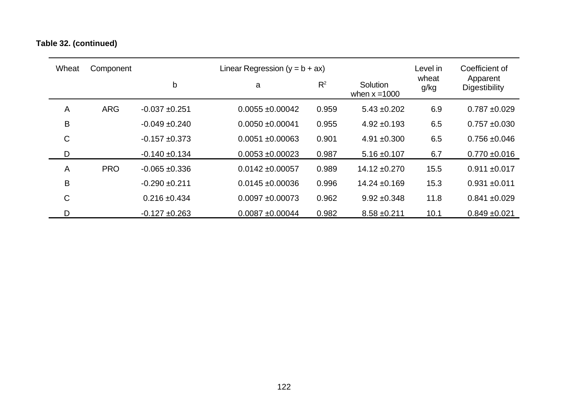## **Table 32. (continued)**

| Wheat       | Component  |                    | Linear Regression $(y = b + ax)$ |       |                             | Level in      | Coefficient of            |
|-------------|------------|--------------------|----------------------------------|-------|-----------------------------|---------------|---------------------------|
|             |            | b                  | a                                | $R^2$ | Solution<br>when $x = 1000$ | wheat<br>g/kg | Apparent<br>Digestibility |
| A           | <b>ARG</b> | $-0.037 + 0.251$   | $0.0055 \pm 0.00042$             | 0.959 | $5.43 \pm 0.202$            | 6.9           | $0.787 + 0.029$           |
| B           |            | $-0.049 + 0.240$   | $0.0050 + 0.00041$               | 0.955 | $4.92 \pm 0.193$            | 6.5           | $0.757 + 0.030$           |
| $\mathsf C$ |            | $-0.157 + 0.373$   | $0.0051 + 0.00063$               | 0.901 | $4.91 \pm 0.300$            | 6.5           | $0.756 \pm 0.046$         |
| D           |            | $-0.140 \pm 0.134$ | $0.0053 + 0.00023$               | 0.987 | $5.16 \pm 0.107$            | 6.7           | $0.770 \pm 0.016$         |
| A           | <b>PRO</b> | $-0.065 + 0.336$   | $0.0142 \pm 0.00057$             | 0.989 | $14.12 \pm 0.270$           | 15.5          | $0.911 \pm 0.017$         |
| B           |            | $-0.290 + 0.211$   | $0.0145 \pm 0.00036$             | 0.996 | $14.24 \pm 0.169$           | 15.3          | $0.931 + 0.011$           |
| $\mathsf C$ |            | $0.216 \pm 0.434$  | $0.0097 + 0.00073$               | 0.962 | $9.92 \pm 0.348$            | 11.8          | $0.841 \pm 0.029$         |
| D           |            | $-0.127 \pm 0.263$ | $0.0087 + 0.00044$               | 0.982 | $8.58 \pm 0.211$            | 10.1          | $0.849 \pm 0.021$         |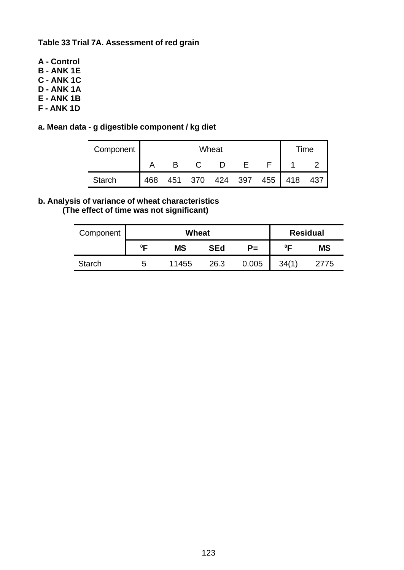**Table 33 Trial 7A. Assessment of red grain**

- **A Control**
- **B ANK 1E**
- **C ANK 1C**
- **D ANK 1A**
- **E ANK 1B**
- **F ANK 1D**

### **a. Mean data - g digestible component / kg diet**

| Component     |     |     | ⊺ime |     |     |     |     |     |
|---------------|-----|-----|------|-----|-----|-----|-----|-----|
|               |     |     |      |     |     |     |     |     |
| <b>Starch</b> | 468 | 451 | 370  | 424 | 397 | 455 | 418 | 437 |

#### **b. Analysis of variance of wheat characteristics (The effect of time was not significant)**

| Component     |        | Wheat     | <b>Residual</b> |       |         |           |
|---------------|--------|-----------|-----------------|-------|---------|-----------|
|               | $^0$ F | <b>MS</b> | <b>SEd</b>      | $P =$ | $0\Box$ | <b>MS</b> |
| <b>Starch</b> | b      | 11455     | 26.3            | 0.005 | 34(1)   | 2775      |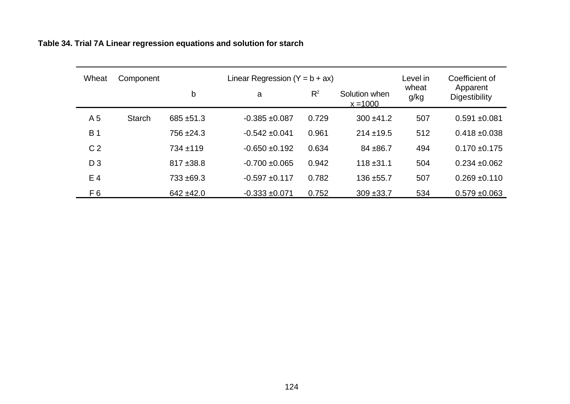| Wheat          | Component     |              | Linear Regression $(Y = b + ax)$ |       |                             | Level in      | Coefficient of            |
|----------------|---------------|--------------|----------------------------------|-------|-----------------------------|---------------|---------------------------|
|                |               | b            | a                                | $R^2$ | Solution when<br>$x = 1000$ | wheat<br>g/kg | Apparent<br>Digestibility |
| A <sub>5</sub> | <b>Starch</b> | $685 + 51.3$ | $-0.385 + 0.087$                 | 0.729 | $300 + 41.2$                | 507           | $0.591 + 0.081$           |
| <b>B</b> 1     |               | 756 ± 24.3   | $-0.542 \pm 0.041$               | 0.961 | $214 + 19.5$                | 512           | $0.418 + 0.038$           |
| C <sub>2</sub> |               | $734 + 119$  | $-0.650 + 0.192$                 | 0.634 | $84 + 86.7$                 | 494           | $0.170 \pm 0.175$         |
| $D_3$          |               | $817 + 38.8$ | $-0.700 + 0.065$                 | 0.942 | $118 + 31.1$                | 504           | $0.234 \pm 0.062$         |
| E <sub>4</sub> |               | $733 + 69.3$ | $-0.597 + 0.117$                 | 0.782 | $136 + 55.7$                | 507           | $0.269 + 0.110$           |
| F6             |               | $642 + 42.0$ | $-0.333 + 0.071$                 | 0.752 | $309 + 33.7$                | 534           | $0.579 \pm 0.063$         |

**Table 34. Trial 7A Linear regression equations and solution for starch**